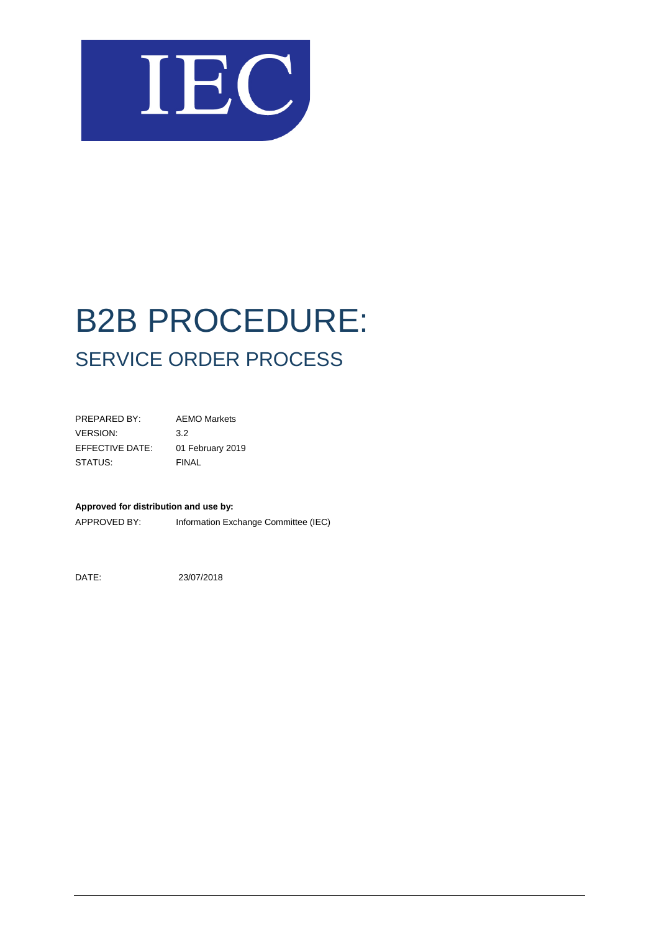

| PREPARED BY:    | <b>AEMO Markets</b> |
|-----------------|---------------------|
| <b>VERSION:</b> | 3.2                 |
| EFFECTIVE DATE: | 01 February 2019    |
| STATUS:         | FINAL               |

#### **Approved for distribution and use by:**

APPROVED BY: Information Exchange Committee (IEC)

DATE: 23/07/2018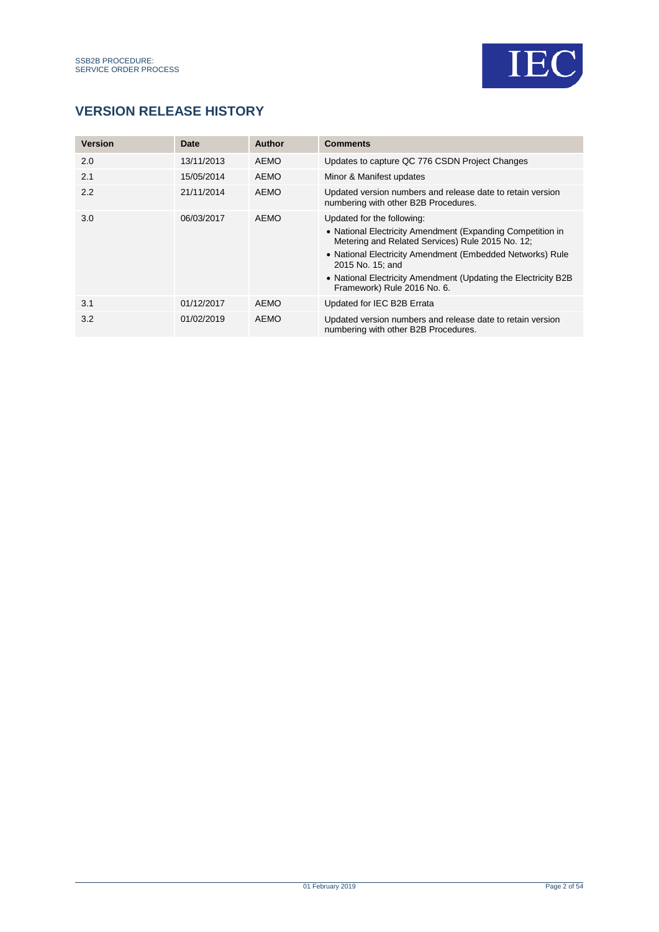

## **VERSION RELEASE HISTORY**

| <b>Version</b> | Date       | Author      | <b>Comments</b>                                                                                                                                                                                                                                                                                                                 |
|----------------|------------|-------------|---------------------------------------------------------------------------------------------------------------------------------------------------------------------------------------------------------------------------------------------------------------------------------------------------------------------------------|
| 2.0            | 13/11/2013 | <b>AEMO</b> | Updates to capture QC 776 CSDN Project Changes                                                                                                                                                                                                                                                                                  |
| 2.1            | 15/05/2014 | <b>AEMO</b> | Minor & Manifest updates                                                                                                                                                                                                                                                                                                        |
| 2.2            | 21/11/2014 | <b>AEMO</b> | Updated version numbers and release date to retain version<br>numbering with other B2B Procedures.                                                                                                                                                                                                                              |
| 3.0            | 06/03/2017 | <b>AEMO</b> | Updated for the following:<br>• National Electricity Amendment (Expanding Competition in<br>Metering and Related Services) Rule 2015 No. 12;<br>• National Electricity Amendment (Embedded Networks) Rule<br>2015 No. 15: and<br>• National Electricity Amendment (Updating the Electricity B2B)<br>Framework) Rule 2016 No. 6. |
| 3.1            | 01/12/2017 | <b>AEMO</b> | Updated for IEC B2B Errata                                                                                                                                                                                                                                                                                                      |
| 3.2            | 01/02/2019 | <b>AEMO</b> | Updated version numbers and release date to retain version<br>numbering with other B2B Procedures.                                                                                                                                                                                                                              |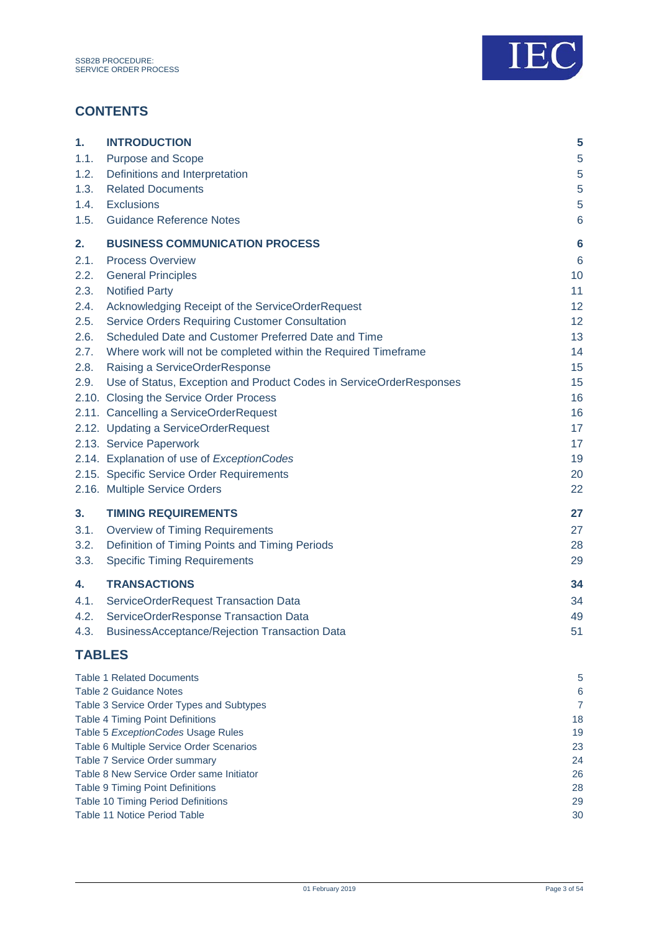

## **CONTENTS**

| 1.            | <b>INTRODUCTION</b>                                                       | 5               |
|---------------|---------------------------------------------------------------------------|-----------------|
| 1.1.          | <b>Purpose and Scope</b>                                                  | $\sqrt{5}$      |
| 1.2.          | Definitions and Interpretation                                            | $\overline{5}$  |
| 1.3.          | <b>Related Documents</b>                                                  | 5               |
| 1.4.          | <b>Exclusions</b>                                                         | 5               |
| 1.5.          | <b>Guidance Reference Notes</b>                                           | $6\phantom{1}6$ |
| 2.            | <b>BUSINESS COMMUNICATION PROCESS</b>                                     | $6\phantom{1}6$ |
| 2.1.          | <b>Process Overview</b>                                                   | $6\phantom{1}6$ |
| 2.2.          | <b>General Principles</b>                                                 | 10              |
| 2.3.          | <b>Notified Party</b>                                                     | 11              |
| 2.4.          | Acknowledging Receipt of the ServiceOrderRequest                          | 12              |
| 2.5.          | <b>Service Orders Requiring Customer Consultation</b>                     | 12              |
| 2.6.          | Scheduled Date and Customer Preferred Date and Time                       | 13              |
| 2.7.          | Where work will not be completed within the Required Timeframe            | 14              |
| 2.8.          | Raising a ServiceOrderResponse                                            | 15              |
| 2.9.          | Use of Status, Exception and Product Codes in ServiceOrderResponses       | 15              |
|               | 2.10. Closing the Service Order Process                                   | 16              |
|               | 2.11. Cancelling a ServiceOrderRequest                                    | 16              |
|               | 2.12. Updating a ServiceOrderRequest                                      | 17              |
|               | 2.13. Service Paperwork                                                   | 17              |
|               | 2.14. Explanation of use of ExceptionCodes                                | 19              |
|               | 2.15. Specific Service Order Requirements                                 | 20              |
|               | 2.16. Multiple Service Orders                                             | 22              |
| 3.            | <b>TIMING REQUIREMENTS</b>                                                | 27              |
| 3.1.          | <b>Overview of Timing Requirements</b>                                    | 27              |
| 3.2.          | Definition of Timing Points and Timing Periods                            | 28              |
| 3.3.          | <b>Specific Timing Requirements</b>                                       | 29              |
| 4.            | <b>TRANSACTIONS</b>                                                       | 34              |
| 4.1.          | ServiceOrderRequest Transaction Data                                      | 34              |
| 4.2.          | ServiceOrderResponse Transaction Data                                     | 49              |
|               | 4.3. BusinessAcceptance/Rejection Transaction Data                        | 51              |
| <b>TABLES</b> |                                                                           |                 |
|               | <b>Table 1 Related Documents</b>                                          | 5               |
|               | <b>Table 2 Guidance Notes</b>                                             | $\,6$           |
|               | Table 3 Service Order Types and Subtypes                                  | $\overline{7}$  |
|               | <b>Table 4 Timing Point Definitions</b>                                   | 18              |
|               | Table 5 ExceptionCodes Usage Rules                                        | 19              |
|               | Table 6 Multiple Service Order Scenarios<br>Table 7 Service Order summary | 23<br>24        |
|               | Table 8 New Service Order same Initiator                                  | 26              |
|               | <b>Table 9 Timing Point Definitions</b>                                   | 28              |
|               | Table 10 Timing Period Definitions                                        | 29              |

[Table 11 Notice Period Table](#page-29-0) 30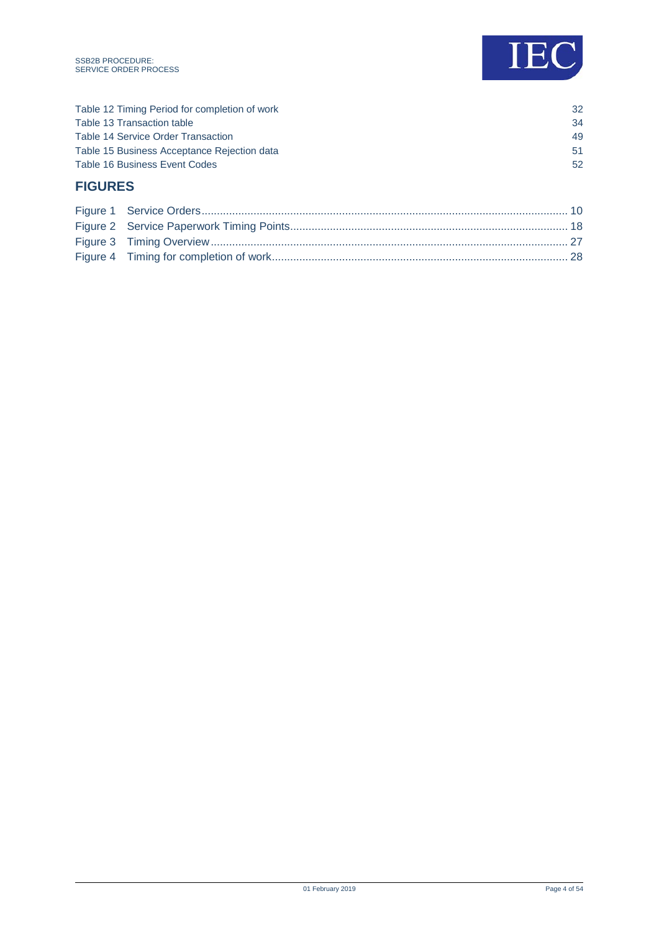



| <b>FIGURES</b>                                |    |
|-----------------------------------------------|----|
| <b>Table 16 Business Event Codes</b>          | 52 |
| Table 15 Business Acceptance Rejection data   | 51 |
| Table 14 Service Order Transaction            | 49 |
| Table 13 Transaction table                    | 34 |
| Table 12 Timing Period for completion of work | 32 |
|                                               |    |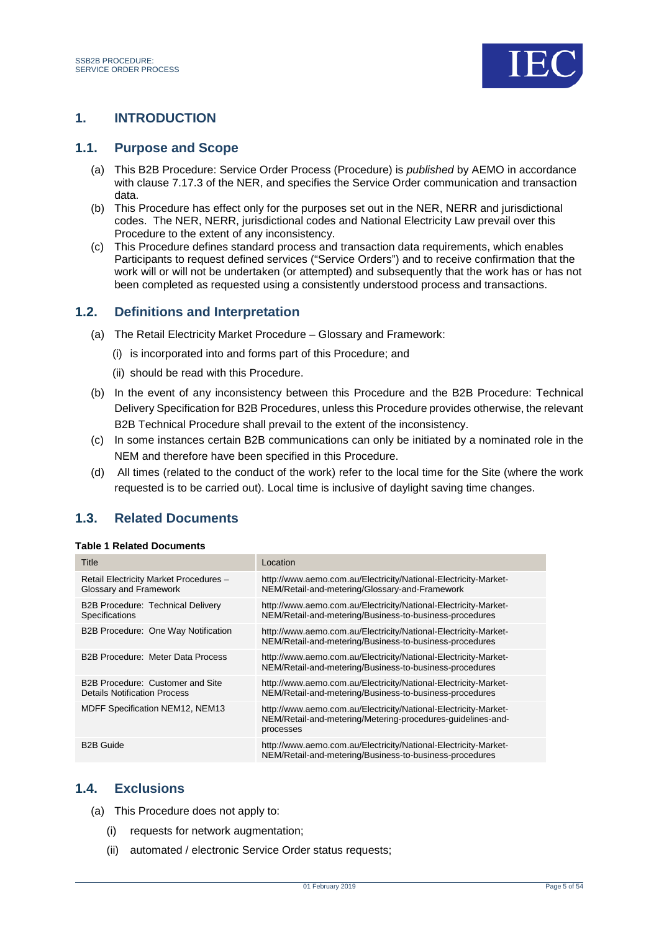

## <span id="page-4-0"></span>**1. INTRODUCTION**

#### <span id="page-4-1"></span>**1.1. Purpose and Scope**

- (a) This B2B Procedure: Service Order Process (Procedure) is *published* by AEMO in accordance with clause 7.17.3 of the NER, and specifies the Service Order communication and transaction data.
- (b) This Procedure has effect only for the purposes set out in the NER, NERR and jurisdictional codes. The NER, NERR, jurisdictional codes and National Electricity Law prevail over this Procedure to the extent of any inconsistency.
- (c) This Procedure defines standard process and transaction data requirements, which enables Participants to request defined services ("Service Orders") and to receive confirmation that the work will or will not be undertaken (or attempted) and subsequently that the work has or has not been completed as requested using a consistently understood process and transactions.

#### <span id="page-4-2"></span>**1.2. Definitions and Interpretation**

- (a) The Retail Electricity Market Procedure Glossary and Framework:
	- (i) is incorporated into and forms part of this Procedure; and
	- (ii) should be read with this Procedure.
- (b) In the event of any inconsistency between this Procedure and the B2B Procedure: Technical Delivery Specification for B2B Procedures, unless this Procedure provides otherwise, the relevant B2B Technical Procedure shall prevail to the extent of the inconsistency.
- (c) In some instances certain B2B communications can only be initiated by a nominated role in the NEM and therefore have been specified in this Procedure.
- (d) All times (related to the conduct of the work) refer to the local time for the Site (where the work requested is to be carried out). Local time is inclusive of daylight saving time changes.

## <span id="page-4-3"></span>**1.3. Related Documents**

#### <span id="page-4-5"></span>**Table 1 Related Documents**

| Title                                                                   | Location                                                                                                                                    |
|-------------------------------------------------------------------------|---------------------------------------------------------------------------------------------------------------------------------------------|
| Retail Electricity Market Procedures -<br>Glossary and Framework        | http://www.aemo.com.au/Electricity/National-Electricity-Market-<br>NEM/Retail-and-metering/Glossary-and-Framework                           |
| <b>B2B Procedure: Technical Delivery</b><br><b>Specifications</b>       | http://www.aemo.com.au/Electricity/National-Electricity-Market-<br>NEM/Retail-and-metering/Business-to-business-procedures                  |
| B2B Procedure: One Way Notification                                     | http://www.aemo.com.au/Electricity/National-Electricity-Market-<br>NEM/Retail-and-metering/Business-to-business-procedures                  |
| B2B Procedure: Meter Data Process                                       | http://www.aemo.com.au/Electricity/National-Electricity-Market-<br>NEM/Retail-and-metering/Business-to-business-procedures                  |
| B2B Procedure: Customer and Site<br><b>Details Notification Process</b> | http://www.aemo.com.au/Electricity/National-Electricity-Market-<br>NEM/Retail-and-metering/Business-to-business-procedures                  |
| <b>MDFF Specification NEM12, NEM13</b>                                  | http://www.aemo.com.au/Electricity/National-Electricity-Market-<br>NEM/Retail-and-metering/Metering-procedures-guidelines-and-<br>processes |
| <b>B2B Guide</b>                                                        | http://www.aemo.com.au/Electricity/National-Electricity-Market-<br>NEM/Retail-and-metering/Business-to-business-procedures                  |

### <span id="page-4-4"></span>**1.4. Exclusions**

- (a) This Procedure does not apply to:
	- (i) requests for network augmentation;
	- (ii) automated / electronic Service Order status requests;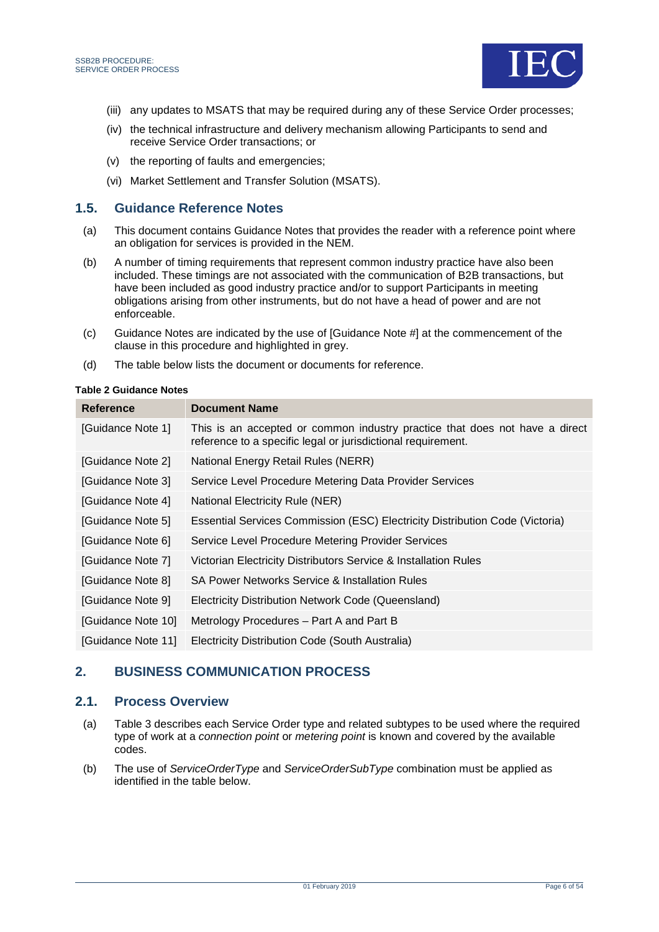

- (iii) any updates to MSATS that may be required during any of these Service Order processes;
- (iv) the technical infrastructure and delivery mechanism allowing Participants to send and receive Service Order transactions; or
- (v) the reporting of faults and emergencies;
- (vi) Market Settlement and Transfer Solution (MSATS).

#### <span id="page-5-0"></span>**1.5. Guidance Reference Notes**

- (a) This document contains Guidance Notes that provides the reader with a reference point where an obligation for services is provided in the NEM.
- (b) A number of timing requirements that represent common industry practice have also been included. These timings are not associated with the communication of B2B transactions, but have been included as good industry practice and/or to support Participants in meeting obligations arising from other instruments, but do not have a head of power and are not enforceable.
- (c) Guidance Notes are indicated by the use of [Guidance Note #] at the commencement of the clause in this procedure and highlighted in grey.
- (d) The table below lists the document or documents for reference.

#### <span id="page-5-3"></span>**Table 2 Guidance Notes**

| <b>Reference</b>   | <b>Document Name</b>                                                                                                                        |
|--------------------|---------------------------------------------------------------------------------------------------------------------------------------------|
| [Guidance Note 1]  | This is an accepted or common industry practice that does not have a direct<br>reference to a specific legal or jurisdictional requirement. |
| [Guidance Note 2]  | National Energy Retail Rules (NERR)                                                                                                         |
| [Guidance Note 3]  | Service Level Procedure Metering Data Provider Services                                                                                     |
| [Guidance Note 4]  | National Electricity Rule (NER)                                                                                                             |
| [Guidance Note 5]  | Essential Services Commission (ESC) Electricity Distribution Code (Victoria)                                                                |
| [Guidance Note 6]  | Service Level Procedure Metering Provider Services                                                                                          |
| [Guidance Note 7]  | Victorian Electricity Distributors Service & Installation Rules                                                                             |
| [Guidance Note 8]  | SA Power Networks Service & Installation Rules                                                                                              |
| [Guidance Note 9]  | Electricity Distribution Network Code (Queensland)                                                                                          |
| [Guidance Note 10] | Metrology Procedures - Part A and Part B                                                                                                    |
| [Guidance Note 11] | Electricity Distribution Code (South Australia)                                                                                             |

### <span id="page-5-1"></span>**2. BUSINESS COMMUNICATION PROCESS**

### <span id="page-5-2"></span>**2.1. Process Overview**

- (a) [Table 3](#page-6-0) describes each Service Order type and related subtypes to be used where the required type of work at a *connection point* or *metering point* is known and covered by the available codes.
- (b) The use of *ServiceOrderType* and *ServiceOrderSubType* combination must be applied as identified in the table below.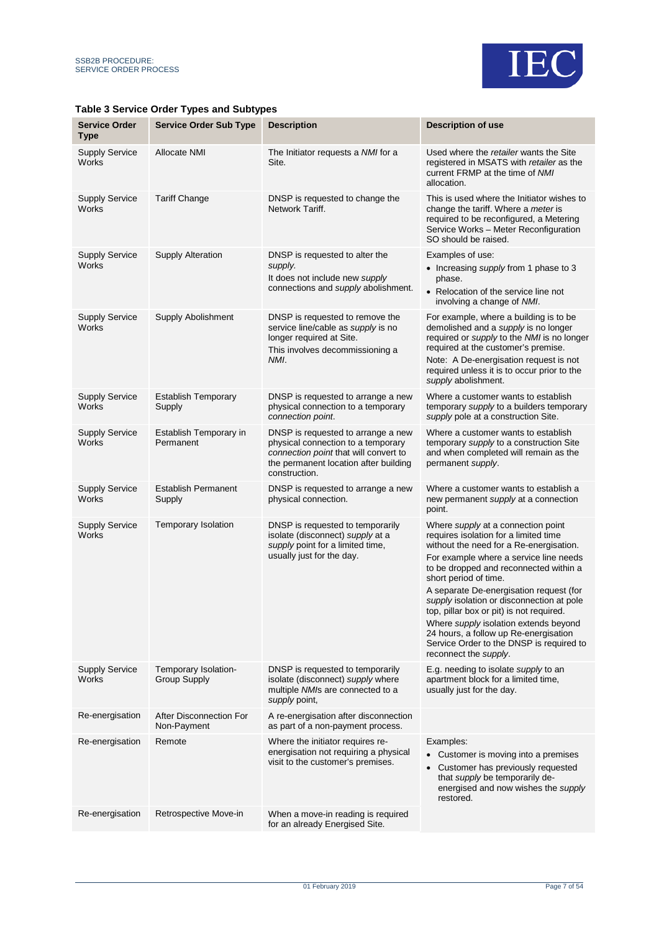

#### <span id="page-6-0"></span>**Table 3 Service Order Types and Subtypes**

| <b>Service Order</b><br><b>Type</b>   | <b>Service Order Sub Type</b>               | <b>Description</b>                                                                                                                                                          | <b>Description of use</b>                                                                                                                                                                                                                                                                                                                                                                                                                                                                                                      |
|---------------------------------------|---------------------------------------------|-----------------------------------------------------------------------------------------------------------------------------------------------------------------------------|--------------------------------------------------------------------------------------------------------------------------------------------------------------------------------------------------------------------------------------------------------------------------------------------------------------------------------------------------------------------------------------------------------------------------------------------------------------------------------------------------------------------------------|
| <b>Supply Service</b><br>Works        | <b>Allocate NMI</b>                         | The Initiator requests a NMI for a<br>Site.                                                                                                                                 | Used where the retailer wants the Site<br>registered in MSATS with retailer as the<br>current FRMP at the time of NMI<br>allocation.                                                                                                                                                                                                                                                                                                                                                                                           |
| <b>Supply Service</b><br>Works        | <b>Tariff Change</b>                        | DNSP is requested to change the<br>Network Tariff.                                                                                                                          | This is used where the Initiator wishes to<br>change the tariff. Where a meter is<br>required to be reconfigured, a Metering<br>Service Works - Meter Reconfiguration<br>SO should be raised.                                                                                                                                                                                                                                                                                                                                  |
| <b>Supply Service</b><br><b>Works</b> | <b>Supply Alteration</b>                    | DNSP is requested to alter the<br>supply.<br>It does not include new supply<br>connections and supply abolishment.                                                          | Examples of use:<br>• Increasing supply from 1 phase to 3<br>phase.<br>• Relocation of the service line not<br>involving a change of NMI.                                                                                                                                                                                                                                                                                                                                                                                      |
| <b>Supply Service</b><br>Works        | Supply Abolishment                          | DNSP is requested to remove the<br>service line/cable as supply is no<br>longer required at Site.<br>This involves decommissioning a<br>NMI.                                | For example, where a building is to be<br>demolished and a <i>supply</i> is no longer<br>required or <i>supply</i> to the <i>NMI</i> is no longer<br>required at the customer's premise.<br>Note: A De-energisation request is not<br>required unless it is to occur prior to the<br>supply abolishment.                                                                                                                                                                                                                       |
| <b>Supply Service</b><br>Works        | <b>Establish Temporary</b><br>Supply        | DNSP is requested to arrange a new<br>physical connection to a temporary<br>connection point.                                                                               | Where a customer wants to establish<br>temporary supply to a builders temporary<br>supply pole at a construction Site.                                                                                                                                                                                                                                                                                                                                                                                                         |
| <b>Supply Service</b><br>Works        | Establish Temporary in<br>Permanent         | DNSP is requested to arrange a new<br>physical connection to a temporary<br>connection point that will convert to<br>the permanent location after building<br>construction. | Where a customer wants to establish<br>temporary <i>supply</i> to a construction Site<br>and when completed will remain as the<br>permanent supply.                                                                                                                                                                                                                                                                                                                                                                            |
| <b>Supply Service</b><br>Works        | <b>Establish Permanent</b><br>Supply        | DNSP is requested to arrange a new<br>physical connection.                                                                                                                  | Where a customer wants to establish a<br>new permanent supply at a connection<br>point.                                                                                                                                                                                                                                                                                                                                                                                                                                        |
| <b>Supply Service</b><br>Works        | Temporary Isolation                         | DNSP is requested to temporarily<br>isolate (disconnect) supply at a<br>supply point for a limited time,<br>usually just for the day.                                       | Where supply at a connection point<br>requires isolation for a limited time<br>without the need for a Re-energisation.<br>For example where a service line needs<br>to be dropped and reconnected within a<br>short period of time.<br>A separate De-energisation request (for<br>supply isolation or disconnection at pole<br>top, pillar box or pit) is not required.<br>Where supply isolation extends beyond<br>24 hours, a follow up Re-energisation<br>Service Order to the DNSP is required to<br>reconnect the supply. |
| <b>Supply Service</b><br><b>Works</b> | Temporary Isolation-<br><b>Group Supply</b> | DNSP is requested to temporarily<br>isolate (disconnect) supply where<br>multiple NMIs are connected to a<br>supply point,                                                  | E.g. needing to isolate supply to an<br>apartment block for a limited time,<br>usually just for the day.                                                                                                                                                                                                                                                                                                                                                                                                                       |
| Re-energisation                       | After Disconnection For<br>Non-Payment      | A re-energisation after disconnection<br>as part of a non-payment process.                                                                                                  |                                                                                                                                                                                                                                                                                                                                                                                                                                                                                                                                |
| Re-energisation                       | Remote                                      | Where the initiator requires re-<br>energisation not requiring a physical<br>visit to the customer's premises.                                                              | Examples:<br>• Customer is moving into a premises<br>Customer has previously requested<br>$\bullet$<br>that supply be temporarily de-<br>energised and now wishes the supply<br>restored.                                                                                                                                                                                                                                                                                                                                      |
| Re-energisation                       | Retrospective Move-in                       | When a move-in reading is required<br>for an already Energised Site.                                                                                                        |                                                                                                                                                                                                                                                                                                                                                                                                                                                                                                                                |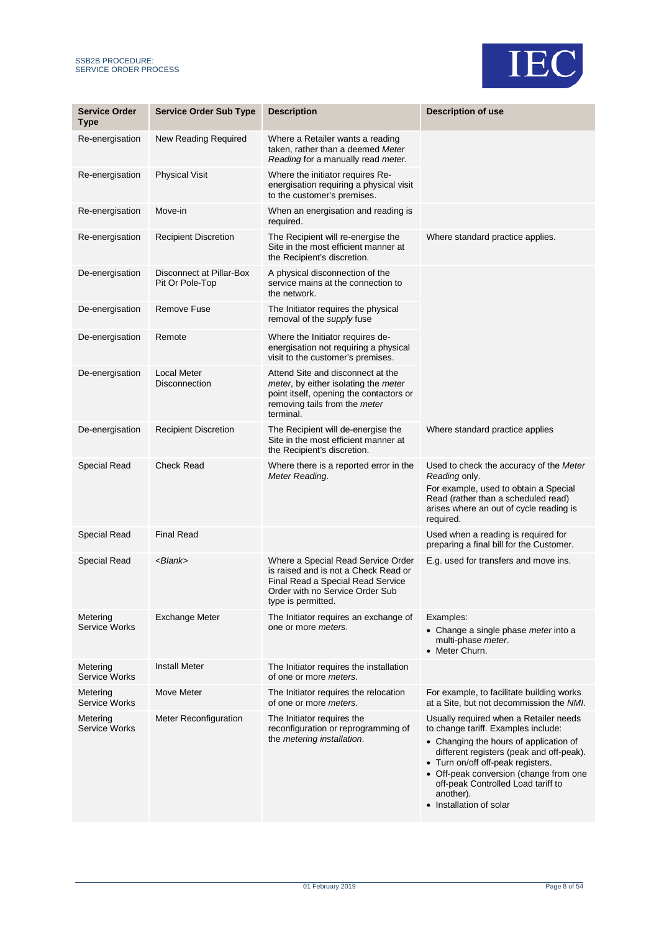



| <b>Service Order</b><br><b>Type</b> | <b>Service Order Sub Type</b>               | <b>Description</b>                                                                                                                                                        | <b>Description of use</b>                                                                                                                                                                                                                                                                                                        |
|-------------------------------------|---------------------------------------------|---------------------------------------------------------------------------------------------------------------------------------------------------------------------------|----------------------------------------------------------------------------------------------------------------------------------------------------------------------------------------------------------------------------------------------------------------------------------------------------------------------------------|
| Re-energisation                     | New Reading Required                        | Where a Retailer wants a reading<br>taken, rather than a deemed Meter<br>Reading for a manually read meter.                                                               |                                                                                                                                                                                                                                                                                                                                  |
| Re-energisation                     | <b>Physical Visit</b>                       | Where the initiator requires Re-<br>energisation requiring a physical visit<br>to the customer's premises.                                                                |                                                                                                                                                                                                                                                                                                                                  |
| Re-energisation                     | Move-in                                     | When an energisation and reading is<br>required.                                                                                                                          |                                                                                                                                                                                                                                                                                                                                  |
| Re-energisation                     | <b>Recipient Discretion</b>                 | The Recipient will re-energise the<br>Site in the most efficient manner at<br>the Recipient's discretion.                                                                 | Where standard practice applies.                                                                                                                                                                                                                                                                                                 |
| De-energisation                     | Disconnect at Pillar-Box<br>Pit Or Pole-Top | A physical disconnection of the<br>service mains at the connection to<br>the network.                                                                                     |                                                                                                                                                                                                                                                                                                                                  |
| De-energisation                     | <b>Remove Fuse</b>                          | The Initiator requires the physical<br>removal of the supply fuse                                                                                                         |                                                                                                                                                                                                                                                                                                                                  |
| De-energisation                     | Remote                                      | Where the Initiator requires de-<br>energisation not requiring a physical<br>visit to the customer's premises.                                                            |                                                                                                                                                                                                                                                                                                                                  |
| De-energisation                     | Local Meter<br><b>Disconnection</b>         | Attend Site and disconnect at the<br>meter, by either isolating the meter<br>point itself, opening the contactors or<br>removing tails from the <i>meter</i><br>terminal. |                                                                                                                                                                                                                                                                                                                                  |
| De-energisation                     | <b>Recipient Discretion</b>                 | The Recipient will de-energise the<br>Site in the most efficient manner at<br>the Recipient's discretion.                                                                 | Where standard practice applies                                                                                                                                                                                                                                                                                                  |
| <b>Special Read</b>                 | <b>Check Read</b>                           | Where there is a reported error in the<br>Meter Reading.                                                                                                                  | Used to check the accuracy of the Meter<br>Reading only.<br>For example, used to obtain a Special<br>Read (rather than a scheduled read)<br>arises where an out of cycle reading is<br>required.                                                                                                                                 |
| Special Read                        | <b>Final Read</b>                           |                                                                                                                                                                           | Used when a reading is required for<br>preparing a final bill for the Customer.                                                                                                                                                                                                                                                  |
| <b>Special Read</b>                 | <blank></blank>                             | Where a Special Read Service Order<br>is raised and is not a Check Read or<br>Final Read a Special Read Service<br>Order with no Service Order Sub<br>type is permitted.  | E.g. used for transfers and move ins.                                                                                                                                                                                                                                                                                            |
| Metering<br><b>Service Works</b>    | <b>Exchange Meter</b>                       | The Initiator requires an exchange of<br>one or more <i>meters</i> .                                                                                                      | Examples:<br>• Change a single phase meter into a<br>multi-phase meter.<br>• Meter Churn.                                                                                                                                                                                                                                        |
| Metering<br><b>Service Works</b>    | <b>Install Meter</b>                        | The Initiator requires the installation<br>of one or more <i>meters</i> .                                                                                                 |                                                                                                                                                                                                                                                                                                                                  |
| Metering<br><b>Service Works</b>    | Move Meter                                  | The Initiator requires the relocation<br>of one or more <i>meters</i> .                                                                                                   | For example, to facilitate building works<br>at a Site, but not decommission the NMI.                                                                                                                                                                                                                                            |
| Metering<br><b>Service Works</b>    | Meter Reconfiguration                       | The Initiator requires the<br>reconfiguration or reprogramming of<br>the metering installation.                                                                           | Usually required when a Retailer needs<br>to change tariff. Examples include:<br>• Changing the hours of application of<br>different registers (peak and off-peak).<br>• Turn on/off off-peak registers.<br>• Off-peak conversion (change from one<br>off-peak Controlled Load tariff to<br>another).<br>• Installation of solar |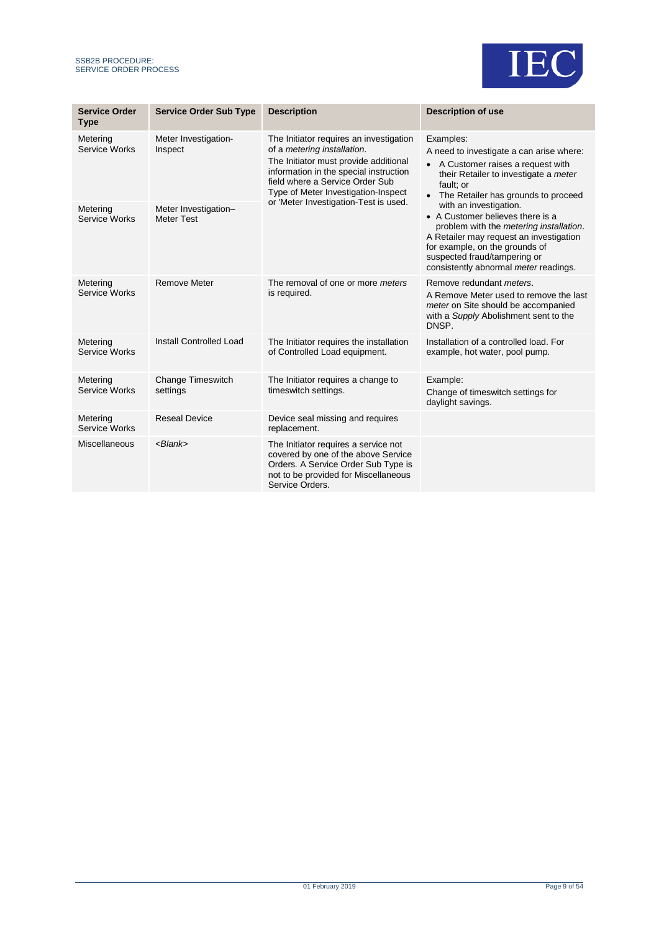

| <b>Service Order</b><br><b>Type</b> | <b>Service Order Sub Type</b>             | <b>Description</b>                                                                                                                                                                                                                                                           | <b>Description of use</b>                                                                                                                                                                                                                                   |
|-------------------------------------|-------------------------------------------|------------------------------------------------------------------------------------------------------------------------------------------------------------------------------------------------------------------------------------------------------------------------------|-------------------------------------------------------------------------------------------------------------------------------------------------------------------------------------------------------------------------------------------------------------|
| Metering<br><b>Service Works</b>    | Meter Investigation-<br>Inspect           | The Initiator requires an investigation<br>of a metering installation.<br>The Initiator must provide additional<br>information in the special instruction<br>field where a Service Order Sub<br>Type of Meter Investigation-Inspect<br>or 'Meter Investigation-Test is used. | Examples:<br>A need to investigate a can arise where:<br>• A Customer raises a request with<br>their Retailer to investigate a meter<br>fault; or<br>• The Retailer has grounds to proceed                                                                  |
| Metering<br>Service Works           | Meter Investigation-<br><b>Meter Test</b> |                                                                                                                                                                                                                                                                              | with an investigation.<br>• A Customer believes there is a<br>problem with the metering installation.<br>A Retailer may request an investigation<br>for example, on the grounds of<br>suspected fraud/tampering or<br>consistently abnormal meter readings. |
| Metering<br>Service Works           | <b>Remove Meter</b>                       | The removal of one or more meters<br>is required.                                                                                                                                                                                                                            | Remove redundant <i>meters</i> .<br>A Remove Meter used to remove the last<br>meter on Site should be accompanied<br>with a Supply Abolishment sent to the<br>DNSP.                                                                                         |
| Metering<br>Service Works           | Install Controlled Load                   | The Initiator requires the installation<br>of Controlled Load equipment.                                                                                                                                                                                                     | Installation of a controlled load. For<br>example, hot water, pool pump.                                                                                                                                                                                    |
| Metering<br>Service Works           | Change Timeswitch<br>settings             | The Initiator requires a change to<br>timeswitch settings.                                                                                                                                                                                                                   | Example:<br>Change of timeswitch settings for<br>daylight savings.                                                                                                                                                                                          |
| Metering<br><b>Service Works</b>    | <b>Reseal Device</b>                      | Device seal missing and requires<br>replacement.                                                                                                                                                                                                                             |                                                                                                                                                                                                                                                             |
| Miscellaneous                       | $<$ Blank $>$                             | The Initiator requires a service not<br>covered by one of the above Service<br>Orders. A Service Order Sub Type is<br>not to be provided for Miscellaneous<br>Service Orders.                                                                                                |                                                                                                                                                                                                                                                             |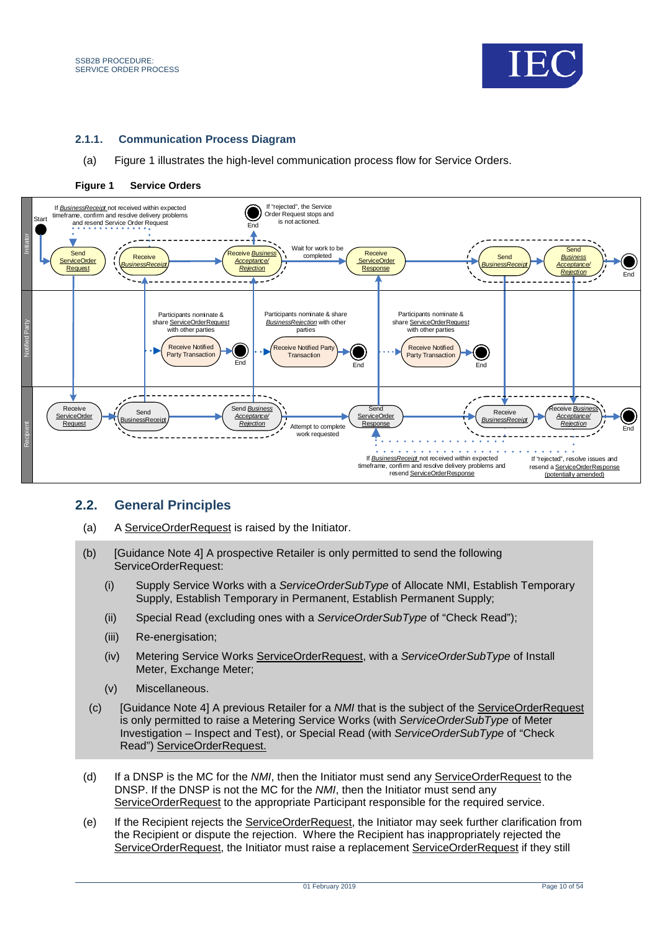



#### **2.1.1.** Communication Process Diagram

(a) Figure 1 illustrates the high-level communication process flow for Service Orders.



#### <span id="page-9-1"></span>**Figure 1 Service Orders**

### <span id="page-9-0"></span>**2.2. General Principles**

- (a) A ServiceOrderRequest is raised by the Initiator.
- (b) [Guidance Note 4] A prospective Retailer is only permitted to send the following ServiceOrderRequest:
	- (i) Supply Service Works with a *ServiceOrderSubType* of Allocate NMI, Establish Temporary Supply, Establish Temporary in Permanent, Establish Permanent Supply;
	- (ii) Special Read (excluding ones with a *ServiceOrderSubType* of "Check Read");
	- (iii) Re-energisation:
	- (iv) Metering Service Works ServiceOrderRequest, with a *ServiceOrderSubType* of Install Meter, Exchange Meter;
	- (v) Miscellaneous.
- (c) [Guidance Note 4] A previous Retailer for a *NMI* that is the subject of the ServiceOrderRequest is only permitted to raise a Metering Service Works (with *ServiceOrderSubType* of Meter Investigation – Inspect and Test), or Special Read (with *ServiceOrderSubType* of "Check Read") ServiceOrderRequest.
- (d) If a DNSP is the MC for the *NMI*, then the Initiator must send any ServiceOrderRequest to the DNSP. If the DNSP is not the MC for the *NMI*, then the Initiator must send any ServiceOrderRequest to the appropriate Participant responsible for the required service.
- (e) If the Recipient rejects the ServiceOrderRequest, the Initiator may seek further clarification from the Recipient or dispute the rejection. Where the Recipient has inappropriately rejected the ServiceOrderRequest, the Initiator must raise a replacement ServiceOrderRequest if they still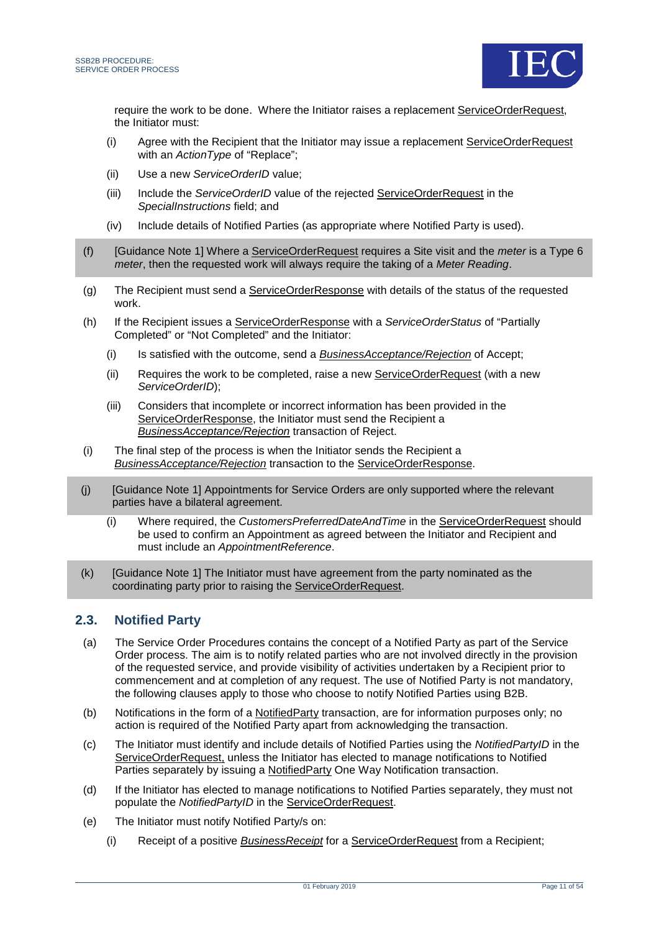

require the work to be done. Where the Initiator raises a replacement ServiceOrderRequest, the Initiator must:

- (i) Agree with the Recipient that the Initiator may issue a replacement ServiceOrderRequest with an *ActionType* of "Replace";
- (ii) Use a new *ServiceOrderID* value;
- (iii) Include the *ServiceOrderID* value of the rejected ServiceOrderRequest in the *SpecialInstructions* field; and
- (iv) Include details of Notified Parties (as appropriate where Notified Party is used).
- (f) [Guidance Note 1] Where a ServiceOrderRequest requires a Site visit and the *meter* is a Type 6 *meter*, then the requested work will always require the taking of a *Meter Reading*.
- (g) The Recipient must send a ServiceOrderResponse with details of the status of the requested work.
- (h) If the Recipient issues a ServiceOrderResponse with a *ServiceOrderStatus* of "Partially Completed" or "Not Completed" and the Initiator:
	- (i) Is satisfied with the outcome, send a *BusinessAcceptance/Rejection* of Accept;
	- (ii) Requires the work to be completed, raise a new ServiceOrderRequest (with a new *ServiceOrderID*);
	- (iii) Considers that incomplete or incorrect information has been provided in the ServiceOrderResponse, the Initiator must send the Recipient a *BusinessAcceptance/Rejection* transaction of Reject.
- (i) The final step of the process is when the Initiator sends the Recipient a *BusinessAcceptance/Rejection* transaction to the ServiceOrderResponse.
- (j) [Guidance Note 1] Appointments for Service Orders are only supported where the relevant parties have a bilateral agreement.
	- (i) Where required, the *CustomersPreferredDateAndTime* in the ServiceOrderRequest should be used to confirm an Appointment as agreed between the Initiator and Recipient and must include an *AppointmentReference*.
- (k) [Guidance Note 1] The Initiator must have agreement from the party nominated as the coordinating party prior to raising the ServiceOrderRequest.

## <span id="page-10-0"></span>**2.3. Notified Party**

- (a) The Service Order Procedures contains the concept of a Notified Party as part of the Service Order process. The aim is to notify related parties who are not involved directly in the provision of the requested service, and provide visibility of activities undertaken by a Recipient prior to commencement and at completion of any request. The use of Notified Party is not mandatory, the following clauses apply to those who choose to notify Notified Parties using B2B.
- (b) Notifications in the form of a NotifiedParty transaction, are for information purposes only; no action is required of the Notified Party apart from acknowledging the transaction.
- (c) The Initiator must identify and include details of Notified Parties using the *NotifiedPartyID* in the ServiceOrderRequest, unless the Initiator has elected to manage notifications to Notified Parties separately by issuing a NotifiedParty One Way Notification transaction.
- (d) If the Initiator has elected to manage notifications to Notified Parties separately, they must not populate the *NotifiedPartyID* in the ServiceOrderRequest.
- (e) The Initiator must notify Notified Party/s on:
	- (i) Receipt of a positive *BusinessReceipt* for a ServiceOrderRequest from a Recipient;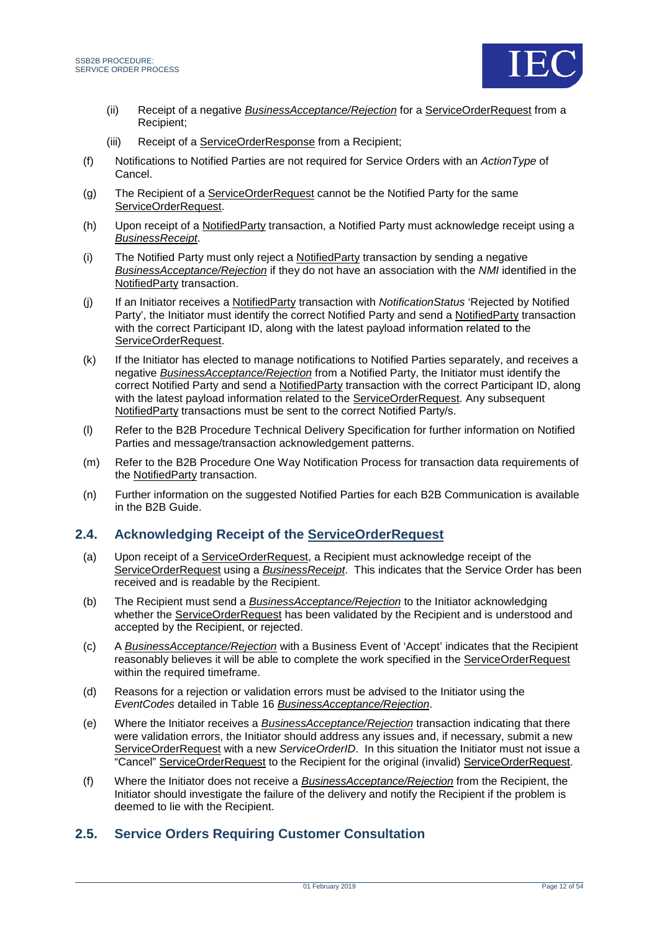



- (ii) Receipt of a negative *BusinessAcceptance/Rejection* for a ServiceOrderRequest from a Recipient;
- (iii) Receipt of a ServiceOrderResponse from a Recipient;
- (f) Notifications to Notified Parties are not required for Service Orders with an *ActionType* of Cancel.
- (g) The Recipient of a ServiceOrderRequest cannot be the Notified Party for the same ServiceOrderRequest.
- (h) Upon receipt of a NotifiedParty transaction, a Notified Party must acknowledge receipt using a *BusinessReceipt*.
- (i) The Notified Party must only reject a NotifiedParty transaction by sending a negative *BusinessAcceptance/Rejection* if they do not have an association with the *NMI* identified in the NotifiedParty transaction.
- (j) If an Initiator receives a NotifiedParty transaction with *NotificationStatus* 'Rejected by Notified Party', the Initiator must identify the correct Notified Party and send a NotifiedParty transaction with the correct Participant ID, along with the latest payload information related to the ServiceOrderRequest.
- (k) If the Initiator has elected to manage notifications to Notified Parties separately, and receives a negative *BusinessAcceptance/Rejection* from a Notified Party, the Initiator must identify the correct Notified Party and send a NotifiedParty transaction with the correct Participant ID, along with the latest payload information related to the ServiceOrderRequest. Any subsequent NotifiedParty transactions must be sent to the correct Notified Party/s.
- (l) Refer to the B2B Procedure Technical Delivery Specification for further information on Notified Parties and message/transaction acknowledgement patterns.
- (m) Refer to the B2B Procedure One Way Notification Process for transaction data requirements of the NotifiedParty transaction.
- (n) Further information on the suggested Notified Parties for each B2B Communication is available in the B2B Guide.

### <span id="page-11-0"></span>**2.4. Acknowledging Receipt of the ServiceOrderRequest**

- (a) Upon receipt of a ServiceOrderRequest, a Recipient must acknowledge receipt of the ServiceOrderRequest using a *BusinessReceipt*. This indicates that the Service Order has been received and is readable by the Recipient.
- (b) The Recipient must send a *BusinessAcceptance/Rejection* to the Initiator acknowledging whether the ServiceOrderRequest has been validated by the Recipient and is understood and accepted by the Recipient, or rejected.
- (c) A *BusinessAcceptance/Rejection* with a Business Event of 'Accept' indicates that the Recipient reasonably believes it will be able to complete the work specified in the ServiceOrderRequest within the required timeframe.
- (d) Reasons for a rejection or validation errors must be advised to the Initiator using the *EventCodes* detailed in [Table 16](#page-51-0) *BusinessAcceptance/Rejection*.
- (e) Where the Initiator receives a *BusinessAcceptance/Rejection* transaction indicating that there were validation errors, the Initiator should address any issues and, if necessary, submit a new ServiceOrderRequest with a new *ServiceOrderID*. In this situation the Initiator must not issue a "Cancel" ServiceOrderRequest to the Recipient for the original (invalid) ServiceOrderRequest.
- (f) Where the Initiator does not receive a *BusinessAcceptance/Rejection* from the Recipient, the Initiator should investigate the failure of the delivery and notify the Recipient if the problem is deemed to lie with the Recipient.

## <span id="page-11-1"></span>**2.5. Service Orders Requiring Customer Consultation**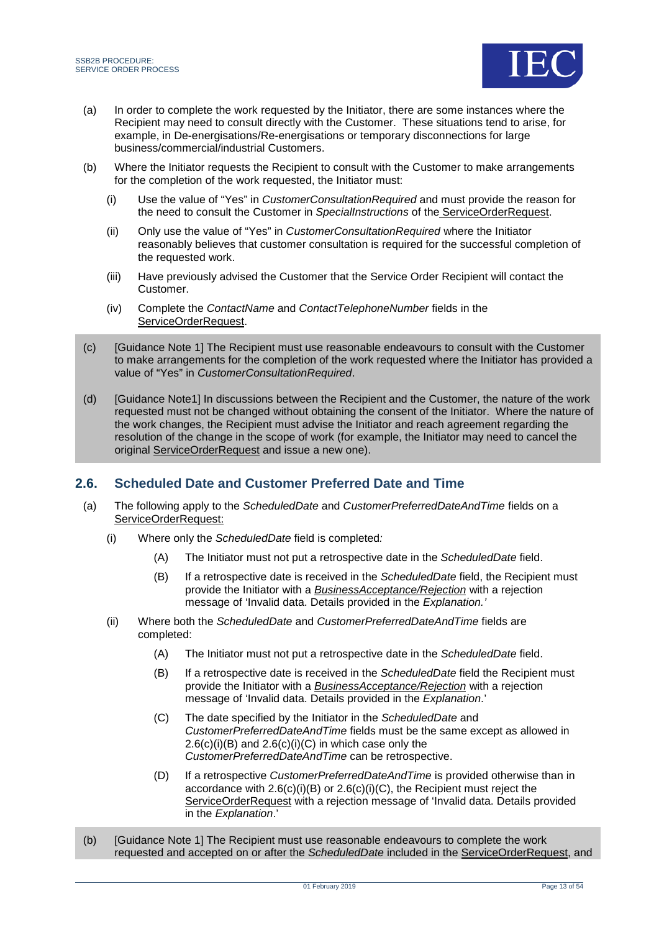

- (a) In order to complete the work requested by the Initiator, there are some instances where the Recipient may need to consult directly with the Customer. These situations tend to arise, for example, in De-energisations/Re-energisations or temporary disconnections for large business/commercial/industrial Customers.
- (b) Where the Initiator requests the Recipient to consult with the Customer to make arrangements for the completion of the work requested, the Initiator must:
	- (i) Use the value of "Yes" in *CustomerConsultationRequired* and must provide the reason for the need to consult the Customer in *SpecialInstructions* of the ServiceOrderRequest.
	- (ii) Only use the value of "Yes" in *CustomerConsultationRequired* where the Initiator reasonably believes that customer consultation is required for the successful completion of the requested work.
	- (iii) Have previously advised the Customer that the Service Order Recipient will contact the Customer.
	- (iv) Complete the *ContactName* and *ContactTelephoneNumber* fields in the ServiceOrderRequest.
- (c) [Guidance Note 1] The Recipient must use reasonable endeavours to consult with the Customer to make arrangements for the completion of the work requested where the Initiator has provided a value of "Yes" in *CustomerConsultationRequired*.
- (d) [Guidance Note1] In discussions between the Recipient and the Customer, the nature of the work requested must not be changed without obtaining the consent of the Initiator. Where the nature of the work changes, the Recipient must advise the Initiator and reach agreement regarding the resolution of the change in the scope of work (for example, the Initiator may need to cancel the original ServiceOrderRequest and issue a new one).

## <span id="page-12-0"></span>**2.6. Scheduled Date and Customer Preferred Date and Time**

- (a) The following apply to the *ScheduledDate* and *CustomerPreferredDateAndTime* fields on a ServiceOrderRequest:
	- (i) Where only the *ScheduledDate* field is completed*:*
		- (A) The Initiator must not put a retrospective date in the *ScheduledDate* field.
		- (B) If a retrospective date is received in the *ScheduledDate* field, the Recipient must provide the Initiator with a *BusinessAcceptance/Rejection* with a rejection message of 'Invalid data. Details provided in the *Explanation.'*
	- (ii) Where both the *ScheduledDate* and *CustomerPreferredDateAndTime* fields are completed:
		- (A) The Initiator must not put a retrospective date in the *ScheduledDate* field.
		- (B) If a retrospective date is received in the *ScheduledDate* field the Recipient must provide the Initiator with a *BusinessAcceptance/Rejection* with a rejection message of 'Invalid data. Details provided in the *Explanation*.'
		- (C) The date specified by the Initiator in the *ScheduledDate* and *CustomerPreferredDateAndTime* fields must be the same except as allowed in  $2.6(c)(i)(B)$  and  $2.6(c)(i)(C)$  in which case only the *CustomerPreferredDateAndTime* can be retrospective.
		- (D) If a retrospective *CustomerPreferredDateAndTime* is provided otherwise than in accordance with  $2.6(c)(i)(B)$  or  $2.6(c)(i)(C)$ , the Recipient must reject the ServiceOrderRequest with a rejection message of 'Invalid data. Details provided in the *Explanation*.'
- (b) [Guidance Note 1] The Recipient must use reasonable endeavours to complete the work requested and accepted on or after the *ScheduledDate* included in the ServiceOrderRequest, and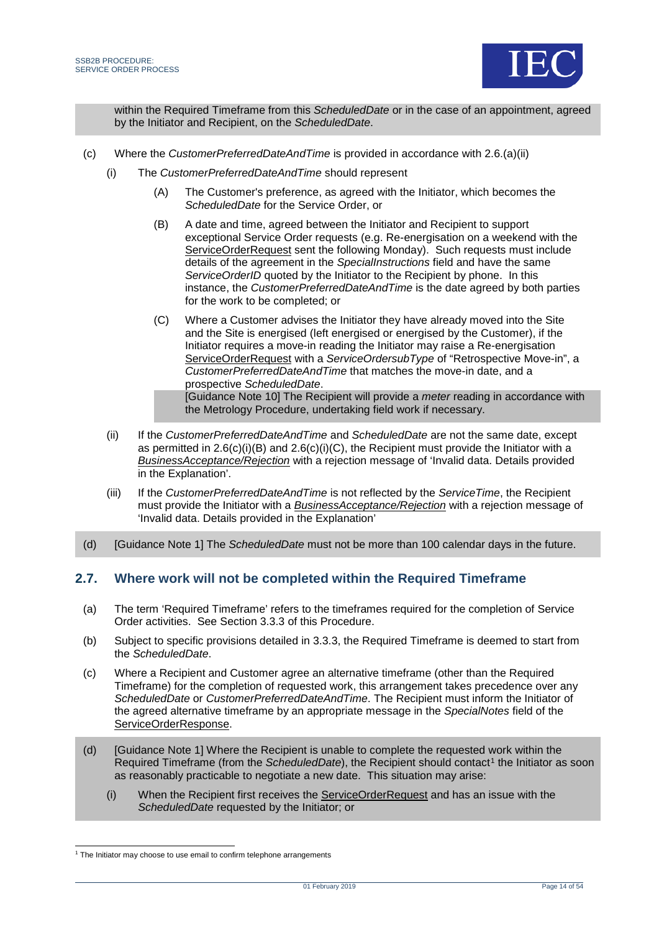

within the Required Timeframe from this *ScheduledDate* or in the case of an appointment, agreed by the Initiator and Recipient, on the *ScheduledDate*.

- (c) Where the *CustomerPreferredDateAndTime* is provided in accordance with 2.6.(a)(ii)
	- (i) The *CustomerPreferredDateAndTime* should represent
		- (A) The Customer's preference, as agreed with the Initiator, which becomes the *ScheduledDate* for the Service Order, or
		- (B) A date and time, agreed between the Initiator and Recipient to support exceptional Service Order requests (e.g. Re-energisation on a weekend with the ServiceOrderRequest sent the following Monday). Such requests must include details of the agreement in the *SpecialInstructions* field and have the same *ServiceOrderID* quoted by the Initiator to the Recipient by phone. In this instance, the *CustomerPreferredDateAndTime* is the date agreed by both parties for the work to be completed; or
		- (C) Where a Customer advises the Initiator they have already moved into the Site and the Site is energised (left energised or energised by the Customer), if the Initiator requires a move-in reading the Initiator may raise a Re-energisation ServiceOrderRequest with a *ServiceOrdersubType* of "Retrospective Move-in", a *CustomerPreferredDateAndTime* that matches the move-in date, and a prospective *ScheduledDate*.

[Guidance Note 10] The Recipient will provide a *meter* reading in accordance with the Metrology Procedure, undertaking field work if necessary.

- (ii) If the *CustomerPreferredDateAndTime* and *ScheduledDate* are not the same date, except as permitted in [2.6\(c\)\(i\)\(B\)](#page-12-0) and [2.6\(c\)\(i\)\(C\),](#page-12-0) the Recipient must provide the Initiator with a *BusinessAcceptance/Rejection* with a rejection message of 'Invalid data. Details provided in the Explanation'.
- (iii) If the *CustomerPreferredDateAndTime* is not reflected by the *ServiceTime*, the Recipient must provide the Initiator with a *BusinessAcceptance/Rejection* with a rejection message of 'Invalid data. Details provided in the Explanation'
- (d) [Guidance Note 1] The *ScheduledDate* must not be more than 100 calendar days in the future.

### <span id="page-13-0"></span>**2.7. Where work will not be completed within the Required Timeframe**

- (a) The term 'Required Timeframe' refers to the timeframes required for the completion of Service Order activities. See Section [3.3.3](#page-30-0) of this Procedure.
- (b) Subject to specific provisions detailed in [3.3.3,](#page-30-0) the Required Timeframe is deemed to start from the *ScheduledDate*.
- (c) Where a Recipient and Customer agree an alternative timeframe (other than the Required Timeframe) for the completion of requested work, this arrangement takes precedence over any *ScheduledDate* or *CustomerPreferredDateAndTime*. The Recipient must inform the Initiator of the agreed alternative timeframe by an appropriate message in the *SpecialNotes* field of the ServiceOrderResponse.
- (d) [Guidance Note 1] Where the Recipient is unable to complete the requested work within the Required Timeframe (from the *ScheduledDate*), the Recipient should contact<sup>[1](#page-13-1)</sup> the Initiator as soon as reasonably practicable to negotiate a new date. This situation may arise:
	- (i) When the Recipient first receives the ServiceOrderRequest and has an issue with the *ScheduledDate* requested by the Initiator; or

<span id="page-13-1"></span><sup>&</sup>lt;sup>1</sup> The Initiator may choose to use email to confirm telephone arrangements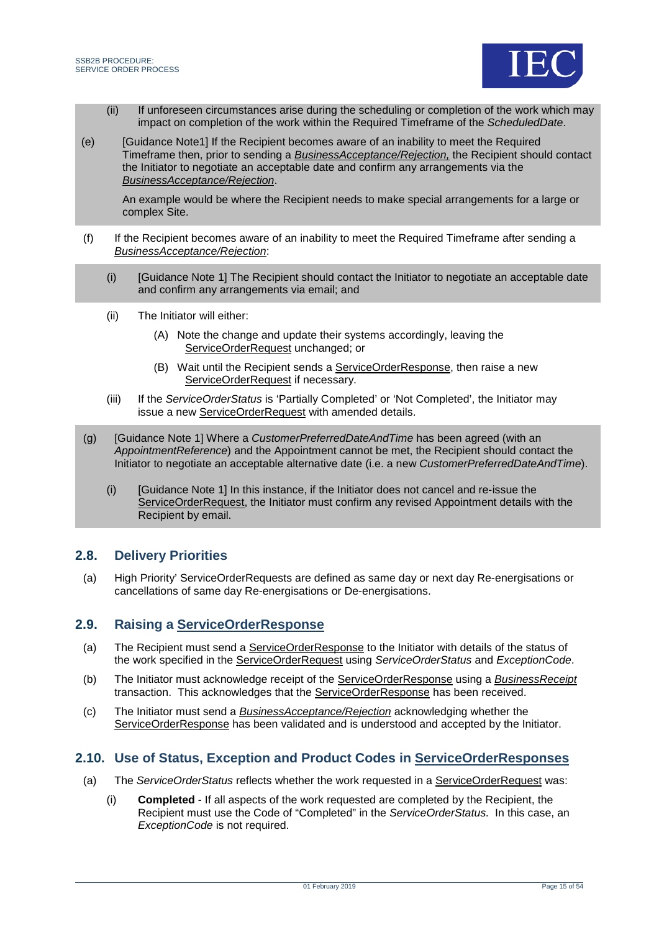

- (ii) If unforeseen circumstances arise during the scheduling or completion of the work which may impact on completion of the work within the Required Timeframe of the *ScheduledDate*.
- (e) [Guidance Note1] If the Recipient becomes aware of an inability to meet the Required Timeframe then, prior to sending a *BusinessAcceptance/Rejection,* the Recipient should contact the Initiator to negotiate an acceptable date and confirm any arrangements via the *BusinessAcceptance/Rejection*.

An example would be where the Recipient needs to make special arrangements for a large or complex Site.

- (f) If the Recipient becomes aware of an inability to meet the Required Timeframe after sending a *BusinessAcceptance/Rejection*:
	- (i) [Guidance Note 1] The Recipient should contact the Initiator to negotiate an acceptable date and confirm any arrangements via email; and
	- (ii) The Initiator will either:
		- (A) Note the change and update their systems accordingly, leaving the ServiceOrderRequest unchanged; or
		- (B) Wait until the Recipient sends a ServiceOrderResponse, then raise a new ServiceOrderRequest if necessary.
	- (iii) If the *ServiceOrderStatus* is 'Partially Completed' or 'Not Completed', the Initiator may issue a new ServiceOrderRequest with amended details.
- (g) [Guidance Note 1] Where a *CustomerPreferredDateAndTime* has been agreed (with an *AppointmentReference*) and the Appointment cannot be met, the Recipient should contact the Initiator to negotiate an acceptable alternative date (i.e. a new *CustomerPreferredDateAndTime*).
	- (i) [Guidance Note 1] In this instance, if the Initiator does not cancel and re-issue the ServiceOrderRequest, the Initiator must confirm any revised Appointment details with the Recipient by email.

## <span id="page-14-0"></span>**2.8. Delivery Priorities**

(a) High Priority' ServiceOrderRequests are defined as same day or next day Re-energisations or cancellations of same day Re-energisations or De-energisations.

### **2.9. Raising a ServiceOrderResponse**

- (a) The Recipient must send a **ServiceOrderResponse** to the Initiator with details of the status of the work specified in the ServiceOrderRequest using *ServiceOrderStatus* and *ExceptionCode*.
- (b) The Initiator must acknowledge receipt of the ServiceOrderResponse using a *BusinessReceipt* transaction. This acknowledges that the ServiceOrderResponse has been received.
- (c) The Initiator must send a *BusinessAcceptance/Rejection* acknowledging whether the ServiceOrderResponse has been validated and is understood and accepted by the Initiator.

### <span id="page-14-1"></span>**2.10. Use of Status, Exception and Product Codes in ServiceOrderResponses**

- (a) The *ServiceOrderStatus* reflects whether the work requested in a ServiceOrderRequest was:
	- (i) **Completed** If all aspects of the work requested are completed by the Recipient, the Recipient must use the Code of "Completed" in the *ServiceOrderStatus.* In this case, an *ExceptionCode* is not required.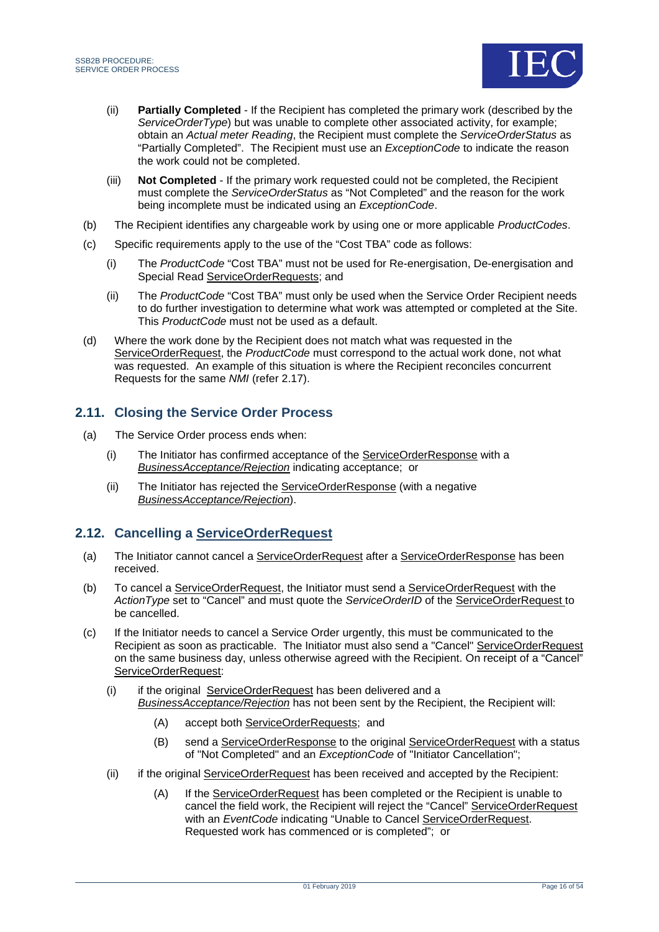

- (ii) **Partially Completed** If the Recipient has completed the primary work (described by the *ServiceOrderType*) but was unable to complete other associated activity, for example; obtain an *Actual meter Reading*, the Recipient must complete the *ServiceOrderStatus* as "Partially Completed". The Recipient must use an *ExceptionCode* to indicate the reason the work could not be completed.
- (iii) **Not Completed** If the primary work requested could not be completed, the Recipient must complete the *ServiceOrderStatus* as "Not Completed" and the reason for the work being incomplete must be indicated using an *ExceptionCode*.
- (b) The Recipient identifies any chargeable work by using one or more applicable *ProductCodes*.
- (c) Specific requirements apply to the use of the "Cost TBA" code as follows:
	- (i) The *ProductCode* "Cost TBA" must not be used for Re-energisation, De-energisation and Special Read ServiceOrderRequests; and
	- (ii) The *ProductCode* "Cost TBA" must only be used when the Service Order Recipient needs to do further investigation to determine what work was attempted or completed at the Site. This *ProductCode* must not be used as a default.
- (d) Where the work done by the Recipient does not match what was requested in the ServiceOrderRequest, the *ProductCode* must correspond to the actual work done, not what was requested. An example of this situation is where the Recipient reconciles concurrent Requests for the same *NMI* (refer [2.17\)](#page-21-0).

## <span id="page-15-0"></span>**2.11. Closing the Service Order Process**

- (a) The Service Order process ends when:
	- (i) The Initiator has confirmed acceptance of the ServiceOrderResponse with a *BusinessAcceptance/Rejection* indicating acceptance; or
	- (ii) The Initiator has rejected the ServiceOrderResponse (with a negative *BusinessAcceptance/Rejection*).

## <span id="page-15-1"></span>**2.12. Cancelling a ServiceOrderRequest**

- (a) The Initiator cannot cancel a ServiceOrderRequest after a ServiceOrderResponse has been received.
- (b) To cancel a ServiceOrderRequest, the Initiator must send a ServiceOrderRequest with the *ActionType* set to "Cancel" and must quote the *ServiceOrderID* of the ServiceOrderRequest to be cancelled.
- (c) If the Initiator needs to cancel a Service Order urgently, this must be communicated to the Recipient as soon as practicable. The Initiator must also send a "Cancel" ServiceOrderRequest on the same business day, unless otherwise agreed with the Recipient. On receipt of a "Cancel" ServiceOrderRequest:
	- (i) if the original ServiceOrderRequest has been delivered and a *BusinessAcceptance/Rejection* has not been sent by the Recipient, the Recipient will:
		- (A) accept both ServiceOrderRequests; and
		- (B) send a **ServiceOrderResponse** to the original **ServiceOrderRequest** with a status of "Not Completed" and an *ExceptionCode* of "Initiator Cancellation";
	- (ii) if the original ServiceOrderRequest has been received and accepted by the Recipient:
		- (A) If the ServiceOrderRequest has been completed or the Recipient is unable to cancel the field work, the Recipient will reject the "Cancel" ServiceOrderRequest with an *EventCode* indicating "Unable to Cancel ServiceOrderRequest. Requested work has commenced or is completed"; or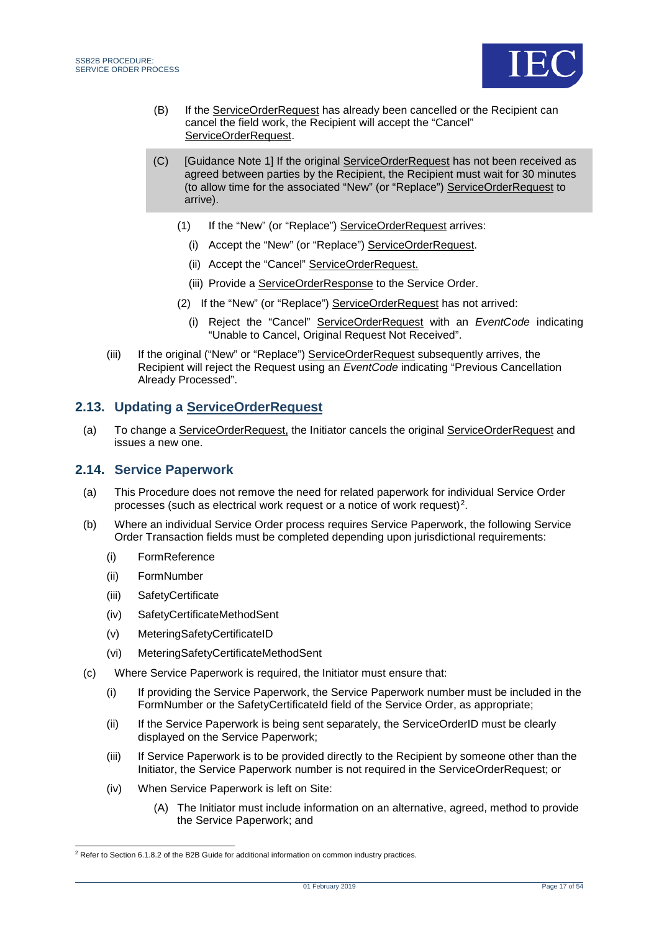

- (B) If the ServiceOrderRequest has already been cancelled or the Recipient can cancel the field work, the Recipient will accept the "Cancel" ServiceOrderRequest.
- (C) [Guidance Note 1] If the original ServiceOrderRequest has not been received as agreed between parties by the Recipient, the Recipient must wait for 30 minutes (to allow time for the associated "New" (or "Replace") ServiceOrderRequest to arrive).
	- (1) If the "New" (or "Replace") ServiceOrderRequest arrives:
		- (i) Accept the "New" (or "Replace") ServiceOrderRequest.
		- (ii) Accept the "Cancel" ServiceOrderRequest.
		- (iii) Provide a ServiceOrderResponse to the Service Order.
	- (2) If the "New" (or "Replace") ServiceOrderRequest has not arrived:
		- (i) Reject the "Cancel" ServiceOrderRequest with an *EventCode* indicating "Unable to Cancel, Original Request Not Received".
- (iii) If the original ("New" or "Replace") ServiceOrderRequest subsequently arrives, the Recipient will reject the Request using an *EventCode* indicating "Previous Cancellation Already Processed".

### <span id="page-16-0"></span>**2.13. Updating a ServiceOrderRequest**

(a) To change a ServiceOrderRequest, the Initiator cancels the original ServiceOrderRequest and issues a new one.

#### <span id="page-16-1"></span>**2.14. Service Paperwork**

- (a) This Procedure does not remove the need for related paperwork for individual Service Order processes (such as electrical work request or a notice of work request)[2](#page-16-2).
- (b) Where an individual Service Order process requires Service Paperwork, the following Service Order Transaction fields must be completed depending upon jurisdictional requirements:
	- (i) FormReference
	- (ii) FormNumber
	- (iii) SafetyCertificate
	- (iv) SafetyCertificateMethodSent
	- (v) MeteringSafetyCertificateID
	- (vi) MeteringSafetyCertificateMethodSent
- (c) Where Service Paperwork is required, the Initiator must ensure that:
	- (i) If providing the Service Paperwork, the Service Paperwork number must be included in the FormNumber or the SafetyCertificateId field of the Service Order, as appropriate;
	- (ii) If the Service Paperwork is being sent separately, the ServiceOrderID must be clearly displayed on the Service Paperwork;
	- (iii) If Service Paperwork is to be provided directly to the Recipient by someone other than the Initiator, the Service Paperwork number is not required in the ServiceOrderRequest; or
	- (iv) When Service Paperwork is left on Site:
		- (A) The Initiator must include information on an alternative, agreed, method to provide the Service Paperwork; and

<span id="page-16-2"></span><sup>&</sup>lt;sup>2</sup> Refer to Section 6.1.8.2 of the B2B Guide for additional information on common industry practices.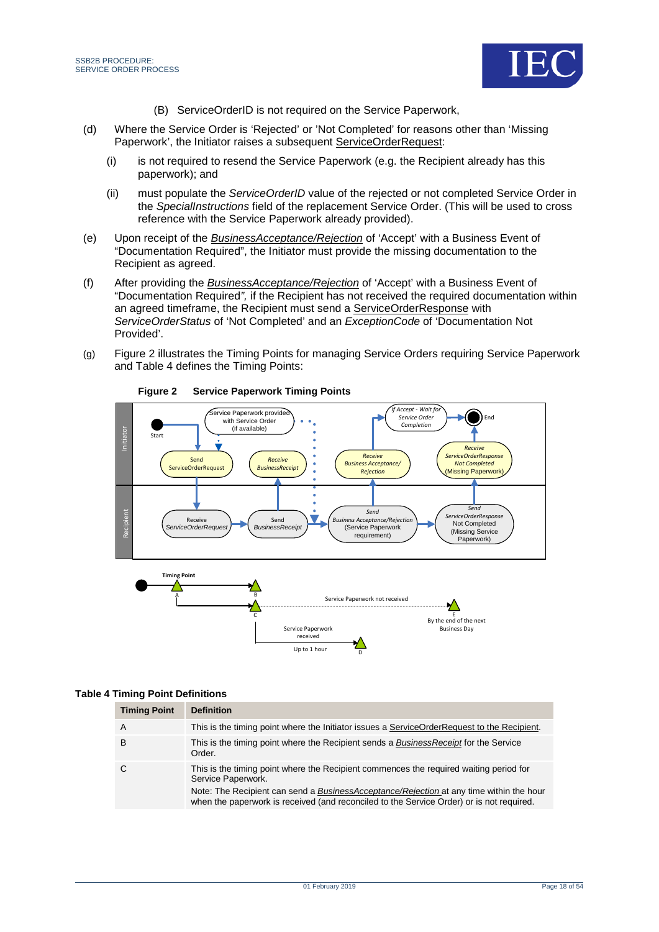



- (B) ServiceOrderID is not required on the Service Paperwork,
- (d) Where the Service Order is 'Rejected' or 'Not Completed' for reasons other than 'Missing Paperwork', the Initiator raises a subsequent ServiceOrderRequest:
	- (i) is not required to resend the Service Paperwork (e.g. the Recipient already has this paperwork); and
	- (ii) must populate the *ServiceOrderID* value of the rejected or not completed Service Order in the *SpecialInstructions* field of the replacement Service Order. (This will be used to cross reference with the Service Paperwork already provided).
- (e) Upon receipt of the *BusinessAcceptance/Rejection* of 'Accept' with a Business Event of "Documentation Required", the Initiator must provide the missing documentation to the Recipient as agreed.
- (f) After providing the *BusinessAcceptance/Rejection* of 'Accept' with a Business Event of "Documentation Required*",* if the Recipient has not received the required documentation within an agreed timeframe, the Recipient must send a ServiceOrderResponse with *ServiceOrderStatus* of 'Not Completed' and an *ExceptionCode* of 'Documentation Not Provided'.
- <span id="page-17-1"></span>(g) Figure 2 illustrates the Timing Points for managing Service Orders requiring Service Paperwork and [Table 4](#page-17-0) defines the Timing Points:



**Figure 2 Service Paperwork Timing Points**

### <span id="page-17-0"></span>**Table 4 Timing Point Definitions**

| <b>Timing Point</b> | <b>Definition</b>                                                                                                                                                                   |
|---------------------|-------------------------------------------------------------------------------------------------------------------------------------------------------------------------------------|
| A                   | This is the timing point where the Initiator issues a ServiceOrderRequest to the Recipient.                                                                                         |
| в                   | This is the timing point where the Recipient sends a Business Receipt for the Service<br>Order.                                                                                     |
| -C                  | This is the timing point where the Recipient commences the required waiting period for<br>Service Paperwork.                                                                        |
|                     | Note: The Recipient can send a BusinessAcceptance/Rejection at any time within the hour<br>when the paperwork is received (and reconciled to the Service Order) or is not required. |

D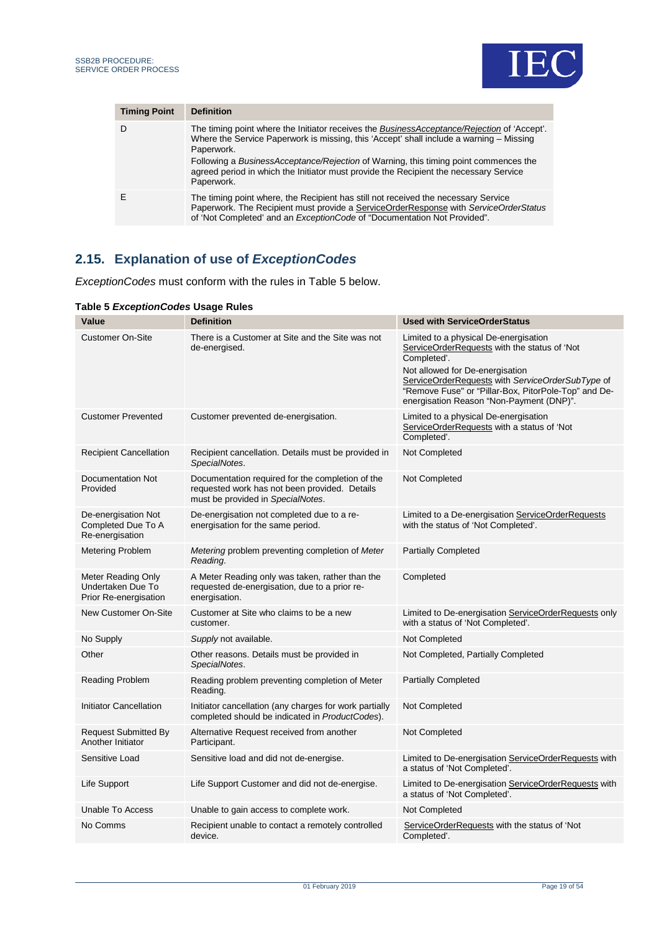

| <b>Timing Point</b> | <b>Definition</b>                                                                                                                                                                                                                                             |
|---------------------|---------------------------------------------------------------------------------------------------------------------------------------------------------------------------------------------------------------------------------------------------------------|
| Ð                   | The timing point where the Initiator receives the BusinessAcceptance/Rejection of 'Accept'.<br>Where the Service Paperwork is missing, this 'Accept' shall include a warning – Missing<br>Paperwork.                                                          |
|                     | Following a BusinessAcceptance/Rejection of Warning, this timing point commences the<br>agreed period in which the Initiator must provide the Recipient the necessary Service<br>Paperwork.                                                                   |
|                     | The timing point where, the Recipient has still not received the necessary Service<br>Paperwork. The Recipient must provide a ServiceOrderResponse with ServiceOrderStatus<br>of 'Not Completed' and an <i>ExceptionCode</i> of "Documentation Not Provided". |

## <span id="page-18-0"></span>**2.15. Explanation of use of** *ExceptionCodes*

*ExceptionCodes* must conform with the rules in [Table 5](#page-18-1) below.

| Value                                                            | <b>Definition</b>                                                                                                                      | <b>Used with ServiceOrderStatus</b>                                                                                                                                                                                                                                                             |  |  |  |  |  |
|------------------------------------------------------------------|----------------------------------------------------------------------------------------------------------------------------------------|-------------------------------------------------------------------------------------------------------------------------------------------------------------------------------------------------------------------------------------------------------------------------------------------------|--|--|--|--|--|
| <b>Customer On-Site</b>                                          | There is a Customer at Site and the Site was not<br>de-energised.                                                                      | Limited to a physical De-energisation<br>ServiceOrderRequests with the status of 'Not<br>Completed'.<br>Not allowed for De-energisation<br>ServiceOrderRequests with ServiceOrderSubType of<br>"Remove Fuse" or "Pillar-Box, PitorPole-Top" and De-<br>energisation Reason "Non-Payment (DNP)". |  |  |  |  |  |
| <b>Customer Prevented</b>                                        | Customer prevented de-energisation.                                                                                                    | Limited to a physical De-energisation<br>ServiceOrderRequests with a status of 'Not<br>Completed'.                                                                                                                                                                                              |  |  |  |  |  |
| <b>Recipient Cancellation</b>                                    | Recipient cancellation. Details must be provided in<br>SpecialNotes.                                                                   | Not Completed                                                                                                                                                                                                                                                                                   |  |  |  |  |  |
| Documentation Not<br>Provided                                    | Documentation required for the completion of the<br>requested work has not been provided. Details<br>must be provided in SpecialNotes. | Not Completed                                                                                                                                                                                                                                                                                   |  |  |  |  |  |
| De-energisation Not<br>Completed Due To A<br>Re-energisation     | De-energisation not completed due to a re-<br>energisation for the same period.                                                        | Limited to a De-energisation ServiceOrderRequests<br>with the status of 'Not Completed'.                                                                                                                                                                                                        |  |  |  |  |  |
| <b>Metering Problem</b>                                          | Metering problem preventing completion of Meter<br>Reading.                                                                            | <b>Partially Completed</b>                                                                                                                                                                                                                                                                      |  |  |  |  |  |
| Meter Reading Only<br>Undertaken Due To<br>Prior Re-energisation | A Meter Reading only was taken, rather than the<br>requested de-energisation, due to a prior re-<br>energisation.                      | Completed                                                                                                                                                                                                                                                                                       |  |  |  |  |  |
| New Customer On-Site                                             | Customer at Site who claims to be a new<br>customer.                                                                                   | Limited to De-energisation ServiceOrderRequests only<br>with a status of 'Not Completed'.                                                                                                                                                                                                       |  |  |  |  |  |
| No Supply                                                        | Supply not available.                                                                                                                  | Not Completed                                                                                                                                                                                                                                                                                   |  |  |  |  |  |
| Other                                                            | Other reasons. Details must be provided in<br>SpecialNotes.                                                                            | Not Completed, Partially Completed                                                                                                                                                                                                                                                              |  |  |  |  |  |
| <b>Reading Problem</b>                                           | Reading problem preventing completion of Meter<br>Reading.                                                                             | <b>Partially Completed</b>                                                                                                                                                                                                                                                                      |  |  |  |  |  |
| <b>Initiator Cancellation</b>                                    | Initiator cancellation (any charges for work partially<br>completed should be indicated in ProductCodes).                              | Not Completed                                                                                                                                                                                                                                                                                   |  |  |  |  |  |
| <b>Request Submitted By</b><br>Another Initiator                 | Alternative Request received from another<br>Participant.                                                                              | Not Completed                                                                                                                                                                                                                                                                                   |  |  |  |  |  |
| Sensitive Load                                                   | Sensitive load and did not de-energise.                                                                                                | Limited to De-energisation ServiceOrderRequests with<br>a status of 'Not Completed'.                                                                                                                                                                                                            |  |  |  |  |  |
| Life Support                                                     | Life Support Customer and did not de-energise.                                                                                         | Limited to De-energisation ServiceOrderRequests with<br>a status of 'Not Completed'.                                                                                                                                                                                                            |  |  |  |  |  |
| <b>Unable To Access</b>                                          | Unable to gain access to complete work.                                                                                                | Not Completed                                                                                                                                                                                                                                                                                   |  |  |  |  |  |
| No Comms                                                         | Recipient unable to contact a remotely controlled<br>device.                                                                           | ServiceOrderRequests with the status of 'Not<br>Completed'.                                                                                                                                                                                                                                     |  |  |  |  |  |

#### <span id="page-18-1"></span>**Table 5** *ExceptionCodes* **Usage Rules**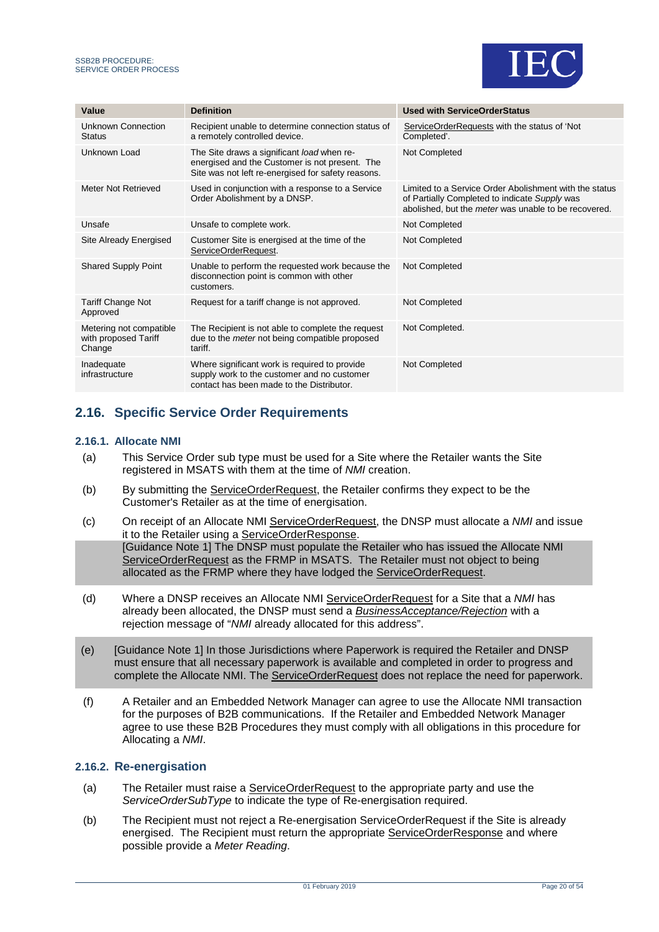

| Value                                                     | <b>Definition</b>                                                                                                                                  | <b>Used with ServiceOrderStatus</b>                                                                                                                                    |
|-----------------------------------------------------------|----------------------------------------------------------------------------------------------------------------------------------------------------|------------------------------------------------------------------------------------------------------------------------------------------------------------------------|
| Unknown Connection<br><b>Status</b>                       | Recipient unable to determine connection status of<br>a remotely controlled device.                                                                | ServiceOrderRequests with the status of 'Not<br>Completed'.                                                                                                            |
| Unknown Load                                              | The Site draws a significant load when re-<br>energised and the Customer is not present. The<br>Site was not left re-energised for safety reasons. | Not Completed                                                                                                                                                          |
| Meter Not Retrieved                                       | Used in conjunction with a response to a Service<br>Order Abolishment by a DNSP.                                                                   | Limited to a Service Order Abolishment with the status<br>of Partially Completed to indicate Supply was<br>abolished, but the <i>meter</i> was unable to be recovered. |
| Unsafe                                                    | Unsafe to complete work.                                                                                                                           | Not Completed                                                                                                                                                          |
| Site Already Energised                                    | Customer Site is energised at the time of the<br>ServiceOrderRequest.                                                                              | Not Completed                                                                                                                                                          |
| <b>Shared Supply Point</b>                                | Unable to perform the requested work because the<br>disconnection point is common with other<br>customers.                                         | Not Completed                                                                                                                                                          |
| <b>Tariff Change Not</b><br>Approved                      | Request for a tariff change is not approved.                                                                                                       | Not Completed                                                                                                                                                          |
| Metering not compatible<br>with proposed Tariff<br>Change | The Recipient is not able to complete the request<br>due to the <i>meter</i> not being compatible proposed<br>tariff.                              | Not Completed.                                                                                                                                                         |
| Inadequate<br>infrastructure                              | Where significant work is required to provide<br>supply work to the customer and no customer<br>contact has been made to the Distributor.          | Not Completed                                                                                                                                                          |

## <span id="page-19-0"></span>**2.16. Specific Service Order Requirements**

#### **2.16.1. Allocate NMI**

- (a) This Service Order sub type must be used for a Site where the Retailer wants the Site registered in MSATS with them at the time of *NMI* creation.
- (b) By submitting the ServiceOrderRequest, the Retailer confirms they expect to be the Customer's Retailer as at the time of energisation.
- (c) On receipt of an Allocate NMI ServiceOrderRequest, the DNSP must allocate a *NMI* and issue it to the Retailer using a ServiceOrderResponse. [Guidance Note 1] The DNSP must populate the Retailer who has issued the Allocate NMI ServiceOrderRequest as the FRMP in MSATS. The Retailer must not object to being allocated as the FRMP where they have lodged the ServiceOrderRequest.
- (d) Where a DNSP receives an Allocate NMI ServiceOrderRequest for a Site that a *NMI* has already been allocated, the DNSP must send a *BusinessAcceptance/Rejection* with a rejection message of "*NMI* already allocated for this address".
- (e) [Guidance Note 1] In those Jurisdictions where Paperwork is required the Retailer and DNSP must ensure that all necessary paperwork is available and completed in order to progress and complete the Allocate NMI. The ServiceOrderRequest does not replace the need for paperwork.
- (f) A Retailer and an Embedded Network Manager can agree to use the Allocate NMI transaction for the purposes of B2B communications. If the Retailer and Embedded Network Manager agree to use these B2B Procedures they must comply with all obligations in this procedure for Allocating a *NMI*.

### **2.16.2. Re-energisation**

- (a) The Retailer must raise a ServiceOrderRequest to the appropriate party and use the *ServiceOrderSubType* to indicate the type of Re-energisation required.
- (b) The Recipient must not reject a Re-energisation ServiceOrderRequest if the Site is already energised. The Recipient must return the appropriate ServiceOrderResponse and where possible provide a *Meter Reading*.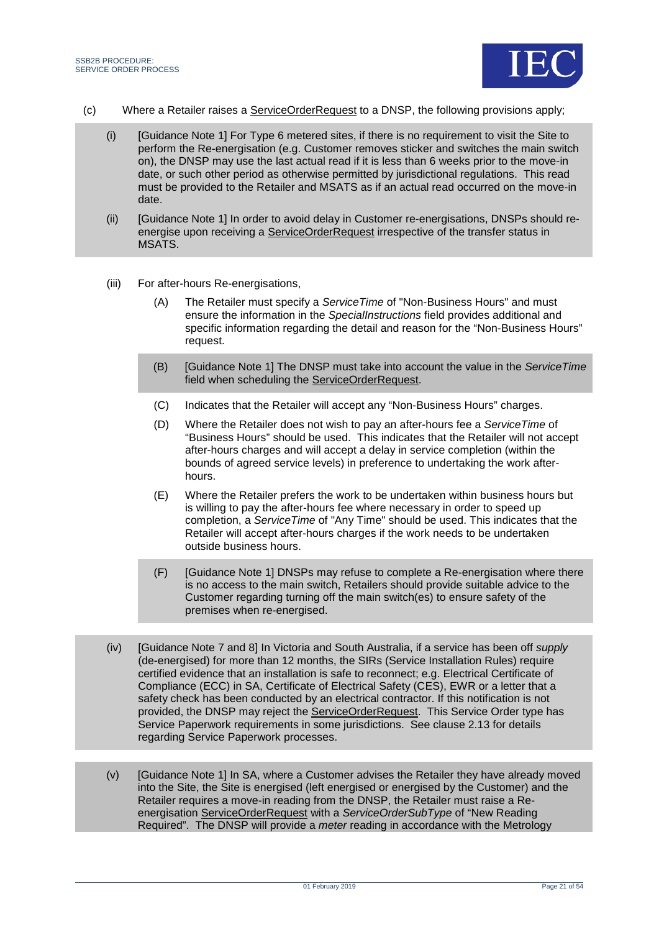

- (c) Where a Retailer raises a ServiceOrderRequest to a DNSP, the following provisions apply;
	- (i) [Guidance Note 1] For Type 6 metered sites, if there is no requirement to visit the Site to perform the Re-energisation (e.g. Customer removes sticker and switches the main switch on), the DNSP may use the last actual read if it is less than 6 weeks prior to the move-in date, or such other period as otherwise permitted by jurisdictional regulations. This read must be provided to the Retailer and MSATS as if an actual read occurred on the move-in date.
	- (ii) [Guidance Note 1] In order to avoid delay in Customer re-energisations, DNSPs should reenergise upon receiving a ServiceOrderRequest irrespective of the transfer status in MSATS.
	- (iii) For after-hours Re-energisations,
		- (A) The Retailer must specify a *ServiceTime* of "Non-Business Hours" and must ensure the information in the *SpecialInstructions* field provides additional and specific information regarding the detail and reason for the "Non-Business Hours" request.
		- (B) [Guidance Note 1] The DNSP must take into account the value in the *ServiceTime* field when scheduling the ServiceOrderRequest.
		- (C) Indicates that the Retailer will accept any "Non-Business Hours" charges.
		- (D) Where the Retailer does not wish to pay an after-hours fee a *ServiceTime* of "Business Hours" should be used. This indicates that the Retailer will not accept after-hours charges and will accept a delay in service completion (within the bounds of agreed service levels) in preference to undertaking the work afterhours.
		- (E) Where the Retailer prefers the work to be undertaken within business hours but is willing to pay the after-hours fee where necessary in order to speed up completion, a *ServiceTime* of "Any Time" should be used. This indicates that the Retailer will accept after-hours charges if the work needs to be undertaken outside business hours.
		- (F) [Guidance Note 1] DNSPs may refuse to complete a Re-energisation where there is no access to the main switch, Retailers should provide suitable advice to the Customer regarding turning off the main switch(es) to ensure safety of the premises when re-energised.
	- (iv) [Guidance Note 7 and 8] In Victoria and South Australia, if a service has been off *supply* (de-energised) for more than 12 months, the SIRs (Service Installation Rules) require certified evidence that an installation is safe to reconnect; e.g. Electrical Certificate of Compliance (ECC) in SA, Certificate of Electrical Safety (CES), EWR or a letter that a safety check has been conducted by an electrical contractor. If this notification is not provided, the DNSP may reject the ServiceOrderRequest. This Service Order type has Service Paperwork requirements in some jurisdictions. See clause 2.13 for details regarding Service Paperwork processes.
	- (v) [Guidance Note 1] In SA, where a Customer advises the Retailer they have already moved into the Site, the Site is energised (left energised or energised by the Customer) and the Retailer requires a move-in reading from the DNSP, the Retailer must raise a Reenergisation ServiceOrderRequest with a *ServiceOrderSubType* of "New Reading Required". The DNSP will provide a *meter* reading in accordance with the Metrology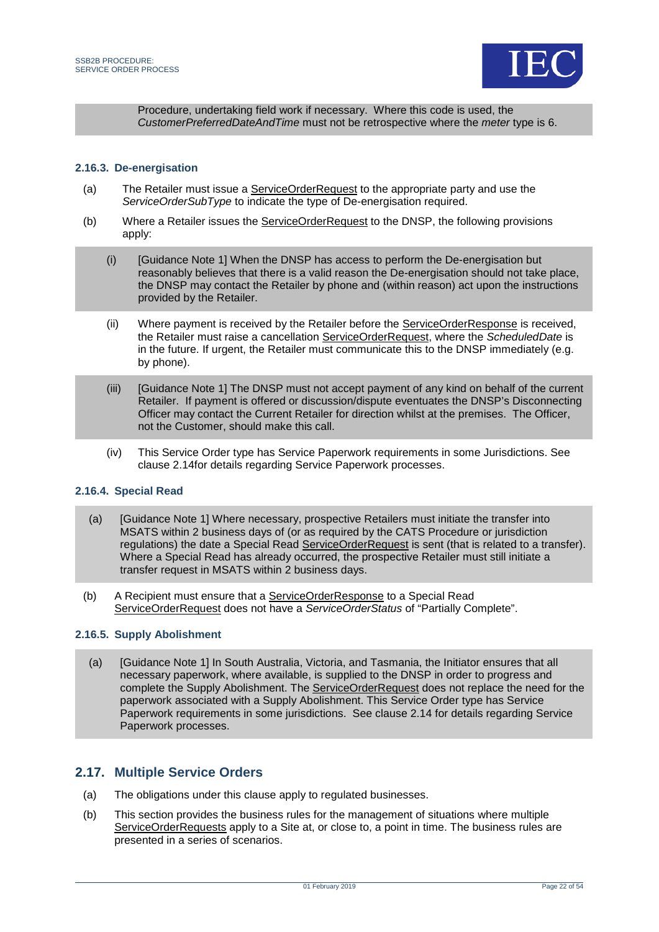

Procedure, undertaking field work if necessary. Where this code is used, the *CustomerPreferredDateAndTime* must not be retrospective where the *meter* type is 6.

#### **2.16.3. De-energisation**

- (a) The Retailer must issue a ServiceOrderRequest to the appropriate party and use the *ServiceOrderSubType* to indicate the type of De-energisation required.
- (b) Where a Retailer issues the ServiceOrderRequest to the DNSP, the following provisions apply:
	- (i) [Guidance Note 1] When the DNSP has access to perform the De-energisation but reasonably believes that there is a valid reason the De-energisation should not take place, the DNSP may contact the Retailer by phone and (within reason) act upon the instructions provided by the Retailer.
	- (ii) Where payment is received by the Retailer before the ServiceOrderResponse is received, the Retailer must raise a cancellation ServiceOrderRequest, where the *ScheduledDate* is in the future. If urgent, the Retailer must communicate this to the DNSP immediately (e.g. by phone).
	- (iii) [Guidance Note 1] The DNSP must not accept payment of any kind on behalf of the current Retailer. If payment is offered or discussion/dispute eventuates the DNSP's Disconnecting Officer may contact the Current Retailer for direction whilst at the premises. The Officer, not the Customer, should make this call.
	- (iv) This Service Order type has Service Paperwork requirements in some Jurisdictions. See clause [2.14f](#page-16-1)or details regarding Service Paperwork processes.

#### **2.16.4. Special Read**

- (a) [Guidance Note 1] Where necessary, prospective Retailers must initiate the transfer into MSATS within 2 business days of (or as required by the CATS Procedure or jurisdiction regulations) the date a Special Read ServiceOrderRequest is sent (that is related to a transfer). Where a Special Read has already occurred, the prospective Retailer must still initiate a transfer request in MSATS within 2 business days.
- (b) A Recipient must ensure that a ServiceOrderResponse to a Special Read ServiceOrderRequest does not have a *ServiceOrderStatus* of "Partially Complete".

#### **2.16.5. Supply Abolishment**

(a) [Guidance Note 1] In South Australia, Victoria, and Tasmania, the Initiator ensures that all necessary paperwork, where available, is supplied to the DNSP in order to progress and complete the Supply Abolishment. The ServiceOrderRequest does not replace the need for the paperwork associated with a Supply Abolishment. This Service Order type has Service Paperwork requirements in some jurisdictions. See clause [2.14](#page-16-1) for details regarding Service Paperwork processes.

### <span id="page-21-0"></span>**2.17. Multiple Service Orders**

- (a) The obligations under this clause apply to regulated businesses.
- (b) This section provides the business rules for the management of situations where multiple ServiceOrderRequests apply to a Site at, or close to, a point in time. The business rules are presented in a series of scenarios.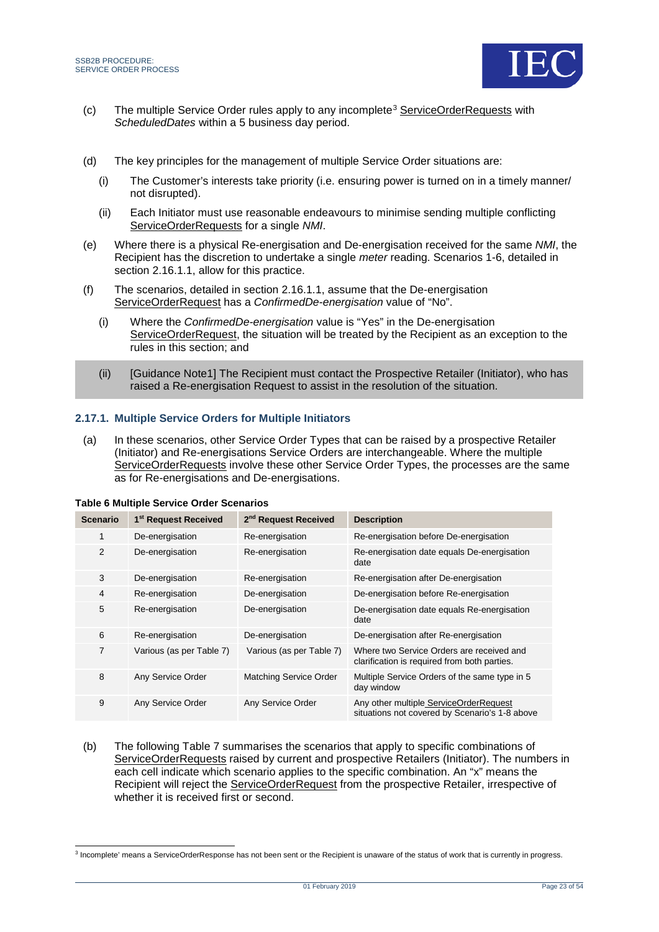

- (c) The multiple Service Order rules apply to any incomplete[3](#page-22-1) ServiceOrderRequests with *ScheduledDates* within a 5 business day period.
- (d) The key principles for the management of multiple Service Order situations are:
	- (i) The Customer's interests take priority (i.e. ensuring power is turned on in a timely manner/ not disrupted).
	- (ii) Each Initiator must use reasonable endeavours to minimise sending multiple conflicting ServiceOrderRequests for a single *NMI*.
- (e) Where there is a physical Re-energisation and De-energisation received for the same *NMI*, the Recipient has the discretion to undertake a single *meter* reading. Scenarios 1-6, detailed in section 2.16.1.1, allow for this practice.
- (f) The scenarios, detailed in section 2.16.1.1, assume that the De-energisation ServiceOrderRequest has a *ConfirmedDe-energisation* value of "No".
	- (i) Where the *ConfirmedDe-energisation* value is "Yes" in the De-energisation ServiceOrderRequest, the situation will be treated by the Recipient as an exception to the rules in this section; and
	- (ii) [Guidance Note1] The Recipient must contact the Prospective Retailer (Initiator), who has raised a Re-energisation Request to assist in the resolution of the situation.

#### **2.17.1. Multiple Service Orders for Multiple Initiators**

(a) In these scenarios, other Service Order Types that can be raised by a prospective Retailer (Initiator) and Re-energisations Service Orders are interchangeable. Where the multiple ServiceOrderRequests involve these other Service Order Types, the processes are the same as for Re-energisations and De-energisations.

| <b>Scenario</b> | 1 <sup>st</sup> Request Received | 2 <sup>nd</sup> Request Received | <b>Description</b>                                                                        |  |  |  |  |  |
|-----------------|----------------------------------|----------------------------------|-------------------------------------------------------------------------------------------|--|--|--|--|--|
|                 | De-energisation                  | Re-energisation                  | Re-energisation before De-energisation                                                    |  |  |  |  |  |
| 2               | De-energisation                  | Re-energisation                  | Re-energisation date equals De-energisation<br>date                                       |  |  |  |  |  |
| 3               | De-energisation                  | Re-energisation                  | Re-energisation after De-energisation                                                     |  |  |  |  |  |
| 4               | Re-energisation                  | De-energisation                  | De-energisation before Re-energisation                                                    |  |  |  |  |  |
| 5               | Re-energisation                  | De-energisation                  | De-energisation date equals Re-energisation<br>date                                       |  |  |  |  |  |
| 6               | Re-energisation                  | De-energisation                  | De-energisation after Re-energisation                                                     |  |  |  |  |  |
| $\overline{7}$  | Various (as per Table 7)         | Various (as per Table 7)         | Where two Service Orders are received and<br>clarification is required from both parties. |  |  |  |  |  |
| 8               | Any Service Order                | <b>Matching Service Order</b>    | Multiple Service Orders of the same type in 5<br>day window                               |  |  |  |  |  |
| 9               | Any Service Order                | Any Service Order                | Any other multiple ServiceOrderRequest<br>situations not covered by Scenario's 1-8 above  |  |  |  |  |  |

<span id="page-22-0"></span>

(b) The following [Table 7](#page-23-0) summarises the scenarios that apply to specific combinations of ServiceOrderRequests raised by current and prospective Retailers (Initiator). The numbers in each cell indicate which scenario applies to the specific combination. An "x" means the Recipient will reject the ServiceOrderRequest from the prospective Retailer, irrespective of whether it is received first or second.

<span id="page-22-1"></span><sup>&</sup>lt;sup>3</sup> Incomplete' means a ServiceOrderResponse has not been sent or the Recipient is unaware of the status of work that is currently in progress.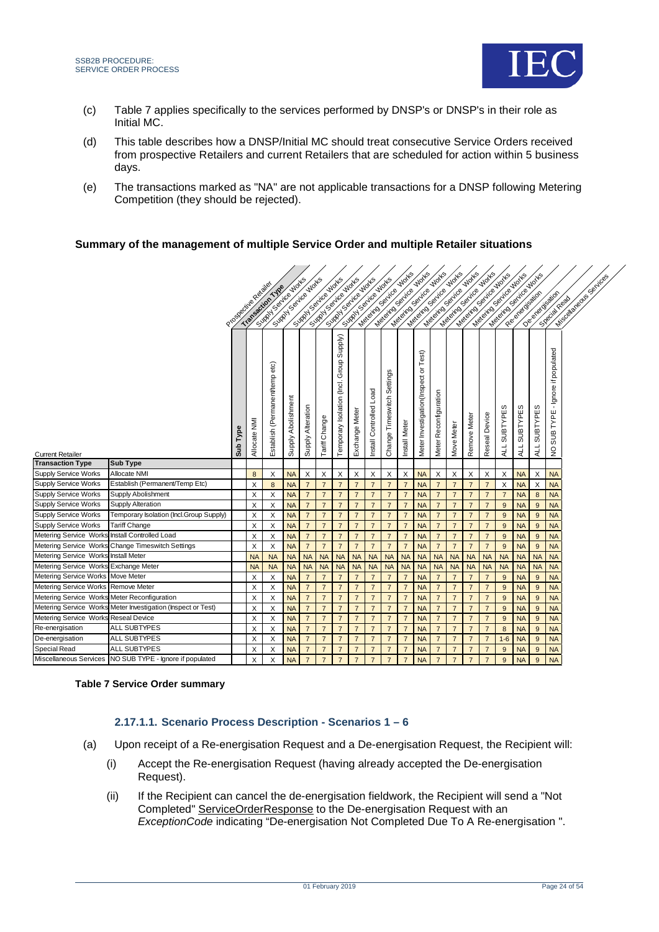

 $\mathbf{z}$  ,  $\mathbf{z}$  ,  $\mathbf{z}$  ,  $\mathbf{z}$ 

- (c) [Table 7](#page-23-0) applies specifically to the services performed by DNSP's or DNSP's in their role as Initial MC.
- (d) This table describes how a DNSP/Initial MC should treat consecutive Service Orders received from prospective Retailers and current Retailers that are scheduled for action within 5 business days.
- (e) The transactions marked as "NA" are not applicable transactions for a DNSP following Metering Competition (they should be rejected).

#### **Summary of the management of multiple Service Order and multiple Retailer situations**

| <b>Works</b><br><b>Works</b><br><b>Works</b><br><b>Works</b><br>interesting of the project<br>weeks of called the<br>Medical Section Movies<br>Supply of British River<br>Sunty y Sail re Works<br>Supply Septiments<br>Suppose the World<br>Superinte Motes<br>Suppose the World<br>Procedure Register                            |                               | Missione Baytras      |  |
|------------------------------------------------------------------------------------------------------------------------------------------------------------------------------------------------------------------------------------------------------------------------------------------------------------------------------------|-------------------------------|-----------------------|--|
| Meleting Serita<br>Majoritos Serica<br>Majoritos Serica<br>Materials Serice<br>Meleting Sevice<br>Meleting Senice                                                                                                                                                                                                                  |                               | Oerend disable        |  |
|                                                                                                                                                                                                                                                                                                                                    |                               | See dated             |  |
|                                                                                                                                                                                                                                                                                                                                    |                               |                       |  |
|                                                                                                                                                                                                                                                                                                                                    |                               |                       |  |
|                                                                                                                                                                                                                                                                                                                                    |                               |                       |  |
| Group Supply)                                                                                                                                                                                                                                                                                                                      |                               |                       |  |
| Test)                                                                                                                                                                                                                                                                                                                              |                               |                       |  |
| $\rm \overline{o}$                                                                                                                                                                                                                                                                                                                 |                               | - Ignore if populated |  |
| Settings                                                                                                                                                                                                                                                                                                                           |                               |                       |  |
|                                                                                                                                                                                                                                                                                                                                    |                               |                       |  |
| Load                                                                                                                                                                                                                                                                                                                               |                               |                       |  |
|                                                                                                                                                                                                                                                                                                                                    |                               |                       |  |
| Establish (Permanent/temp etc)<br>Meter Investigation(Inspect<br>Temporary Isolation (Incl.<br>Meter Reconfiguration<br>Timeswitch<br>Supply Abolishment<br>Install Controlled<br>ALL SUBTYPES<br>Supply Alteration<br>Exchange Mete<br>Reseal Device<br>Remove Meter<br>Tariff Change                                             | SUBTYPES<br>SUBTYPES          | TYPE                  |  |
| Type                                                                                                                                                                                                                                                                                                                               |                               | <b>SUB</b>            |  |
| Allocate NMI<br>Install Meter<br>Move Meter<br>Change <sup>-</sup>                                                                                                                                                                                                                                                                 |                               |                       |  |
| Sub<br><b>Current Retailer</b>                                                                                                                                                                                                                                                                                                     | ALL<br><b>ALL</b>             | $\frac{0}{2}$         |  |
| <b>Sub Type</b><br><b>Transaction Type</b>                                                                                                                                                                                                                                                                                         |                               |                       |  |
| Supply Service Works<br>Allocate NMI<br>X<br>X<br>X<br>X<br>X<br>X<br><b>NA</b><br>X<br>X<br>8<br>X<br><b>NA</b><br>X<br>X<br>X<br>X                                                                                                                                                                                               | <b>NA</b><br>X                | <b>NA</b>             |  |
| Supply Service Works<br>Establish (Permanent/Temp Etc)<br>$\overline{7}$<br>$\overline{7}$<br>$\overline{7}$<br>X<br>$\bf 8$<br><b>NA</b><br>$\overline{7}$<br>$\overline{7}$<br>$\overline{7}$<br>$\overline{7}$<br>$\overline{7}$<br>$\overline{7}$<br><b>NA</b><br>$\overline{7}$<br>$\overline{7}$<br>X                        | <b>NA</b><br>$\times$         | <b>NA</b>             |  |
| Supply Service Works<br>Supply Abolishment<br>$\overline{7}$<br>$\overline{7}$<br>X<br><b>NA</b><br>$\overline{7}$<br>$\overline{7}$<br>$\overline{7}$<br>$\overline{7}$<br>$\overline{7}$<br>$\overline{7}$<br><b>NA</b><br>$\overline{7}$<br>$\overline{7}$<br>$\overline{7}$<br>X<br>$\overline{7}$                             | <b>NA</b><br>$\boldsymbol{8}$ | <b>NA</b>             |  |
| Supply Service Works<br>Supply Alteration<br>X<br>X<br><b>NA</b><br>$\overline{7}$<br>$\overline{7}$<br>$\overline{7}$<br>$\overline{7}$<br>$\overline{7}$<br>$\overline{7}$<br>$\overline{7}$<br>$\overline{7}$<br>$\overline{7}$<br>$\overline{7}$<br><b>NA</b><br>$\overline{7}$<br>$\boldsymbol{9}$                            | <b>NA</b><br>9                | <b>NA</b>             |  |
| Supply Service Works<br>Temporary Isolation (Incl.Group Supply)<br>X<br>X<br>$\overline{7}$<br>$\overline{7}$<br>$\overline{7}$<br><b>NA</b><br>$\overline{7}$<br>$\overline{7}$<br>$\overline{7}$<br>$\overline{7}$<br>$\overline{7}$<br>$\overline{7}$<br><b>NA</b><br>$\overline{7}$<br>$\overline{7}$<br>9                     | <b>NA</b><br>9                | <b>NA</b>             |  |
| <b>Tariff Change</b><br>Supply Service Works<br>X<br>X<br>$\overline{7}$<br>$\overline{7}$<br>$\overline{7}$<br>$\overline{7}$<br>$\overline{7}$<br><b>NA</b><br>$\overline{7}$<br>$\overline{7}$<br>$\overline{7}$<br>$\overline{7}$<br>$\overline{7}$<br><b>NA</b><br>$\overline{7}$<br>$\boldsymbol{9}$                         | <b>NA</b><br>9                | <b>NA</b>             |  |
| X<br>$\mathsf X$<br>$\overline{7}$<br><b>Metering Service Works</b><br>Install Controlled Load<br>$\overline{7}$<br>$\overline{7}$<br>$\overline{7}$<br>$\overline{7}$<br>$\overline{7}$<br>$\overline{7}$<br>$\boldsymbol{9}$<br><b>NA</b><br>$\overline{7}$<br>$\overline{7}$<br>$\overline{7}$<br>$\overline{7}$<br><b>NA</b>   | <b>NA</b><br>9                | <b>NA</b>             |  |
| Metering Service Works Change Timeswitch Settings<br>$\overline{7}$<br>X<br>X<br><b>NA</b><br>$\overline{7}$<br>$\overline{7}$<br>$\overline{7}$<br>$\overline{7}$<br>$\overline{7}$<br>$\overline{7}$<br>$\boldsymbol{9}$<br>$\overline{7}$<br>$\overline{7}$<br>$\overline{7}$<br>$\overline{7}$<br><b>NA</b>                    | <b>NA</b><br>9                | <b>NA</b>             |  |
| Metering Service Works Install Meter<br><b>NA</b><br><b>NA</b><br><b>NA</b><br><b>NA</b><br><b>NA</b><br><b>NA</b><br><b>NA</b><br><b>NA</b><br><b>NA</b><br><b>NA</b><br><b>NA</b><br><b>NA</b><br><b>NA</b><br><b>NA</b><br><b>NA</b><br><b>NA</b>                                                                               | <b>NA</b><br><b>NA</b>        | <b>NA</b>             |  |
| Metering Service Works Exchange Meter<br><b>NA</b><br><b>NA</b><br><b>NA</b><br><b>NA</b><br><b>NA</b><br><b>NA</b><br><b>NA</b><br><b>NA</b><br><b>NA</b><br><b>NA</b><br><b>NA</b><br><b>NA</b><br><b>NA</b><br><b>NA</b><br><b>NA</b><br><b>NA</b>                                                                              | <b>NA</b><br><b>NA</b>        | <b>NA</b>             |  |
| Metering Service Works Move Meter<br>$\overline{7}$<br>X<br><b>NA</b><br>$\overline{7}$<br>$\overline{7}$<br>$\overline{7}$<br>$\overline{7}$<br>$\overline{7}$<br>$\overline{7}$<br><b>NA</b><br>$\overline{7}$<br>$\overline{7}$<br>9<br>X<br>$\overline{7}$<br>$\overline{7}$                                                   | <b>NA</b><br>9                | <b>NA</b>             |  |
| $\mathsf X$<br>$\overline{7}$<br>$\overline{7}$<br>$\overline{7}$<br>$\overline{7}$<br>$\overline{7}$<br>$\overline{7}$<br>Metering Service Works Remove Meter<br>X<br>$\overline{7}$<br>$\overline{7}$<br>$\overline{7}$<br>$\overline{7}$<br>$\overline{7}$<br>$\overline{9}$<br><b>NA</b><br><b>NA</b>                          | <b>NA</b><br>$\overline{9}$   | <b>NA</b>             |  |
| $\overline{7}$<br>$\overline{7}$<br>Metering Service Works Meter Reconfiguration<br>X<br>X<br>$\overline{7}$<br>$\overline{7}$<br>$\overline{7}$<br>$\overline{7}$<br>$\overline{7}$<br>$\overline{7}$<br>$\overline{7}$<br>$\overline{7}$<br>$\overline{7}$<br>$\boldsymbol{9}$<br><b>NA</b><br><b>NA</b>                         | <b>NA</b><br>9                | <b>NA</b>             |  |
| $\mathsf X$<br>$\overline{7}$<br>Metering Service Works Meter Investigation (Inspect or Test)<br>X<br>$\overline{7}$<br>$\overline{7}$<br>$\overline{7}$<br>$\overline{7}$<br>$\overline{7}$<br>$\overline{7}$<br>$\overline{7}$<br>$\overline{7}$<br>$\overline{7}$<br>$\overline{7}$<br>$\overline{9}$<br><b>NA</b><br><b>NA</b> | <b>NA</b><br>$\overline{9}$   | <b>NA</b>             |  |
| Metering Service Works Reseal Device<br>X<br>$\overline{7}$<br>$\overline{7}$<br>$\overline{7}$<br>$\overline{7}$<br>X<br><b>NA</b><br>$\overline{7}$<br>$\overline{7}$<br>$\overline{7}$<br>$\overline{7}$<br>$\overline{7}$<br><b>NA</b><br>$\overline{7}$<br>$\overline{7}$<br>9                                                | <b>NA</b><br>9                | <b>NA</b>             |  |
| <b>ALL SUBTYPES</b><br>Re-energisation<br>X<br>X<br>$\overline{7}$<br>$\overline{7}$<br>$\overline{7}$<br>$\overline{7}$<br>$\overline{7}$<br>$\overline{7}$<br>$\overline{7}$<br><b>NA</b><br>$\overline{7}$<br>$\overline{7}$<br><b>NA</b><br>$\overline{7}$<br>$\overline{7}$<br>8                                              | <b>NA</b><br>9                | <b>NA</b>             |  |
| <b>ALL SUBTYPES</b><br>De-energisation<br>X<br>$\overline{7}$<br>$\overline{7}$<br>$\overline{7}$<br>$\overline{7}$<br>$\overline{7}$<br>X<br><b>NA</b><br>$\overline{7}$<br>$\overline{7}$<br>$\overline{7}$<br>$\overline{7}$<br><b>NA</b><br>$\overline{7}$<br>$\overline{7}$<br>$1-6$                                          | <b>NA</b><br>9                | <b>NA</b>             |  |
| Special Read<br><b>ALL SUBTYPES</b><br>X<br>X<br>$\overline{7}$<br>$\overline{7}$<br>$\overline{7}$<br>$\overline{7}$<br>$\overline{7}$<br>$\overline{7}$<br>$\overline{7}$<br>$\overline{7}$<br>$\overline{7}$<br>9<br><b>NA</b><br>$\overline{7}$<br>$\overline{7}$<br><b>NA</b>                                                 | <b>NA</b><br>9                | <b>NA</b>             |  |
| Miscellaneous Services   NO SUB TYPE - Ignore if populated<br>Χ<br>$\overline{7}$<br>$\overline{7}$<br>$\overline{7}$<br>9<br>X<br><b>NA</b><br>$\overline{7}$<br>$\overline{7}$<br>$\overline{7}$<br>$\overline{7}$<br>$\overline{7}$<br>$\overline{7}$<br>$\overline{7}$<br><b>NA</b><br>$\overline{7}$                          | <b>NA</b><br>9                | <b>NA</b>             |  |

#### <span id="page-23-0"></span>**Table 7 Service Order summary**

#### **2.17.1.1. Scenario Process Description - Scenarios 1 – 6**

- (a) Upon receipt of a Re-energisation Request and a De-energisation Request, the Recipient will:
	- (i) Accept the Re-energisation Request (having already accepted the De-energisation Request).
	- (ii) If the Recipient can cancel the de-energisation fieldwork, the Recipient will send a "Not Completed" ServiceOrderResponse to the De-energisation Request with an *ExceptionCode* indicating "De-energisation Not Completed Due To A Re-energisation ".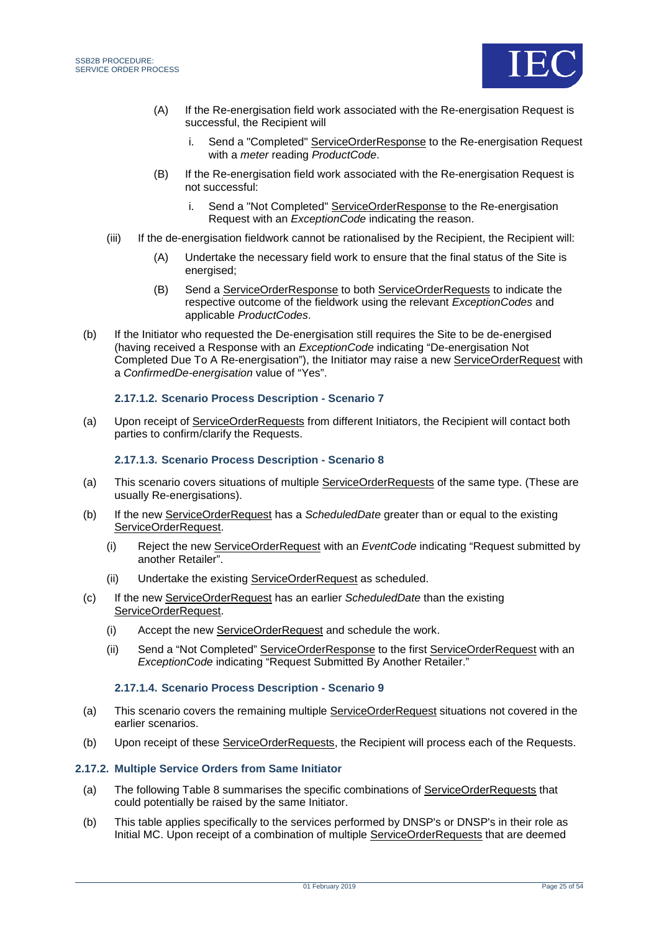

- (A) If the Re-energisation field work associated with the Re-energisation Request is successful, the Recipient will
	- i. Send a "Completed" ServiceOrderResponse to the Re-energisation Request with a *meter* reading *ProductCode*.
- (B) If the Re-energisation field work associated with the Re-energisation Request is not successful:
	- i. Send a "Not Completed" ServiceOrderResponse to the Re-energisation Request with an *ExceptionCode* indicating the reason.
- (iii) If the de-energisation fieldwork cannot be rationalised by the Recipient, the Recipient will:
	- (A) Undertake the necessary field work to ensure that the final status of the Site is energised;
	- (B) Send a ServiceOrderResponse to both ServiceOrderRequests to indicate the respective outcome of the fieldwork using the relevant *ExceptionCodes* and applicable *ProductCodes*.
- (b) If the Initiator who requested the De-energisation still requires the Site to be de-energised (having received a Response with an *ExceptionCode* indicating "De-energisation Not Completed Due To A Re-energisation"), the Initiator may raise a new ServiceOrderRequest with a *ConfirmedDe-energisation* value of "Yes".

#### **2.17.1.2. Scenario Process Description - Scenario 7**

(a) Upon receipt of ServiceOrderRequests from different Initiators, the Recipient will contact both parties to confirm/clarify the Requests.

#### **2.17.1.3. Scenario Process Description - Scenario 8**

- (a) This scenario covers situations of multiple ServiceOrderRequests of the same type. (These are usually Re-energisations).
- (b) If the new ServiceOrderRequest has a *ScheduledDate* greater than or equal to the existing ServiceOrderRequest.
	- (i) Reject the new ServiceOrderRequest with an *EventCode* indicating "Request submitted by another Retailer".
	- (ii) Undertake the existing ServiceOrderRequest as scheduled.
- (c) If the new ServiceOrderRequest has an earlier *ScheduledDate* than the existing ServiceOrderRequest.
	- (i) Accept the new ServiceOrderRequest and schedule the work.
	- (ii) Send a "Not Completed" ServiceOrderResponse to the first ServiceOrderRequest with an **ExceptionCode indicating "Request Submitted By Another Retailer."**

#### **2.17.1.4. Scenario Process Description - Scenario 9**

- (a) This scenario covers the remaining multiple ServiceOrderRequest situations not covered in the earlier scenarios.
- (b) Upon receipt of these ServiceOrderRequests, the Recipient will process each of the Requests.

#### **2.17.2. Multiple Service Orders from Same Initiator**

- (a) The following [Table 8](#page-25-0) summarises the specific combinations of ServiceOrderRequests that could potentially be raised by the same Initiator.
- (b) This table applies specifically to the services performed by DNSP's or DNSP's in their role as Initial MC. Upon receipt of a combination of multiple ServiceOrderRequests that are deemed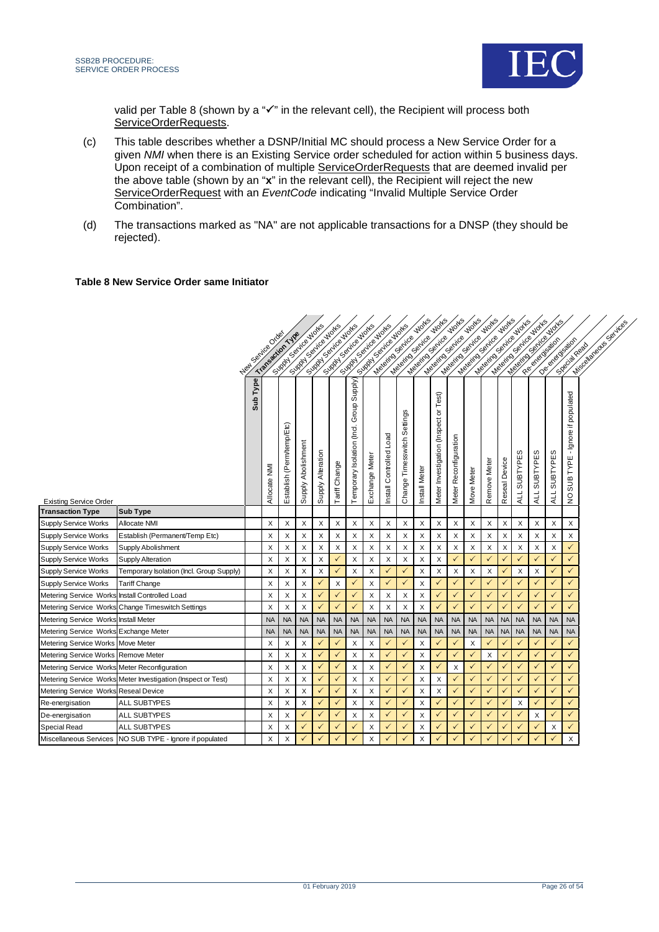

valid per [Table 8](#page-25-0) (shown by a " $\checkmark$ " in the relevant cell), the Recipient will process both ServiceOrderRequests.

- (c) This table describes whether a DSNP/Initial MC should process a New Service Order for a given *NMI* when there is an Existing Service order scheduled for action within 5 business days. Upon receipt of a combination of multiple ServiceOrderRequests that are deemed invalid per the above table (shown by an "**x**" in the relevant cell), the Recipient will reject the new ServiceOrderRequest with an *EventCode* indicating "Invalid Multiple Service Order Combination".
- (d) The transactions marked as "NA" are not applicable transactions for a DNSP (they should be rejected).

#### <span id="page-25-0"></span>**Table 8 New Service Order same Initiator**

|                                                |                                                              |               |             | Supply of the World       |                    | Suppose of the Notice     |               | Suppose the Motes<br>Simply Sail endeavor<br>Suppose of the Notice |                |                         | Meleting Sexice violing<br>SIRT SOFIE ON DOCKS |                  | <b>Works</b>                          | <b>Works</b>                         | <b>Works</b>    | <b>Works</b>              |               |              | Meleting Sextice Motes | Metal Series Motte |                                                                     |
|------------------------------------------------|--------------------------------------------------------------|---------------|-------------|---------------------------|--------------------|---------------------------|---------------|--------------------------------------------------------------------|----------------|-------------------------|------------------------------------------------|------------------|---------------------------------------|--------------------------------------|-----------------|---------------------------|---------------|--------------|------------------------|--------------------|---------------------------------------------------------------------|
|                                                |                                                              | Heating Order |             |                           |                    |                           |               |                                                                    |                |                         |                                                | Materials Serice |                                       | Magnitos Serice<br>Materials Service | Magnitos Senice | Materials Service         |               |              |                        |                    | Developed desiron<br>Missolianeaus c                                |
|                                                |                                                              |               |             |                           |                    |                           |               |                                                                    |                |                         |                                                |                  |                                       |                                      |                 |                           |               |              |                        |                    | Special Resident                                                    |
|                                                |                                                              |               |             |                           |                    |                           |               |                                                                    |                |                         |                                                |                  |                                       |                                      |                 |                           |               |              |                        |                    |                                                                     |
| <b>Existing Service Order</b>                  |                                                              | Sub Type      | Allocate NM | Establish (Perm/temp/Etc) | Supply Abolishment | Supply Alteration         | Tariff Change | Group Supply)<br>Temporary Isolation (Incl.                        | Exchange Meter | Install Controlled Load | Change Timesswitch Settings                    | Install Meter    | Meter Investigation (Inspect or Test) | Meter Reconfiguration                | Move Meter      | Remove Meter              | Reseal Device | ALL SUBTYPES | SUBTYPES<br>ALL        | SUBTYPES<br>ALL    | - Ignore if populated<br><b>TYPE</b><br><b>SUB</b><br>$\frac{0}{2}$ |
| <b>Transaction Type</b>                        | Sub Type                                                     |               |             |                           |                    |                           |               |                                                                    |                |                         |                                                |                  |                                       |                                      |                 |                           |               |              |                        |                    |                                                                     |
| Supply Service Works                           | Allocate NMI                                                 |               | X           | X                         | X                  | X                         | X             | X                                                                  | X              | X                       | X                                              | X                | X                                     | X                                    | X               | X                         | X             | X            | X                      | X                  | X                                                                   |
| <b>Supply Service Works</b>                    | Establish (Permanent/Temp Etc)                               |               | X           | X                         | X                  | $\boldsymbol{\mathsf{X}}$ | X             | X                                                                  | X              | X                       | X                                              | X                | X                                     | X                                    | X               | X                         | X             | X            | X                      | X                  | X                                                                   |
| <b>Supply Service Works</b>                    | Supply Abolishment                                           |               | Х           | X                         | Х                  | X                         | X             | X                                                                  | X              | X                       | X                                              | X                | X                                     | X                                    | X               | X                         | X             | X            | X                      | X                  | ✓                                                                   |
| <b>Supply Service Works</b>                    | <b>Supply Alteration</b>                                     |               | X           | X                         | X                  | X                         | $\checkmark$  | X                                                                  | X              | X                       | X                                              | X                | X                                     | ✓                                    | $\checkmark$    | $\checkmark$              | $\checkmark$  | ✓            | $\checkmark$           | $\checkmark$       | $\checkmark$                                                        |
| Supply Service Works                           | Temporary Isolation (Incl. Group Supply)                     |               | X           | X                         | X                  | X                         | $\checkmark$  | $\times$                                                           | X              | ✓                       | $\checkmark$                                   | X                | X                                     | X                                    | X               | X                         | $\checkmark$  | X            | $\times$               | $\checkmark$       | $\checkmark$                                                        |
| Supply Service Works                           | Tariff Change                                                |               | X           | X                         | X                  | $\checkmark$              | X             | $\checkmark$                                                       | X              | ✓                       | ✓                                              | X                | $\checkmark$                          | $\checkmark$                         | $\checkmark$    | $\checkmark$              | $\checkmark$  | $\checkmark$ | $\checkmark$           | $\checkmark$       | $\checkmark$                                                        |
| Metering Service Works Install Controlled Load |                                                              |               | X           | X                         | X                  | $\checkmark$              | ✓             | $\checkmark$                                                       | X              | Χ                       | X                                              | X                | $\checkmark$                          | $\checkmark$                         | $\checkmark$    | $\checkmark$              | $\checkmark$  | $\checkmark$ | $\checkmark$           | $\checkmark$       | $\checkmark$                                                        |
|                                                | Metering Service Works Change Timeswitch Settings            |               | X           | X                         | X                  | $\checkmark$              | $\checkmark$  | $\checkmark$                                                       | X              | X                       | X                                              | X                | $\checkmark$                          | $\checkmark$                         | $\checkmark$    | $\checkmark$              | $\checkmark$  | $\checkmark$ | $\checkmark$           |                    | ✓                                                                   |
| Metering Service Works Install Meter           |                                                              |               | <b>NA</b>   | <b>NA</b>                 | <b>NA</b>          | <b>NA</b>                 | <b>NA</b>     | <b>NA</b>                                                          | <b>NA</b>      | <b>NA</b>               | <b>NA</b>                                      | <b>NA</b>        | <b>NA</b>                             | <b>NA</b>                            | <b>NA</b>       | <b>NA</b>                 | <b>NA</b>     | <b>NA</b>    | <b>NA</b>              | <b>NA</b>          | <b>NA</b>                                                           |
| Metering Service Works Exchange Meter          |                                                              |               | <b>NA</b>   | <b>NA</b>                 | <b>NA</b>          | <b>NA</b>                 | <b>NA</b>     | <b>NA</b>                                                          | <b>NA</b>      | <b>NA</b>               | <b>NA</b>                                      | <b>NA</b>        | <b>NA</b>                             | <b>NA</b>                            | <b>NA</b>       | <b>NA</b>                 | <b>NA</b>     | <b>NA</b>    | <b>NA</b>              | <b>NA</b>          | <b>NA</b>                                                           |
| Metering Service Works Move Meter              |                                                              |               | X           | X                         | X                  | $\checkmark$              | $\checkmark$  | $\times$                                                           | X              |                         | ✓                                              | X                | $\checkmark$                          | $\checkmark$                         | X               | $\checkmark$              | $\checkmark$  | $\checkmark$ | $\checkmark$           | $\checkmark$       | ✓                                                                   |
| Metering Service Works Remove Meter            |                                                              |               | Χ           | X                         | X                  | $\checkmark$              | $\checkmark$  | $\times$                                                           | X              | ✓                       | $\checkmark$                                   | X                | $\checkmark$                          | $\checkmark$                         | $\checkmark$    | $\boldsymbol{\mathsf{X}}$ | $\checkmark$  | $\checkmark$ | $\checkmark$           | $\checkmark$       | $\checkmark$                                                        |
| Metering Service Works Meter Reconfiguration   |                                                              |               | X           | X                         | X                  | $\checkmark$              | $\checkmark$  | $\times$                                                           | X              | ✓                       | $\checkmark$                                   | X                | $\checkmark$                          | X                                    | $\checkmark$    | $\checkmark$              | $\checkmark$  | $\checkmark$ | $\checkmark$           | $\checkmark$       | $\checkmark$                                                        |
|                                                | Metering Service Works Meter Investigation (Inspect or Test) |               | X           | X                         | X                  | $\checkmark$              | $\checkmark$  | X                                                                  | X              |                         | ✓                                              | X                | $\times$                              | $\checkmark$                         | $\checkmark$    | $\checkmark$              | $\checkmark$  | $\checkmark$ | $\checkmark$           | $\checkmark$       | $\checkmark$                                                        |
| Metering Service Works Reseal Device           |                                                              |               | Х           | X                         | X                  | $\checkmark$              | ✓             | X                                                                  | X              | ✓                       | ✓                                              | X                | X                                     | $\checkmark$                         | $\checkmark$    | $\checkmark$              | $\checkmark$  | $\checkmark$ | $\checkmark$           | $\checkmark$       | $\checkmark$                                                        |
| Re-energisation                                | ALL SUBTYPES                                                 |               | X           | X                         | X                  | $\checkmark$              | $\checkmark$  | X                                                                  | X              |                         | ✓                                              | X                | $\checkmark$                          | $\checkmark$                         | $\checkmark$    | $\checkmark$              | $\checkmark$  | X            | $\checkmark$           | $\checkmark$       | $\checkmark$                                                        |
| De-energisation                                | ALL SUBTYPES                                                 |               | X           | X                         | ✓                  | $\checkmark$              | $\checkmark$  | X                                                                  | X              |                         | ✓                                              | X                | $\checkmark$                          | $\checkmark$                         | $\checkmark$    | $\checkmark$              | $\checkmark$  | $\checkmark$ | X                      | $\checkmark$       | $\checkmark$                                                        |
| Special Read                                   | ALL SUBTYPES                                                 |               | Χ           | X                         | ✓                  | $\checkmark$              | $\checkmark$  | $\checkmark$                                                       | X              | ✓                       | ✓                                              | X                | ✓                                     | $\checkmark$                         | $\checkmark$    | $\checkmark$              | $\checkmark$  | $\checkmark$ | $\checkmark$           | X                  | $\checkmark$                                                        |
|                                                | Miscellaneous Services NO SUB TYPE - Ignore if populated     |               | X           | X                         |                    | $\checkmark$              |               |                                                                    | X              |                         |                                                | X                |                                       |                                      |                 |                           |               |              |                        |                    | Χ                                                                   |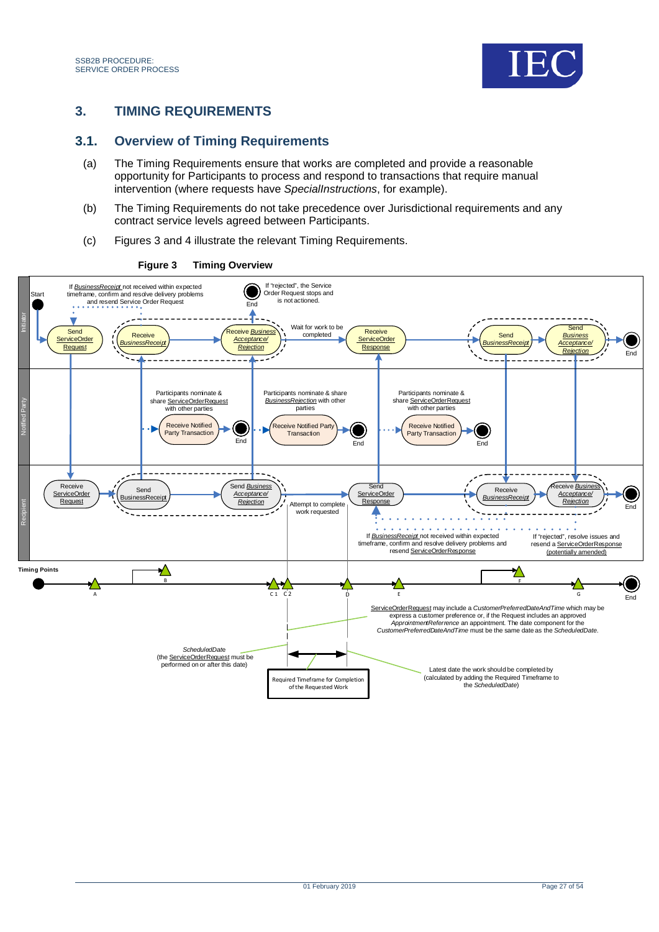

## <span id="page-26-0"></span>**3. TIMING REQUIREMENTS**

### <span id="page-26-1"></span>**3.1. Overview of Timing Requirements**

- (a) The Timing Requirements ensure that works are completed and provide a reasonable opportunity for Participants to process and respond to transactions that require manual intervention (where requests have *SpecialInstructions*, for example).
- (b) The Timing Requirements do not take precedence over Jurisdictional requirements and any contract service levels agreed between Participants.
- (c) Figures 3 and 4 illustrate the relevant Timing Requirements.



#### <span id="page-26-2"></span>**Figure 3 Timing Overview**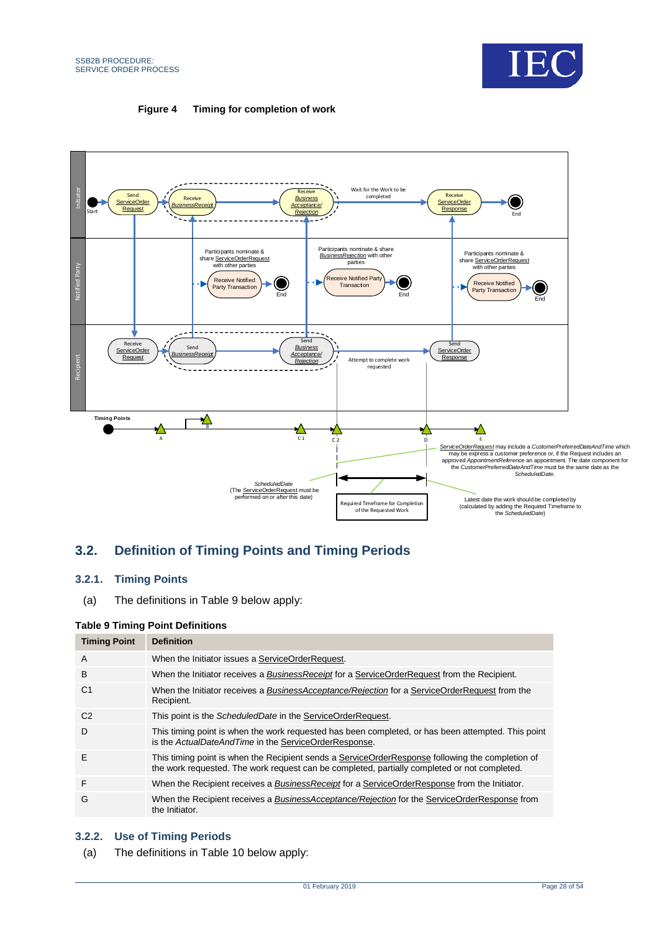

#### **Figure 4 Timing for completion of work**

<span id="page-27-2"></span>

## <span id="page-27-0"></span>**3.2. Definition of Timing Points and Timing Periods**

#### **3.2.1. Timing Points**

(a) The definitions in [Table 9](#page-27-1) below apply:

#### <span id="page-27-1"></span>**Table 9 Timing Point Definitions**

| <b>Timing Point</b> | <b>Definition</b>                                                                                                                                                                                |
|---------------------|--------------------------------------------------------------------------------------------------------------------------------------------------------------------------------------------------|
| A                   | When the Initiator issues a ServiceOrderRequest.                                                                                                                                                 |
| B                   | When the Initiator receives a Business Receipt for a Service Order Request from the Recipient.                                                                                                   |
| C <sub>1</sub>      | When the Initiator receives a BusinessAcceptance/Rejection for a ServiceOrderRequest from the<br>Recipient.                                                                                      |
| C <sub>2</sub>      | This point is the ScheduledDate in the ServiceOrderRequest.                                                                                                                                      |
| D                   | This timing point is when the work requested has been completed, or has been attempted. This point<br>is the ActualDateAndTime in the ServiceOrderResponse.                                      |
| Ε                   | This timing point is when the Recipient sends a ServiceOrderResponse following the completion of<br>the work requested. The work request can be completed, partially completed or not completed. |
| F                   | When the Recipient receives a Business Receipt for a Service Order Response from the Initiator.                                                                                                  |
| G                   | When the Recipient receives a BusinessAcceptance/Rejection for the ServiceOrderResponse from<br>the Initiator.                                                                                   |

#### **3.2.2. Use of Timing Periods**

(a) The definitions in [Table 10](#page-28-1) below apply: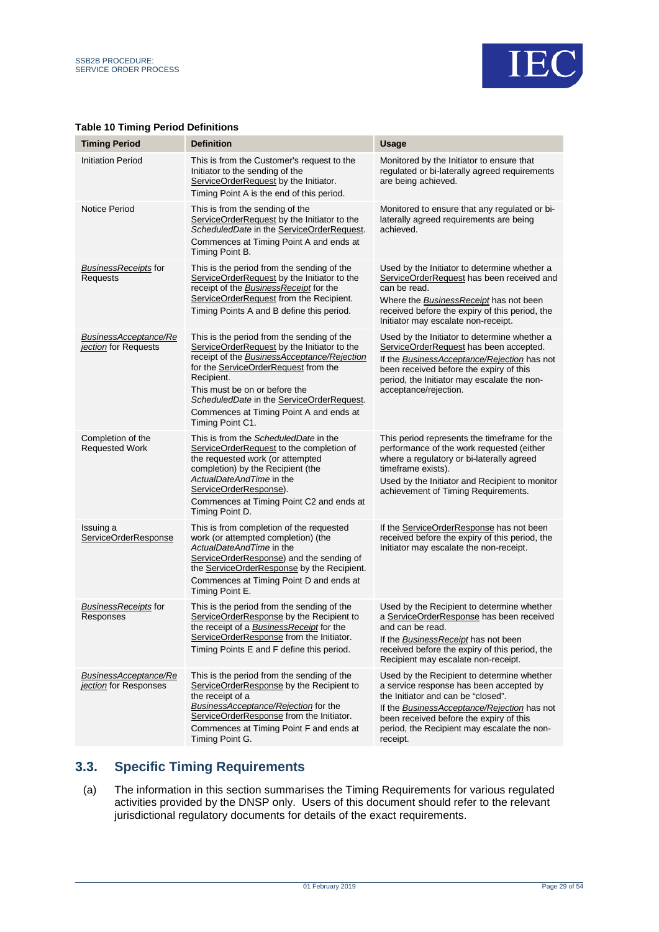

| <b>Timing Period</b>                                  | <b>Definition</b>                                                                                                                                                                                                                                                                                                                                  | <b>Usage</b>                                                                                                                                                                                                                                                                            |
|-------------------------------------------------------|----------------------------------------------------------------------------------------------------------------------------------------------------------------------------------------------------------------------------------------------------------------------------------------------------------------------------------------------------|-----------------------------------------------------------------------------------------------------------------------------------------------------------------------------------------------------------------------------------------------------------------------------------------|
| <b>Initiation Period</b>                              | This is from the Customer's request to the<br>Initiator to the sending of the<br>ServiceOrderRequest by the Initiator.<br>Timing Point A is the end of this period.                                                                                                                                                                                | Monitored by the Initiator to ensure that<br>regulated or bi-laterally agreed requirements<br>are being achieved.                                                                                                                                                                       |
| <b>Notice Period</b>                                  | This is from the sending of the<br>ServiceOrderRequest by the Initiator to the<br>ScheduledDate in the ServiceOrderRequest.<br>Commences at Timing Point A and ends at<br>Timing Point B.                                                                                                                                                          | Monitored to ensure that any regulated or bi-<br>laterally agreed requirements are being<br>achieved.                                                                                                                                                                                   |
| <b>BusinessReceipts for</b><br>Requests               | This is the period from the sending of the<br>ServiceOrderRequest by the Initiator to the<br>receipt of the <b>Business Receipt</b> for the<br>ServiceOrderRequest from the Recipient.<br>Timing Points A and B define this period.                                                                                                                | Used by the Initiator to determine whether a<br>ServiceOrderRequest has been received and<br>can be read.<br>Where the BusinessReceipt has not been<br>received before the expiry of this period, the<br>Initiator may escalate non-receipt.                                            |
| BusinessAcceptance/Re<br>jection for Requests         | This is the period from the sending of the<br>ServiceOrderRequest by the Initiator to the<br>receipt of the <b>BusinessAcceptance/Rejection</b><br>for the ServiceOrderRequest from the<br>Recipient.<br>This must be on or before the<br>ScheduledDate in the ServiceOrderRequest.<br>Commences at Timing Point A and ends at<br>Timing Point C1. | Used by the Initiator to determine whether a<br>ServiceOrderRequest has been accepted.<br>If the BusinessAcceptance/Rejection has not<br>been received before the expiry of this<br>period, the Initiator may escalate the non-<br>acceptance/rejection.                                |
| Completion of the<br><b>Requested Work</b>            | This is from the ScheduledDate in the<br>ServiceOrderRequest to the completion of<br>the requested work (or attempted<br>completion) by the Recipient (the<br>ActualDateAndTime in the<br>ServiceOrderResponse).<br>Commences at Timing Point C2 and ends at<br>Timing Point D.                                                                    | This period represents the timeframe for the<br>performance of the work requested (either<br>where a regulatory or bi-laterally agreed<br>timeframe exists).<br>Used by the Initiator and Recipient to monitor<br>achievement of Timing Requirements.                                   |
| Issuing a<br>ServiceOrderResponse                     | This is from completion of the requested<br>work (or attempted completion) (the<br>ActualDateAndTime in the<br>ServiceOrderResponse) and the sending of<br>the ServiceOrderResponse by the Recipient.<br>Commences at Timing Point D and ends at<br>Timing Point E.                                                                                | If the ServiceOrderResponse has not been<br>received before the expiry of this period, the<br>Initiator may escalate the non-receipt.                                                                                                                                                   |
| BusinessReceipts for<br>Responses                     | This is the period from the sending of the<br>ServiceOrderResponse by the Recipient to<br>the receipt of a <b>BusinessReceipt</b> for the<br>ServiceOrderResponse from the Initiator.<br>Timing Points E and F define this period.                                                                                                                 | Used by the Recipient to determine whether<br>a ServiceOrderResponse has been received<br>and can be read.<br>If the BusinessReceipt has not been<br>received before the expiry of this period, the<br>Recipient may escalate non-receipt.                                              |
| <b>BusinessAcceptance/Re</b><br>jection for Responses | This is the period from the sending of the<br>ServiceOrderResponse by the Recipient to<br>the receipt of a<br><b>BusinessAcceptance/Rejection</b> for the<br>ServiceOrderResponse from the Initiator.<br>Commences at Timing Point F and ends at<br>Timing Point G.                                                                                | Used by the Recipient to determine whether<br>a service response has been accepted by<br>the Initiator and can be "closed".<br>If the <b>BusinessAcceptance/Rejection</b> has not<br>been received before the expiry of this<br>period, the Recipient may escalate the non-<br>receipt. |

#### <span id="page-28-1"></span>**Table 10 Timing Period Definitions**

## <span id="page-28-0"></span>**3.3. Specific Timing Requirements**

(a) The information in this section summarises the Timing Requirements for various regulated activities provided by the DNSP only. Users of this document should refer to the relevant jurisdictional regulatory documents for details of the exact requirements.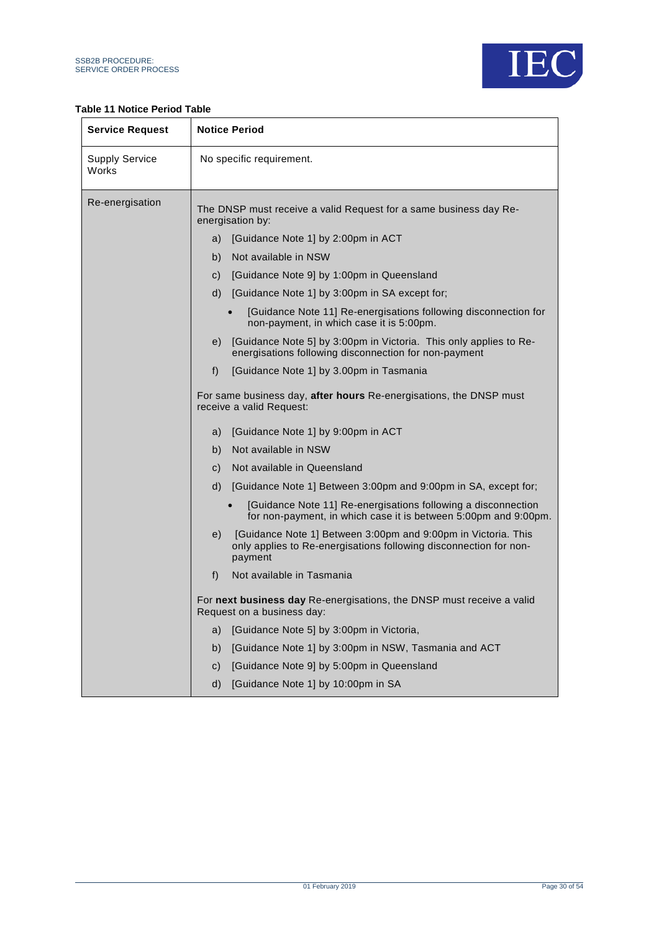

#### <span id="page-29-0"></span>**Table 11 Notice Period Table**

| <b>Service Request</b>  | <b>Notice Period</b>                                                                                                                                |  |  |  |  |  |  |
|-------------------------|-----------------------------------------------------------------------------------------------------------------------------------------------------|--|--|--|--|--|--|
| Supply Service<br>Works | No specific requirement.                                                                                                                            |  |  |  |  |  |  |
| Re-energisation         | The DNSP must receive a valid Request for a same business day Re-<br>energisation by:                                                               |  |  |  |  |  |  |
|                         | a) [Guidance Note 1] by 2:00pm in ACT                                                                                                               |  |  |  |  |  |  |
|                         | Not available in NSW<br>b)                                                                                                                          |  |  |  |  |  |  |
|                         | [Guidance Note 9] by 1:00pm in Queensland<br>C)                                                                                                     |  |  |  |  |  |  |
|                         | [Guidance Note 1] by 3:00pm in SA except for;<br>d)                                                                                                 |  |  |  |  |  |  |
|                         | [Guidance Note 11] Re-energisations following disconnection for<br>non-payment, in which case it is 5:00pm.                                         |  |  |  |  |  |  |
|                         | [Guidance Note 5] by 3:00pm in Victoria. This only applies to Re-<br>e)<br>energisations following disconnection for non-payment                    |  |  |  |  |  |  |
|                         | [Guidance Note 1] by 3.00pm in Tasmania<br>f)                                                                                                       |  |  |  |  |  |  |
|                         | For same business day, after hours Re-energisations, the DNSP must<br>receive a valid Request:                                                      |  |  |  |  |  |  |
|                         | [Guidance Note 1] by 9:00pm in ACT<br>a)                                                                                                            |  |  |  |  |  |  |
|                         | Not available in NSW<br>b)                                                                                                                          |  |  |  |  |  |  |
|                         | Not available in Queensland<br>C)                                                                                                                   |  |  |  |  |  |  |
|                         | [Guidance Note 1] Between 3:00pm and 9:00pm in SA, except for;<br>d)                                                                                |  |  |  |  |  |  |
|                         | [Guidance Note 11] Re-energisations following a disconnection<br>for non-payment, in which case it is between 5:00pm and 9:00pm.                    |  |  |  |  |  |  |
|                         | [Guidance Note 1] Between 3:00pm and 9:00pm in Victoria. This<br>e)<br>only applies to Re-energisations following disconnection for non-<br>payment |  |  |  |  |  |  |
|                         | Not available in Tasmania<br>f)                                                                                                                     |  |  |  |  |  |  |
|                         | For next business day Re-energisations, the DNSP must receive a valid<br>Request on a business day:                                                 |  |  |  |  |  |  |
|                         | [Guidance Note 5] by 3:00pm in Victoria,<br>a)                                                                                                      |  |  |  |  |  |  |
|                         | [Guidance Note 1] by 3:00pm in NSW, Tasmania and ACT<br>b)                                                                                          |  |  |  |  |  |  |
|                         | [Guidance Note 9] by 5:00pm in Queensland<br>C)                                                                                                     |  |  |  |  |  |  |
|                         | [Guidance Note 1] by 10:00pm in SA<br>d)                                                                                                            |  |  |  |  |  |  |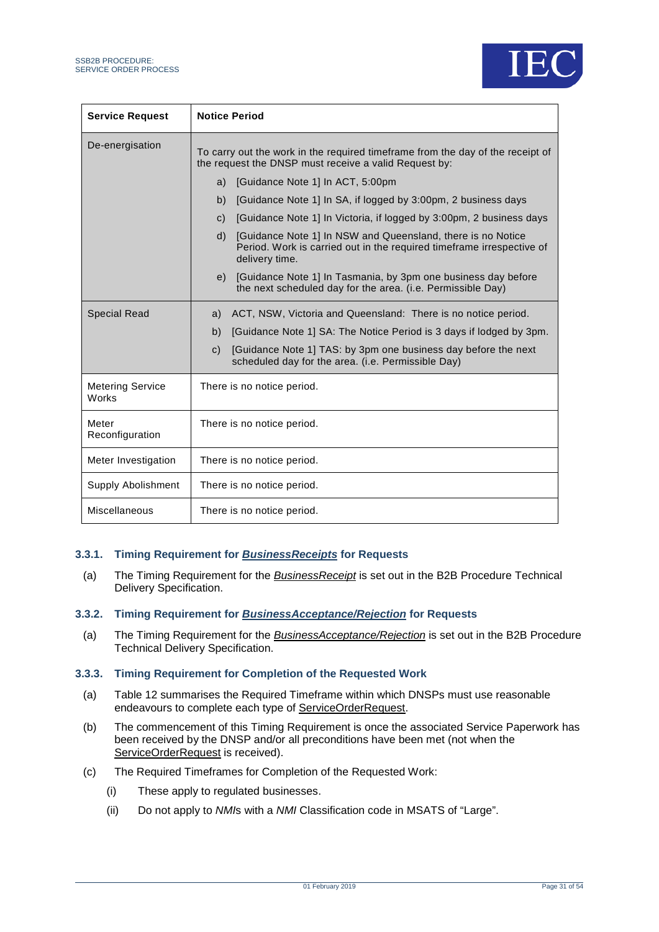

| <b>Service Request</b>           | <b>Notice Period</b>                                                                                                                                                   |
|----------------------------------|------------------------------------------------------------------------------------------------------------------------------------------------------------------------|
| De-energisation                  | To carry out the work in the required timeframe from the day of the receipt of<br>the request the DNSP must receive a valid Request by:                                |
|                                  | [Guidance Note 1] In ACT, 5:00pm<br>a)                                                                                                                                 |
|                                  | [Guidance Note 1] In SA, if logged by 3:00pm, 2 business days<br>b)                                                                                                    |
|                                  | [Guidance Note 1] In Victoria, if logged by 3:00pm, 2 business days<br>$\mathsf{C}$ )                                                                                  |
|                                  | [Guidance Note 1] In NSW and Queensland, there is no Notice<br>$\mathsf{d}$<br>Period. Work is carried out in the required timeframe irrespective of<br>delivery time. |
|                                  | [Guidance Note 1] In Tasmania, by 3pm one business day before<br>e)<br>the next scheduled day for the area. (i.e. Permissible Day)                                     |
| <b>Special Read</b>              | ACT, NSW, Victoria and Queensland: There is no notice period.<br>a)                                                                                                    |
|                                  | [Guidance Note 1] SA: The Notice Period is 3 days if lodged by 3pm.<br>b)                                                                                              |
|                                  | [Guidance Note 1] TAS: by 3pm one business day before the next<br>$\mathsf{C}$ )<br>scheduled day for the area. (i.e. Permissible Day)                                 |
| <b>Metering Service</b><br>Works | There is no notice period.                                                                                                                                             |
| Meter<br>Reconfiguration         | There is no notice period.                                                                                                                                             |
| Meter Investigation              | There is no notice period.                                                                                                                                             |
| <b>Supply Abolishment</b>        | There is no notice period.                                                                                                                                             |
| Miscellaneous                    | There is no notice period.                                                                                                                                             |

#### **3.3.1. Timing Requirement for** *BusinessReceipts* **for Requests**

(a) The Timing Requirement for the *BusinessReceipt* is set out in the B2B Procedure Technical Delivery Specification.

#### **3.3.2. Timing Requirement for** *BusinessAcceptance/Rejection* **for Requests**

(a) The Timing Requirement for the *BusinessAcceptance/Rejection* is set out in the B2B Procedure Technical Delivery Specification.

#### <span id="page-30-0"></span>**3.3.3. Timing Requirement for Completion of the Requested Work**

- (a) [Table 12](#page-31-0) summarises the Required Timeframe within which DNSPs must use reasonable endeavours to complete each type of ServiceOrderRequest.
- (b) The commencement of this Timing Requirement is once the associated Service Paperwork has been received by the DNSP and/or all preconditions have been met (not when the ServiceOrderRequest is received).
- (c) The Required Timeframes for Completion of the Requested Work:
	- (i) These apply to regulated businesses.
	- (ii) Do not apply to *NMI*s with a *NMI* Classification code in MSATS of "Large".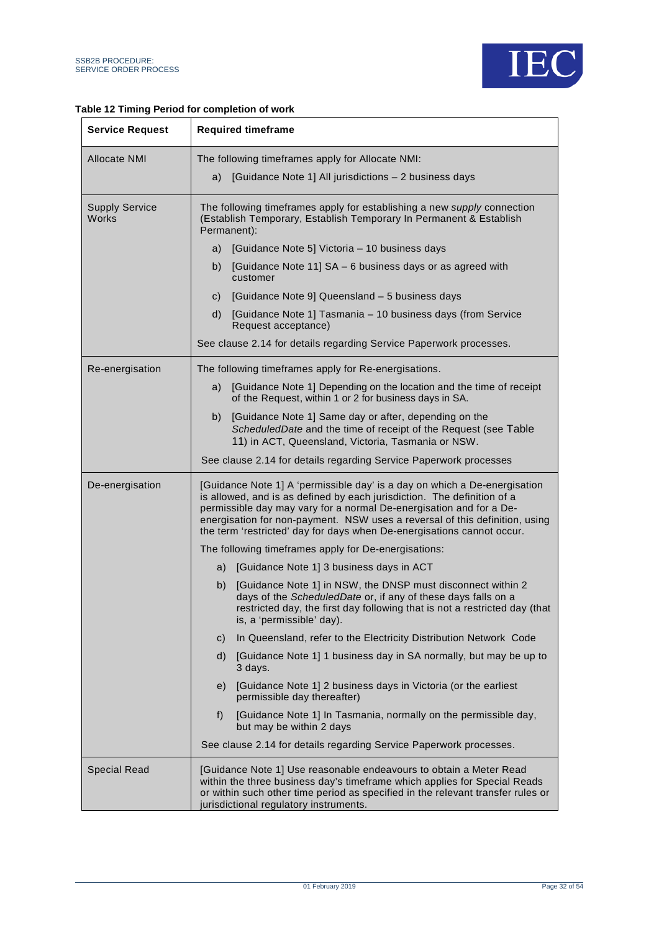

#### <span id="page-31-0"></span>**Table 12 Timing Period for completion of work**

| <b>Service Request</b>                | <b>Required timeframe</b>                                                                                                                                                                                                                                                                                                                                                            |  |  |  |  |  |  |  |
|---------------------------------------|--------------------------------------------------------------------------------------------------------------------------------------------------------------------------------------------------------------------------------------------------------------------------------------------------------------------------------------------------------------------------------------|--|--|--|--|--|--|--|
| <b>Allocate NMI</b>                   | The following timeframes apply for Allocate NMI:                                                                                                                                                                                                                                                                                                                                     |  |  |  |  |  |  |  |
|                                       | [Guidance Note 1] All jurisdictions - 2 business days<br>a)                                                                                                                                                                                                                                                                                                                          |  |  |  |  |  |  |  |
| <b>Supply Service</b><br><b>Works</b> | The following timeframes apply for establishing a new supply connection<br>(Establish Temporary, Establish Temporary In Permanent & Establish<br>Permanent):                                                                                                                                                                                                                         |  |  |  |  |  |  |  |
|                                       | [Guidance Note 5] Victoria - 10 business days<br>a)                                                                                                                                                                                                                                                                                                                                  |  |  |  |  |  |  |  |
|                                       | [Guidance Note 11] SA - 6 business days or as agreed with<br>b)<br>customer                                                                                                                                                                                                                                                                                                          |  |  |  |  |  |  |  |
|                                       | [Guidance Note 9] Queensland - 5 business days<br>C)                                                                                                                                                                                                                                                                                                                                 |  |  |  |  |  |  |  |
|                                       | [Guidance Note 1] Tasmania - 10 business days (from Service<br>d)<br>Request acceptance)                                                                                                                                                                                                                                                                                             |  |  |  |  |  |  |  |
|                                       | See clause 2.14 for details regarding Service Paperwork processes.                                                                                                                                                                                                                                                                                                                   |  |  |  |  |  |  |  |
| Re-energisation                       | The following timeframes apply for Re-energisations.                                                                                                                                                                                                                                                                                                                                 |  |  |  |  |  |  |  |
|                                       | [Guidance Note 1] Depending on the location and the time of receipt<br>a)<br>of the Request, within 1 or 2 for business days in SA.                                                                                                                                                                                                                                                  |  |  |  |  |  |  |  |
|                                       | [Guidance Note 1] Same day or after, depending on the<br>b)<br>ScheduledDate and the time of receipt of the Request (see Table<br>11) in ACT, Queensland, Victoria, Tasmania or NSW.                                                                                                                                                                                                 |  |  |  |  |  |  |  |
|                                       | See clause 2.14 for details regarding Service Paperwork processes                                                                                                                                                                                                                                                                                                                    |  |  |  |  |  |  |  |
| De-energisation                       | [Guidance Note 1] A 'permissible day' is a day on which a De-energisation<br>is allowed, and is as defined by each jurisdiction. The definition of a<br>permissible day may vary for a normal De-energisation and for a De-<br>energisation for non-payment. NSW uses a reversal of this definition, using<br>the term 'restricted' day for days when De-energisations cannot occur. |  |  |  |  |  |  |  |
|                                       | The following timeframes apply for De-energisations:                                                                                                                                                                                                                                                                                                                                 |  |  |  |  |  |  |  |
|                                       | [Guidance Note 1] 3 business days in ACT<br>a)                                                                                                                                                                                                                                                                                                                                       |  |  |  |  |  |  |  |
|                                       | [Guidance Note 1] in NSW, the DNSP must disconnect within 2<br>b)<br>days of the ScheduledDate or, if any of these days falls on a<br>restricted day, the first day following that is not a restricted day (that<br>is, a 'permissible' day).                                                                                                                                        |  |  |  |  |  |  |  |
|                                       | In Queensland, refer to the Electricity Distribution Network Code<br>$\mathsf{C}$                                                                                                                                                                                                                                                                                                    |  |  |  |  |  |  |  |
|                                       | [Guidance Note 1] 1 business day in SA normally, but may be up to<br>d)<br>3 days.                                                                                                                                                                                                                                                                                                   |  |  |  |  |  |  |  |
|                                       | [Guidance Note 1] 2 business days in Victoria (or the earliest<br>e)<br>permissible day thereafter)                                                                                                                                                                                                                                                                                  |  |  |  |  |  |  |  |
|                                       | f)<br>[Guidance Note 1] In Tasmania, normally on the permissible day,<br>but may be within 2 days                                                                                                                                                                                                                                                                                    |  |  |  |  |  |  |  |
|                                       | See clause 2.14 for details regarding Service Paperwork processes.                                                                                                                                                                                                                                                                                                                   |  |  |  |  |  |  |  |
| <b>Special Read</b>                   | [Guidance Note 1] Use reasonable endeavours to obtain a Meter Read<br>within the three business day's timeframe which applies for Special Reads<br>or within such other time period as specified in the relevant transfer rules or<br>jurisdictional regulatory instruments.                                                                                                         |  |  |  |  |  |  |  |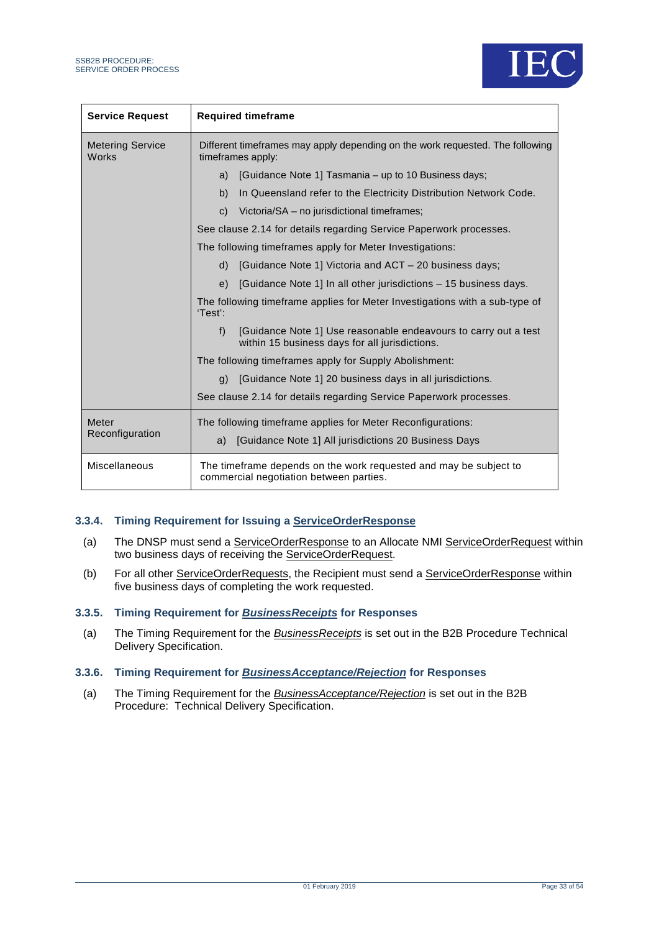

| <b>Service Request</b>                  | <b>Required timeframe</b>                                                                                              |  |  |  |  |  |
|-----------------------------------------|------------------------------------------------------------------------------------------------------------------------|--|--|--|--|--|
| <b>Metering Service</b><br><b>Works</b> | Different timeframes may apply depending on the work requested. The following<br>timeframes apply:                     |  |  |  |  |  |
|                                         | [Guidance Note 1] Tasmania – up to 10 Business days;<br>a)                                                             |  |  |  |  |  |
|                                         | In Queensland refer to the Electricity Distribution Network Code.<br>b)                                                |  |  |  |  |  |
|                                         | Victoria/SA – no jurisdictional timeframes;<br>$\mathbf{C}$                                                            |  |  |  |  |  |
|                                         | See clause 2.14 for details regarding Service Paperwork processes.                                                     |  |  |  |  |  |
|                                         | The following timeframes apply for Meter Investigations:                                                               |  |  |  |  |  |
|                                         | [Guidance Note 1] Victoria and ACT – 20 business days:<br>$\mathsf{d}$                                                 |  |  |  |  |  |
|                                         | [Guidance Note 1] In all other jurisdictions – 15 business days.<br>e)                                                 |  |  |  |  |  |
|                                         | The following timeframe applies for Meter Investigations with a sub-type of<br>'Test':                                 |  |  |  |  |  |
|                                         | [Guidance Note 1] Use reasonable endeavours to carry out a test<br>f<br>within 15 business days for all jurisdictions. |  |  |  |  |  |
|                                         | The following timeframes apply for Supply Abolishment:                                                                 |  |  |  |  |  |
|                                         | [Guidance Note 1] 20 business days in all jurisdictions.<br>q)                                                         |  |  |  |  |  |
|                                         | See clause 2.14 for details regarding Service Paperwork processes.                                                     |  |  |  |  |  |
| Meter                                   | The following timeframe applies for Meter Reconfigurations:                                                            |  |  |  |  |  |
| Reconfiguration                         | [Guidance Note 1] All jurisdictions 20 Business Days<br>a)                                                             |  |  |  |  |  |
| Miscellaneous                           | The timeframe depends on the work requested and may be subject to<br>commercial negotiation between parties.           |  |  |  |  |  |

#### **3.3.4. Timing Requirement for Issuing a ServiceOrderResponse**

- (a) The DNSP must send a ServiceOrderResponse to an Allocate NMI ServiceOrderRequest within two business days of receiving the ServiceOrderRequest.
- (b) For all other ServiceOrderRequests, the Recipient must send a ServiceOrderResponse within five business days of completing the work requested.

#### **3.3.5. Timing Requirement for** *BusinessReceipts* **for Responses**

(a) The Timing Requirement for the *BusinessReceipts* is set out in the B2B Procedure Technical Delivery Specification.

#### **3.3.6. Timing Requirement for** *BusinessAcceptance/Rejection* **for Responses**

(a) The Timing Requirement for the *BusinessAcceptance/Rejection* is set out in the B2B Procedure: Technical Delivery Specification.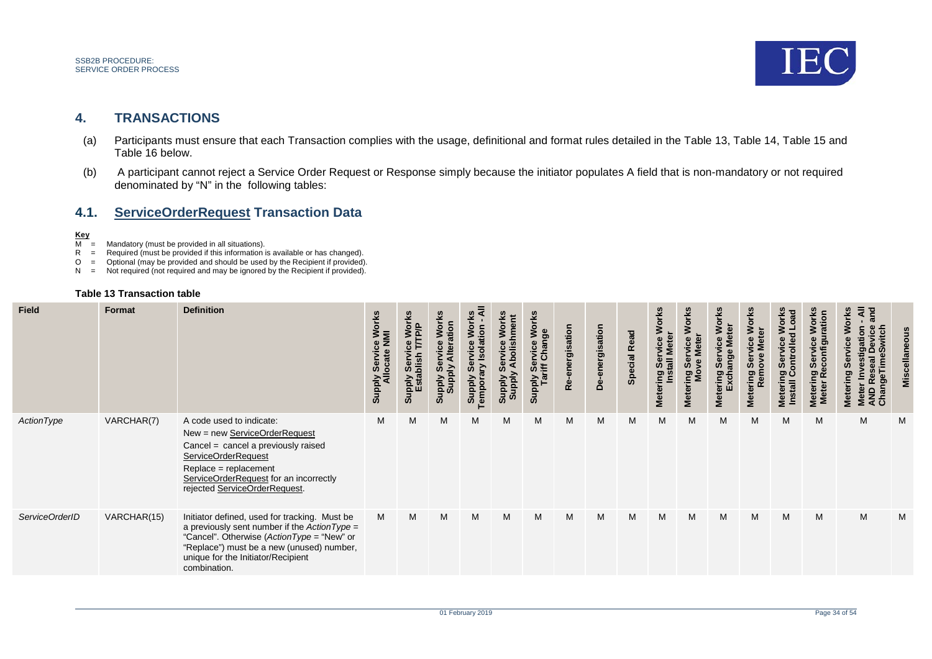

### **4. TRANSACTIONS**

- (a) Participants must ensure that each Transaction complies with the usage, definitional and format rules detailed in the [Table 13,](#page-33-3) [Table 14,](#page-48-2) [Table 15](#page-50-2) and [Table 16](#page-51-1) below.
- (b) A participant cannot reject a Service Order Request or Response simply because the initiator populates A field that is non-mandatory or not required denominated by "N" in the following tables:

### **4.1. ServiceOrderRequest Transaction Data**

#### **Key**

- $\overline{M}$  = Mandatory (must be provided in all situations).
- $R$  = Required (must be provided if this information is available or has changed).
- $O =$  Optional (may be provided and should be used by the Recipient if provided).
- $N =$  Not required (not required and may be ignored by the Recipient if provided).

#### <span id="page-33-3"></span><span id="page-33-1"></span><span id="page-33-0"></span>**Table 13 Transaction table**

<span id="page-33-2"></span>

| <b>Field</b>   | Format      | <b>Definition</b>                                                                                                                                                                                                                               | r Service Work<br>Ilocate NMI<br><b>Ily<br/>Alddng</b> | , Works<br>TP/P<br>Servi<br>blish<br>Supply<br>Estal | <b>Works</b><br>noits<br><b>Alddns</b><br>Shiddns | tion<br>Supply<br>Tempora | O<br><b>Supply</b><br>Supply | <b>Works</b><br>Supply Service We<br>Tariff Change | rgisation<br>$\alpha$ | De-energisation | <b>Special Read</b> | <b>Works</b><br>ing Service<br>Install Meter<br><b>Metering</b> | ဖိ<br>panin<br>Mo<br>Σ. | <b>Works</b><br>ē<br><u>ຮ ≝</u><br>ange<br>Ser<br>Metering<br>Excha | <b>Works</b><br>៵<br>õ<br>vice<br>Ser<br>emov<br>Metering | orks<br><b>Load</b><br>ontrolle<br>တိ<br>စ္တပ္ပ<br>Install<br>Meteri | ≳<br>ທ<br>တကိ<br>Mete<br>Mete | Mete<br>AND<br>Chai<br>Š |   |
|----------------|-------------|-------------------------------------------------------------------------------------------------------------------------------------------------------------------------------------------------------------------------------------------------|--------------------------------------------------------|------------------------------------------------------|---------------------------------------------------|---------------------------|------------------------------|----------------------------------------------------|-----------------------|-----------------|---------------------|-----------------------------------------------------------------|-------------------------|---------------------------------------------------------------------|-----------------------------------------------------------|----------------------------------------------------------------------|-------------------------------|--------------------------|---|
| ActionType     | VARCHAR(7)  | A code used to indicate:<br>New = new ServiceOrderRequest<br>Cancel = cancel a previously raised<br>ServiceOrderRequest<br>Replace = replacement<br>ServiceOrderRequest for an incorrectly<br>rejected ServiceOrderRequest.                     | M                                                      | M                                                    | м                                                 | М                         | M                            | М                                                  | M                     | M               | M                   | M                                                               | M                       | M                                                                   | M                                                         | M                                                                    | M                             | M                        | M |
| ServiceOrderID | VARCHAR(15) | Initiator defined, used for tracking. Must be<br>a previously sent number if the Action Type =<br>"Cancel". Otherwise (ActionType = "New" or<br>"Replace") must be a new (unused) number,<br>unique for the Initiator/Recipient<br>combination. | M                                                      | M                                                    | M                                                 | M                         | M                            | M                                                  | M                     | M               | M                   | M                                                               | M                       | M                                                                   | M                                                         | M                                                                    | M                             | M                        | M |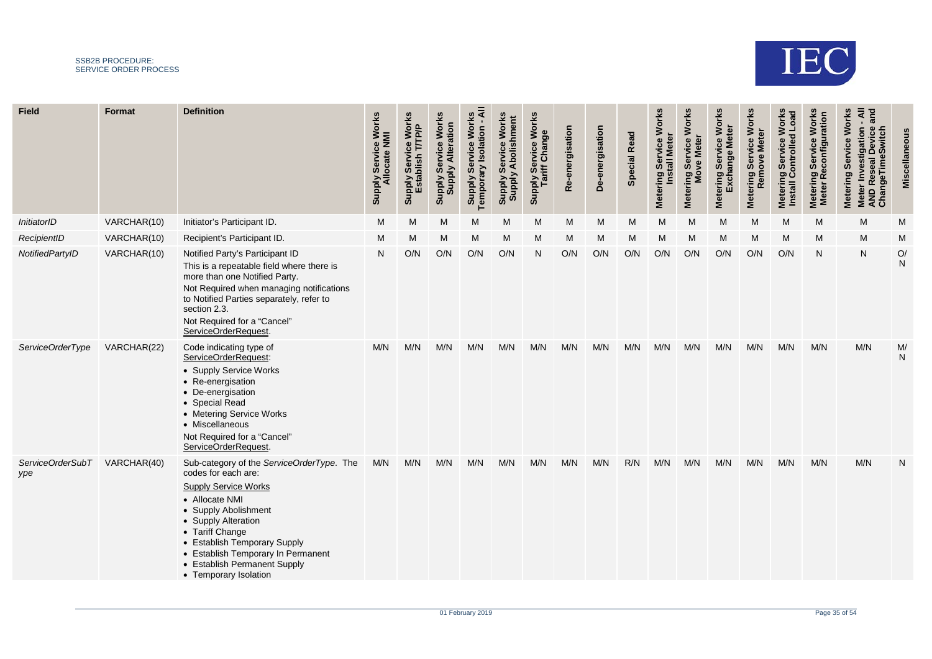

| Field                   | <b>Format</b> | <b>Definition</b>                                                                                                                                                                                                                                                                                                  | <b>Works</b><br>ply Service Wo<br>Allocate NMI<br><b>Supply</b> | <b>Works</b><br>T/TP/P<br>5<br><b>haild</b><br>Ser<br>stal<br><b>Supply</b> | <b>Works</b><br><b>Supply Service Worl<br/>Supply Alteration</b> | ⋖<br><b>Work</b><br><b>Temporary Isolation</b><br>Service<br><b>Supply</b> | Works<br><b>Iment</b><br>တိ<br><b>Supply</b><br>Supply | <b>Works</b><br><b>bly Service Wo<br/>Tariff Change</b><br><b>Supply</b> | energisation<br>Ò<br>œ | De-energisation | <b>Read</b><br><b>Special</b> | <b>Works</b><br><u>ဇီ</u><br>ing Servic<br>Install Me<br><b>Metering</b> | <b>Works</b><br>Service<br><b>Mete</b><br>Metering Ser<br>Move l | <b>Works</b><br>Servi<br>xchange<br>ering<br>Met | <b>Metering Service Works</b><br>Remove Meter | <b>Works</b><br>Metering Service Works<br>Install Controlled Load | <b>Works</b><br>ation<br>vice<br>confi<br>Ser<br>۱œ<br><b>Metering</b><br><b>Meter</b> | Works<br>āñ<br>Meter Investigation -<br>AND Reseal Device a<br>ChangeTimeSwitch<br><b>Service</b><br>Metering |                    |
|-------------------------|---------------|--------------------------------------------------------------------------------------------------------------------------------------------------------------------------------------------------------------------------------------------------------------------------------------------------------------------|-----------------------------------------------------------------|-----------------------------------------------------------------------------|------------------------------------------------------------------|----------------------------------------------------------------------------|--------------------------------------------------------|--------------------------------------------------------------------------|------------------------|-----------------|-------------------------------|--------------------------------------------------------------------------|------------------------------------------------------------------|--------------------------------------------------|-----------------------------------------------|-------------------------------------------------------------------|----------------------------------------------------------------------------------------|---------------------------------------------------------------------------------------------------------------|--------------------|
| InitiatorID             | VARCHAR(10)   | Initiator's Participant ID.                                                                                                                                                                                                                                                                                        | M                                                               | M                                                                           | M                                                                | M                                                                          | M                                                      | M                                                                        | M                      | M               | M                             | M                                                                        | M                                                                | M                                                | M                                             | M                                                                 | M                                                                                      | M                                                                                                             | M                  |
| RecipientID             | VARCHAR(10)   | Recipient's Participant ID.                                                                                                                                                                                                                                                                                        | M                                                               | M                                                                           | М                                                                | M                                                                          | M                                                      | М                                                                        | M                      | М               | M                             | M                                                                        | M                                                                | M                                                | М                                             | M                                                                 | M                                                                                      | M                                                                                                             | M                  |
| NotifiedPartyID         | VARCHAR(10)   | Notified Party's Participant ID<br>This is a repeatable field where there is<br>more than one Notified Party.<br>Not Required when managing notifications<br>to Notified Parties separately, refer to<br>section 2.3.<br>Not Required for a "Cancel"<br>ServiceOrderRequest.                                       | N                                                               | O/N                                                                         | O/N                                                              | O/N                                                                        | O/N                                                    | N                                                                        | O/N                    | O/N             | O/N                           | O/N                                                                      | O/N                                                              | O/N                                              | O/N                                           | O/N                                                               | N                                                                                      | N                                                                                                             | O/<br>$\mathsf{N}$ |
| ServiceOrderType        | VARCHAR(22)   | Code indicating type of<br>ServiceOrderRequest:<br>• Supply Service Works<br>• Re-energisation<br>• De-energisation<br>• Special Read<br>• Metering Service Works<br>• Miscellaneous<br>Not Required for a "Cancel"<br>ServiceOrderRequest.                                                                        | M/N                                                             | M/N                                                                         | M/N                                                              | M/N                                                                        | M/N                                                    | M/N                                                                      | M/N                    | M/N             | M/N                           | M/N                                                                      | M/N                                                              | M/N                                              | M/N                                           | M/N                                                               | M/N                                                                                    | M/N                                                                                                           | M/<br>N            |
| ServiceOrderSubT<br>ype | VARCHAR(40)   | Sub-category of the ServiceOrderType. The<br>codes for each are:<br><b>Supply Service Works</b><br>• Allocate NMI<br>• Supply Abolishment<br>• Supply Alteration<br>• Tariff Change<br>• Establish Temporary Supply<br>• Establish Temporary In Permanent<br>• Establish Permanent Supply<br>• Temporary Isolation | M/N                                                             | M/N                                                                         | M/N                                                              | M/N                                                                        | M/N                                                    | M/N                                                                      | M/N                    | M/N             | R/N                           | M/N                                                                      | M/N                                                              | M/N                                              | M/N                                           | M/N                                                               | M/N                                                                                    | M/N                                                                                                           | N                  |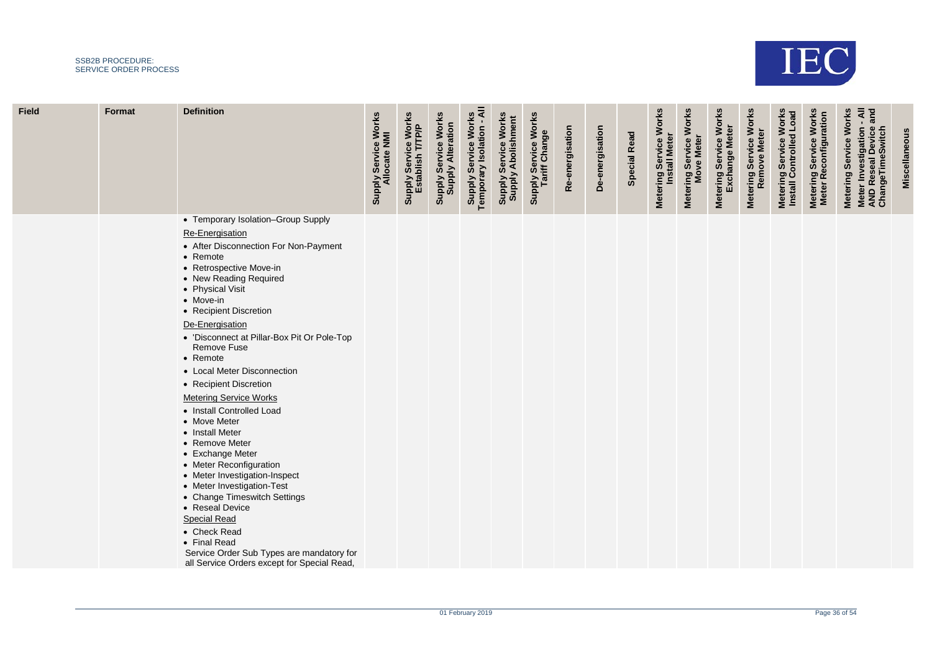

| <b>Field</b> | Format | <b>Definition</b>                                                                                                                                                                                                                                                                                                                                                                                                                                                                                                                                                                                                                                                                                                                                                                                                       | <b>Supply Service Works</b><br>Allocate NMI | Supply Service Works<br>Establish T/TP/P | <b>Supply Service Works</b><br>Supply Alteration | Supply Service Works<br>Temporary Isolation - All | <b>Supply Service Works</b><br>Supply Abolishment | Supply Service Works<br>Tariff Change | Re-energisation | De-energisation | Special Read | Metering Service Works<br><b>Install Meter</b> | Metering Service Works<br>Move Meter | <b>Metering Service Works</b><br>Exchange Meter | Metering Service Works<br>Remove Meter | <b>Metering Service Works</b><br>Install Controlled Load | Metering Service Works<br>Meter Reconfiguration | Meter Investigation - All<br>AND Reseal Device and<br>ChangeTimeSwitch<br>Metering Service Works | Miscellaneous |
|--------------|--------|-------------------------------------------------------------------------------------------------------------------------------------------------------------------------------------------------------------------------------------------------------------------------------------------------------------------------------------------------------------------------------------------------------------------------------------------------------------------------------------------------------------------------------------------------------------------------------------------------------------------------------------------------------------------------------------------------------------------------------------------------------------------------------------------------------------------------|---------------------------------------------|------------------------------------------|--------------------------------------------------|---------------------------------------------------|---------------------------------------------------|---------------------------------------|-----------------|-----------------|--------------|------------------------------------------------|--------------------------------------|-------------------------------------------------|----------------------------------------|----------------------------------------------------------|-------------------------------------------------|--------------------------------------------------------------------------------------------------|---------------|
|              |        | • Temporary Isolation-Group Supply<br>Re-Energisation<br>• After Disconnection For Non-Payment<br>• Remote<br>• Retrospective Move-in<br>• New Reading Required<br>• Physical Visit<br>• Move-in<br>• Recipient Discretion<br>De-Energisation<br>• 'Disconnect at Pillar-Box Pit Or Pole-Top<br>Remove Fuse<br>• Remote<br>• Local Meter Disconnection<br>• Recipient Discretion<br><b>Metering Service Works</b><br>• Install Controlled Load<br>• Move Meter<br>• Install Meter<br>• Remove Meter<br>• Exchange Meter<br>• Meter Reconfiguration<br>• Meter Investigation-Inspect<br>• Meter Investigation-Test<br>• Change Timeswitch Settings<br>• Reseal Device<br><b>Special Read</b><br>• Check Read<br>• Final Read<br>Service Order Sub Types are mandatory for<br>all Service Orders except for Special Read, |                                             |                                          |                                                  |                                                   |                                                   |                                       |                 |                 |              |                                                |                                      |                                                 |                                        |                                                          |                                                 |                                                                                                  |               |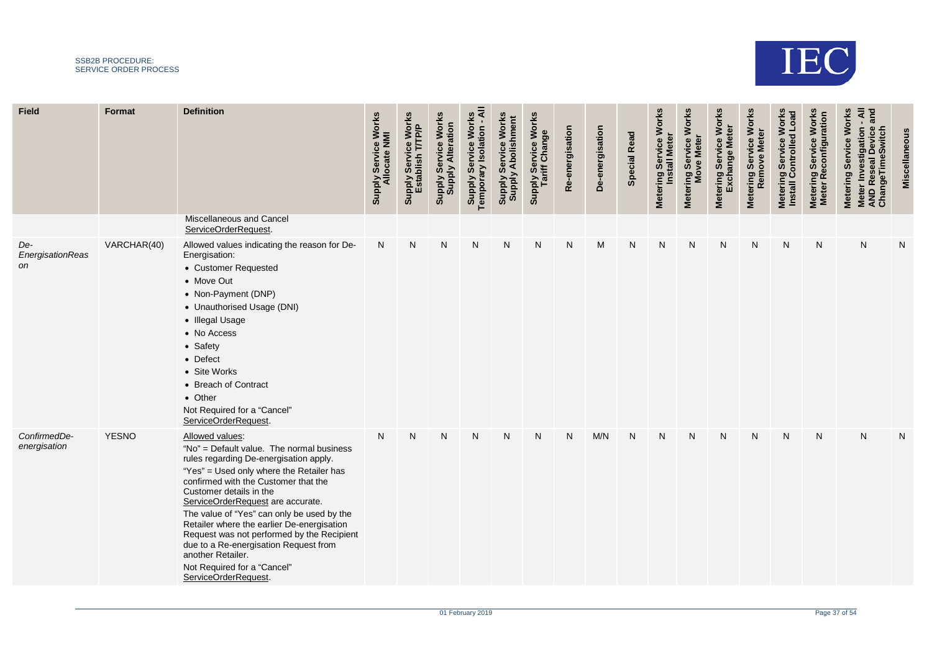

| <b>Field</b>                  | Format       | <b>Definition</b>                                                                                                                                                                                                                                                                                                                                                                                                                                                                                                         | ' Service Works<br>llocate NMI<br>Ily<br>AlddnS | Service Works<br>TTTP/P<br>Supply Servic<br>Establish <sup>1</sup> | <b>Works</b><br><b>Supply Alteration</b><br>Service<br><b>Supply</b> | ₹<br><b>Works</b><br><b>Supply Service Work</b><br>Temporary Isolation - | Works<br>shment<br>ဗီ<br>ii<br>S<br>Servi<br>⋖<br><b>Adding</b><br>Shidding | Supply Service Works<br>Tariff Change | Re-energisation | De-energisation | <b>Special Read</b> | Metering Service Works<br><b>Install Meter</b> | <b>Works</b><br>Metering Service<br>Move Meter | Metering Service Works<br>Exchange Meter | Metering Service Works<br>Remove Meter | <b>Works</b><br>Metering Service Works<br>Install Controlled Load | <b>Works</b><br>ation<br>Service<br>Metering Service<br>Meter Reconfigu | and<br><b>Works</b><br>₹<br>Meter Investigation -<br>AND Reseal Device a<br>ChangeTimeSwitch<br>Service<br>Metering |   |
|-------------------------------|--------------|---------------------------------------------------------------------------------------------------------------------------------------------------------------------------------------------------------------------------------------------------------------------------------------------------------------------------------------------------------------------------------------------------------------------------------------------------------------------------------------------------------------------------|-------------------------------------------------|--------------------------------------------------------------------|----------------------------------------------------------------------|--------------------------------------------------------------------------|-----------------------------------------------------------------------------|---------------------------------------|-----------------|-----------------|---------------------|------------------------------------------------|------------------------------------------------|------------------------------------------|----------------------------------------|-------------------------------------------------------------------|-------------------------------------------------------------------------|---------------------------------------------------------------------------------------------------------------------|---|
|                               |              | Miscellaneous and Cancel<br>ServiceOrderRequest.                                                                                                                                                                                                                                                                                                                                                                                                                                                                          |                                                 |                                                                    |                                                                      |                                                                          |                                                                             |                                       |                 |                 |                     |                                                |                                                |                                          |                                        |                                                                   |                                                                         |                                                                                                                     |   |
| De-<br>EnergisationReas<br>on | VARCHAR(40)  | Allowed values indicating the reason for De-<br>Energisation:<br>• Customer Requested<br>• Move Out<br>• Non-Payment (DNP)<br>• Unauthorised Usage (DNI)<br>• Illegal Usage<br>• No Access<br>• Safety<br>• Defect<br>• Site Works<br>• Breach of Contract<br>• Other<br>Not Required for a "Cancel"<br>ServiceOrderRequest.                                                                                                                                                                                              | N                                               | N                                                                  | N                                                                    | N                                                                        | N                                                                           | N                                     | N               | M               | N                   | N                                              | N                                              | N                                        | N                                      | N                                                                 | N                                                                       | N                                                                                                                   | N |
| ConfirmedDe-<br>energisation  | <b>YESNO</b> | Allowed values:<br>"No" = Default value. The normal business<br>rules regarding De-energisation apply.<br>"Yes" = Used only where the Retailer has<br>confirmed with the Customer that the<br>Customer details in the<br>ServiceOrderRequest are accurate.<br>The value of "Yes" can only be used by the<br>Retailer where the earlier De-energisation<br>Request was not performed by the Recipient<br>due to a Re-energisation Request from<br>another Retailer.<br>Not Required for a "Cancel"<br>ServiceOrderRequest. | $\mathsf{N}$                                    | N                                                                  | N                                                                    | N                                                                        | N                                                                           | N                                     | N               | M/N             | N                   | N                                              | N                                              | N                                        | N                                      | N                                                                 | N                                                                       | N                                                                                                                   | N |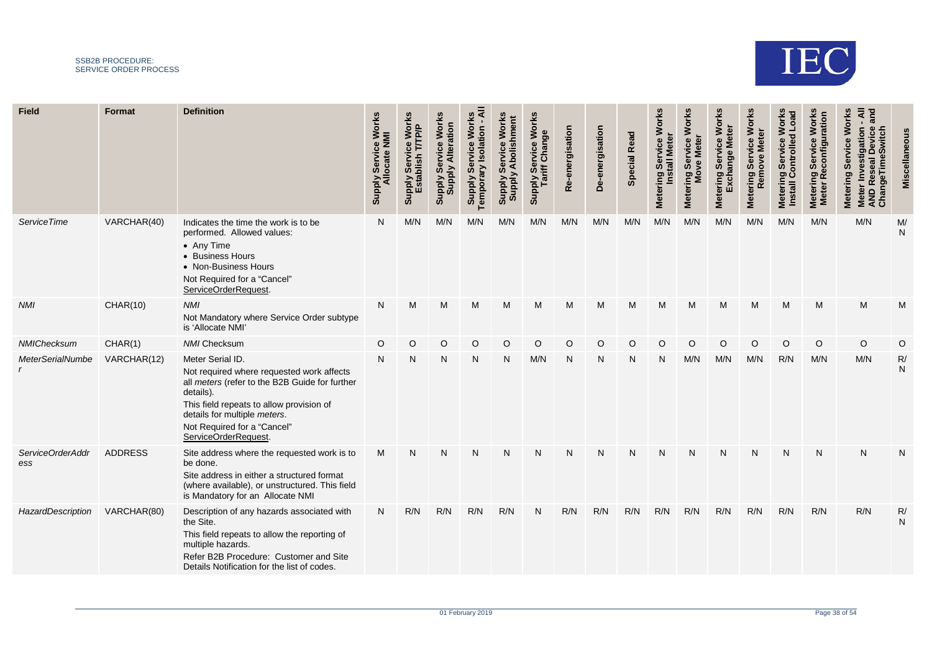

| Field                   | Format          | <b>Definition</b>                                                                                                                                                                                                                                               | <b>Works</b><br>Allocate NMI<br>Service<br><b>Supply</b> | <b>Works</b><br><b>TPP</b><br>Šēr<br><b>Supply</b> | <b>Works</b><br><b>Supply Service Worl<br/>Supply Alteration</b> | ⋖<br>Work<br>tion<br>Servi<br>Σ<br><b>Temporal</b><br><b>Supply</b> | Works<br>εñ<br><b>Addns</b><br><b>Suppl</b> | <b>Works</b><br>Service Wo<br>riff Change<br>ariff<br><b>Supply</b> | energisation<br>ø<br>$\alpha$ | De-energisation | <b>Read</b><br>Special | <b>Works</b><br>ဗီ<br>5<br>ing Ser<br>Install M<br>Metering | <b>Works</b><br>Net<br>Ser<br>Metering Ser<br>Move | Works<br>hange<br>৯<br>Ŏ,<br>tering<br>Met | <b>Works</b><br>ă<br>Service<br>led<br>⊠<br>ove<br>Metering | <b>Works</b><br><b>Load</b><br>Controlle<br>5<br><u>င်္</u><br>ರಾ<br>Meterin<br><b>Install</b> | <b>Works</b><br>ation<br>Ser<br><b>Metering</b><br><b>Meter</b> | ᅙ<br>Servic<br>Ŵ,<br>geTim<br><b>Metering</b><br>AND<br>Chang<br>$\frac{1}{2}$ |                    |
|-------------------------|-----------------|-----------------------------------------------------------------------------------------------------------------------------------------------------------------------------------------------------------------------------------------------------------------|----------------------------------------------------------|----------------------------------------------------|------------------------------------------------------------------|---------------------------------------------------------------------|---------------------------------------------|---------------------------------------------------------------------|-------------------------------|-----------------|------------------------|-------------------------------------------------------------|----------------------------------------------------|--------------------------------------------|-------------------------------------------------------------|------------------------------------------------------------------------------------------------|-----------------------------------------------------------------|--------------------------------------------------------------------------------|--------------------|
| <b>ServiceTime</b>      | VARCHAR(40)     | Indicates the time the work is to be<br>performed. Allowed values:<br>• Any Time<br>• Business Hours<br>• Non-Business Hours<br>Not Required for a "Cancel"<br>ServiceOrderRequest.                                                                             | N                                                        | M/N                                                | M/N                                                              | M/N                                                                 | M/N                                         | M/N                                                                 | M/N                           | M/N             | M/N                    | M/N                                                         | M/N                                                | M/N                                        | M/N                                                         | M/N                                                                                            | M/N                                                             | M/N                                                                            | M/<br>${\sf N}$    |
| <b>NMI</b>              | <b>CHAR(10)</b> | <b>NMI</b><br>Not Mandatory where Service Order subtype<br>is 'Allocate NMI'                                                                                                                                                                                    | N                                                        | M                                                  | M                                                                | M                                                                   | M                                           | М                                                                   | M                             | М               | M                      | M                                                           | M                                                  | M                                          | M                                                           | M                                                                                              | M                                                               | M                                                                              | M                  |
| NMIChecksum             | CHAR(1)         | <b>NMI Checksum</b>                                                                                                                                                                                                                                             | O                                                        | O                                                  | O                                                                | O                                                                   | $\circ$                                     | O                                                                   | $\circ$                       | O               | O                      | O                                                           | O                                                  | O                                          | $\circ$                                                     | $\circ$                                                                                        | $\circ$                                                         | O                                                                              | O                  |
| <b>MeterSerialNumbe</b> | VARCHAR(12)     | Meter Serial ID.<br>Not required where requested work affects<br>all meters (refer to the B2B Guide for further<br>details).<br>This field repeats to allow provision of<br>details for multiple meters.<br>Not Required for a "Cancel"<br>ServiceOrderRequest. | N                                                        | N                                                  | N                                                                | N                                                                   | N                                           | M/N                                                                 | N                             | N               | N                      | N                                                           | M/N                                                | M/N                                        | M/N                                                         | R/N                                                                                            | M/N                                                             | M/N                                                                            | R/<br>${\sf N}$    |
| ServiceOrderAddr<br>ess | <b>ADDRESS</b>  | Site address where the requested work is to<br>be done.<br>Site address in either a structured format<br>(where available), or unstructured. This field<br>is Mandatory for an Allocate NMI                                                                     | M                                                        | N                                                  | N                                                                | N                                                                   | N                                           | N                                                                   | N                             | N               | N                      | N                                                           | N                                                  | N                                          | N                                                           | N                                                                                              | N                                                               | N                                                                              | N                  |
| HazardDescription       | VARCHAR(80)     | Description of any hazards associated with<br>the Site.<br>This field repeats to allow the reporting of<br>multiple hazards.<br>Refer B2B Procedure: Customer and Site<br>Details Notification for the list of codes.                                           | N                                                        | R/N                                                | R/N                                                              | R/N                                                                 | R/N                                         | N                                                                   | R/N                           | R/N             | R/N                    | R/N                                                         | R/N                                                | R/N                                        | R/N                                                         | R/N                                                                                            | R/N                                                             | R/N                                                                            | R/<br>$\mathsf{N}$ |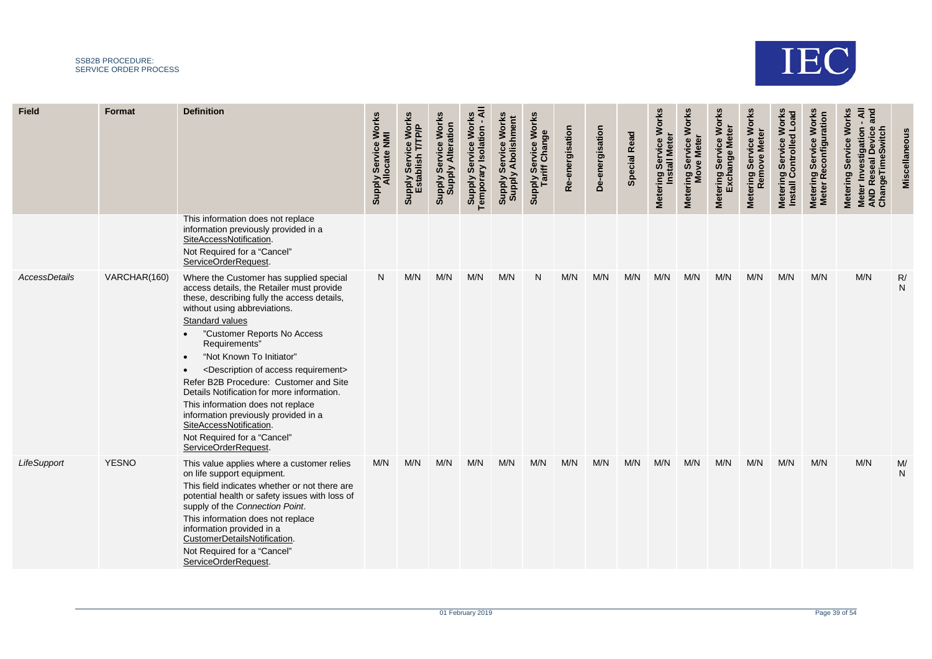

| <b>Field</b>  | Format       | <b>Definition</b>                                                                                                                                                                                                                                                                                                                                                                                                                                                                                                                                                                                                                                            | Supply Service Works<br>Allocate NMI | Service Works<br>T/TP/P<br><b>Supply Servic</b><br>Establish <sup>-</sup> | <b>Works</b><br>Supply Service Worl<br>Supply Alteration | ৰ<br>Work<br><b>Supply Service Wore</b><br>Temporary Isolation | Work<br><b>Abolis</b><br>တိ<br><b>Addns</b><br>Shiddns | Supply Service Works<br>Tariff Change | e-energisation<br>$\alpha$ | De-energisation | <b>Special Read</b> | <b>Works</b><br>ring Service V<br>Install Meter<br><b>Metering</b> | <b>Works</b><br>Metering Service<br>Move Meter | <b>Works</b><br><b>Meter</b><br>e<br>C<br>Servi<br>Exchange<br><b>Metering</b> | Metering Service Works<br>Remove Meter | <b>Works</b><br>Metering Service Works<br>Install Controlled Load | <b>Works</b><br>ration<br>Metering Service<br>Meter Reconfigu | and<br><b>Works</b><br>Meter Investigation<br>AND Reseal Device<br>ChangeTimeSwitch<br>Service<br><b>Metering</b> |                 |
|---------------|--------------|--------------------------------------------------------------------------------------------------------------------------------------------------------------------------------------------------------------------------------------------------------------------------------------------------------------------------------------------------------------------------------------------------------------------------------------------------------------------------------------------------------------------------------------------------------------------------------------------------------------------------------------------------------------|--------------------------------------|---------------------------------------------------------------------------|----------------------------------------------------------|----------------------------------------------------------------|--------------------------------------------------------|---------------------------------------|----------------------------|-----------------|---------------------|--------------------------------------------------------------------|------------------------------------------------|--------------------------------------------------------------------------------|----------------------------------------|-------------------------------------------------------------------|---------------------------------------------------------------|-------------------------------------------------------------------------------------------------------------------|-----------------|
|               |              | This information does not replace<br>information previously provided in a<br>SiteAccessNotification.<br>Not Required for a "Cancel"<br>ServiceOrderRequest                                                                                                                                                                                                                                                                                                                                                                                                                                                                                                   |                                      |                                                                           |                                                          |                                                                |                                                        |                                       |                            |                 |                     |                                                                    |                                                |                                                                                |                                        |                                                                   |                                                               |                                                                                                                   |                 |
| AccessDetails | VARCHAR(160) | Where the Customer has supplied special<br>access details, the Retailer must provide<br>these, describing fully the access details,<br>without using abbreviations.<br><b>Standard values</b><br>"Customer Reports No Access<br>Requirements"<br>"Not Known To Initiator"<br>$\bullet$<br><description access="" of="" requirement=""><br/><math display="inline">\bullet</math><br/>Refer B2B Procedure: Customer and Site<br/>Details Notification for more information.<br/>This information does not replace<br/>information previously provided in a<br/>SiteAccessNotification.<br/>Not Required for a "Cancel"<br/>ServiceOrderRequest.</description> | N <sub>1</sub>                       | M/N                                                                       | M/N                                                      | M/N                                                            | M/N                                                    | N                                     | M/N                        | M/N             | M/N                 | M/N                                                                | M/N                                            | M/N                                                                            | M/N                                    | M/N                                                               | M/N                                                           | M/N                                                                                                               | R/<br>${\sf N}$ |
| LifeSupport   | <b>YESNO</b> | This value applies where a customer relies<br>on life support equipment.<br>This field indicates whether or not there are<br>potential health or safety issues with loss of<br>supply of the Connection Point.<br>This information does not replace<br>information provided in a<br>CustomerDetailsNotification.<br>Not Required for a "Cancel"<br>ServiceOrderRequest                                                                                                                                                                                                                                                                                       | M/N                                  | M/N                                                                       | M/N                                                      | M/N                                                            | M/N                                                    | M/N                                   | M/N                        | M/N             | M/N                 | M/N                                                                | M/N                                            | M/N                                                                            | M/N                                    | M/N                                                               | M/N                                                           | M/N                                                                                                               | M/<br>N         |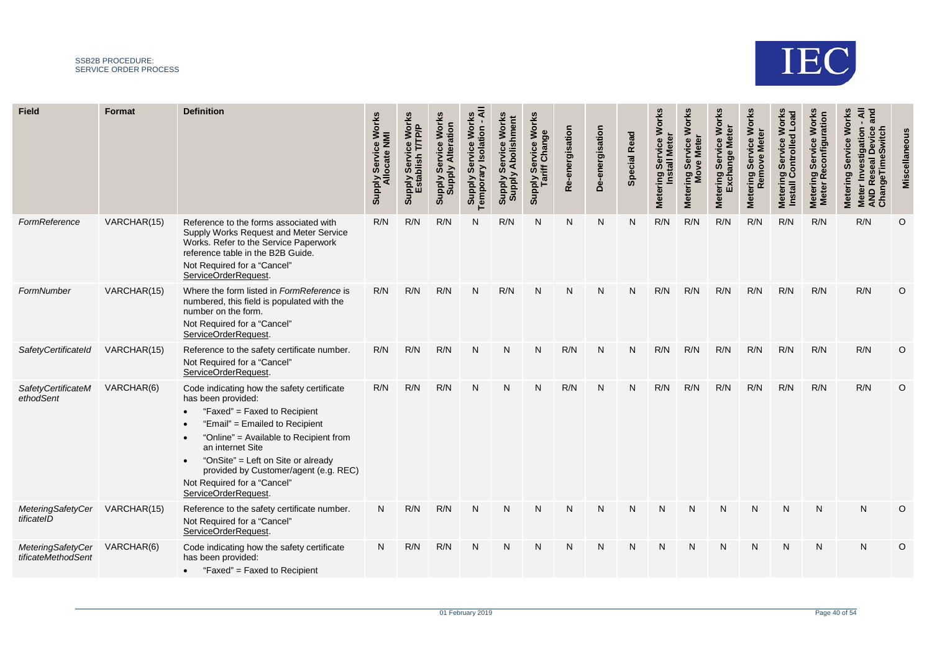

| <b>Field</b>                            | <b>Format</b> | <b>Definition</b>                                                                                                                                                                                                                                                                                                                                                | <b>Works</b><br>Allocate NMI<br><b>Service</b><br><b>Supply</b> | <b>lorks</b><br>Š.<br><b>Supply</b> | <b>Works</b><br>Supply Service wor<br>Supply Alteration | <b>Norl</b><br>tion<br>ශී<br>N<br>empora<br><b>Supply</b> | <b>Viddns</b><br>Suppl | <b>Works</b><br><b>bly Service Wo</b><br>Tariff Change<br><b>Supply</b> | energisation<br>$\alpha$ | De-energisation | <b>Special Read</b> | <b>Works</b><br>ဗီ<br>Šēr<br>$\overline{\overline{\overline{\overline{6}}}$<br>Metering | <b>Works</b><br>vice<br><b>Mete</b><br>န္တ<br>g<br>Metering \$ | <b>Works</b><br>Ser<br>ğur<br>ering<br>et<br>⊠ | <b>Works</b><br><b>Meter</b><br>Service<br>ove<br><b>Rem</b><br>Metering | <b>Works</b><br>Load<br>ng Service W<br>Controlled I<br><u>င်္</u><br><b>Meterin</b><br>Install | <b>Works</b><br>Ser<br>Metering<br>Meter Re<br><b>Meter</b> | Works<br>۵F<br><b>Metering</b><br>an<br>$\Omega$<br>కై చ |         |
|-----------------------------------------|---------------|------------------------------------------------------------------------------------------------------------------------------------------------------------------------------------------------------------------------------------------------------------------------------------------------------------------------------------------------------------------|-----------------------------------------------------------------|-------------------------------------|---------------------------------------------------------|-----------------------------------------------------------|------------------------|-------------------------------------------------------------------------|--------------------------|-----------------|---------------------|-----------------------------------------------------------------------------------------|----------------------------------------------------------------|------------------------------------------------|--------------------------------------------------------------------------|-------------------------------------------------------------------------------------------------|-------------------------------------------------------------|----------------------------------------------------------|---------|
| FormReference                           | VARCHAR(15)   | Reference to the forms associated with<br>Supply Works Request and Meter Service<br>Works. Refer to the Service Paperwork<br>reference table in the B2B Guide.<br>Not Required for a "Cancel"<br>ServiceOrderRequest.                                                                                                                                            | R/N                                                             | R/N                                 | R/N                                                     | N                                                         | R/N                    | N                                                                       | N                        | N               | N                   | R/N                                                                                     | R/N                                                            | R/N                                            | R/N                                                                      | R/N                                                                                             | R/N                                                         | R/N                                                      | O       |
| FormNumber                              | VARCHAR(15)   | Where the form listed in FormReference is<br>numbered, this field is populated with the<br>number on the form.<br>Not Required for a "Cancel"<br>ServiceOrderRequest.                                                                                                                                                                                            | R/N                                                             | R/N                                 | R/N                                                     | N                                                         | R/N                    | N                                                                       | N                        | N               | N                   | R/N                                                                                     | R/N                                                            | R/N                                            | R/N                                                                      | R/N                                                                                             | R/N                                                         | R/N                                                      | O       |
| SafetyCertificateId                     | VARCHAR(15)   | Reference to the safety certificate number.<br>Not Required for a "Cancel"<br>ServiceOrderRequest.                                                                                                                                                                                                                                                               | R/N                                                             | R/N                                 | R/N                                                     | N                                                         | N                      | N                                                                       | R/N                      | N               | N                   | R/N                                                                                     | R/N                                                            | R/N                                            | R/N                                                                      | R/N                                                                                             | R/N                                                         | R/N                                                      | O       |
| SafetyCertificateM<br>ethodSent         | VARCHAR(6)    | Code indicating how the safety certificate<br>has been provided:<br>"Faxed" = Faxed to Recipient<br>$\bullet$<br>"Email" = Emailed to Recipient<br>"Online" = Available to Recipient from<br>an internet Site<br>"OnSite" = Left on Site or already<br>$\bullet$<br>provided by Customer/agent (e.g. REC)<br>Not Required for a "Cancel"<br>ServiceOrderRequest. | R/N                                                             | R/N                                 | R/N                                                     | N                                                         | N                      | N                                                                       | R/N                      | N               | N                   | R/N                                                                                     | R/N                                                            | R/N                                            | R/N                                                                      | R/N                                                                                             | R/N                                                         | R/N                                                      | O       |
| MeteringSafetyCer<br>tificateID         | VARCHAR(15)   | Reference to the safety certificate number.<br>Not Required for a "Cancel"<br>ServiceOrderRequest.                                                                                                                                                                                                                                                               | N                                                               | R/N                                 | R/N                                                     | $\mathsf{N}$                                              | N                      | N                                                                       | N                        | N               | N                   | $\mathsf{N}$                                                                            | N                                                              | N                                              | $\mathsf{N}$                                                             | $\mathsf{N}$                                                                                    | $\mathsf{N}$                                                | N                                                        | $\circ$ |
| MeteringSafetyCer<br>tificateMethodSent | VARCHAR(6)    | Code indicating how the safety certificate<br>has been provided:<br>"Faxed" = Faxed to Recipient<br>$\bullet$                                                                                                                                                                                                                                                    | N.                                                              | R/N                                 | R/N                                                     | N                                                         | N                      | N                                                                       | N                        | N               | N                   | N                                                                                       | N                                                              | N                                              | N                                                                        | N                                                                                               | N                                                           | N                                                        | $\circ$ |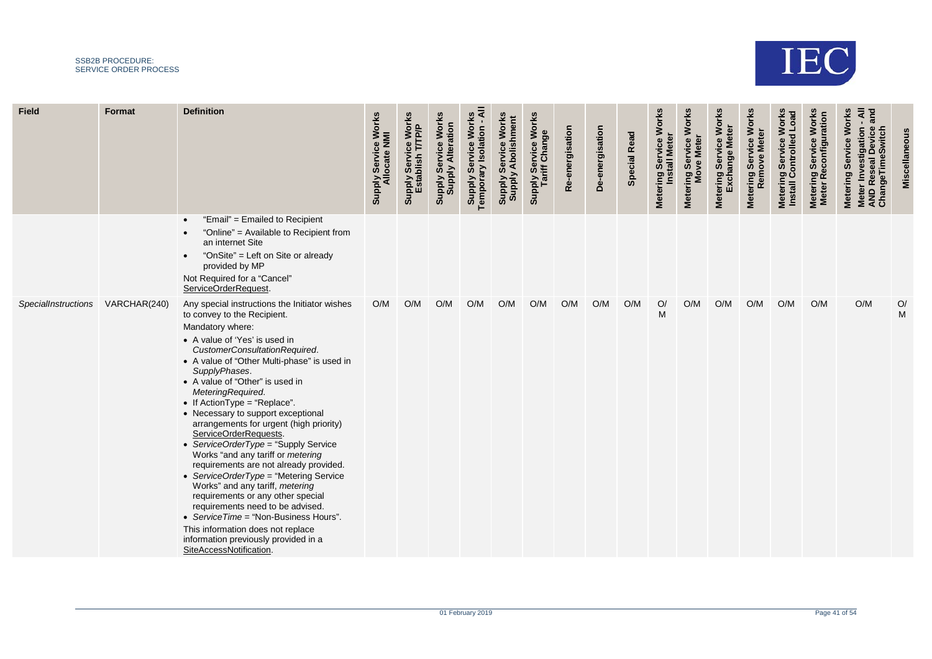

**STATISTICS** 

| <b>Field</b>               | Format       | <b>Definition</b>                                                                                                                                                                                                                                                                                                                                                                                                                                                                                                                                                                                                                                                                                                                                                                                                                                                  | Service Works<br>Allocate NMI<br><b>Supply</b> | Vorl<br>IP)<br>E<br>Supply Servic | <b>Works</b><br><b>Supply Service Worl</b><br>Supply Alteration | ⋖<br>Service Works<br>$\blacksquare$<br><b>Supply Service Wore</b><br>Temporary Isolation | Service Works<br><b>Supply Abolishment</b><br><b>Supply</b> | <b>Works</b><br>Supply Service<br>Tariff Change | Re-energisation | De-energisation | <b>Special Read</b> | Metering Service Works<br><b>Install Meter</b> | Metering Service Works<br>Move Meter | <b>Metering Service Works</b><br>Exchange Meter | <b>Works</b><br>Remove Meter<br>š<br>Ser<br><b>Metering</b> | $L$ oa<br>Wor<br>ontrolled<br>Service<br>Metering<br>Install Co | <b>Works</b><br>δ<br>Metering Service Wo<br>Meter Reconfigurati | ₹.<br><b>Work</b><br>$\overline{\mathsf{o}}$<br>Meter Investigation<br>AND Reseal Device<br>ChangeTimeSwitch<br>Service<br>Metering | Miscellaneou |
|----------------------------|--------------|--------------------------------------------------------------------------------------------------------------------------------------------------------------------------------------------------------------------------------------------------------------------------------------------------------------------------------------------------------------------------------------------------------------------------------------------------------------------------------------------------------------------------------------------------------------------------------------------------------------------------------------------------------------------------------------------------------------------------------------------------------------------------------------------------------------------------------------------------------------------|------------------------------------------------|-----------------------------------|-----------------------------------------------------------------|-------------------------------------------------------------------------------------------|-------------------------------------------------------------|-------------------------------------------------|-----------------|-----------------|---------------------|------------------------------------------------|--------------------------------------|-------------------------------------------------|-------------------------------------------------------------|-----------------------------------------------------------------|-----------------------------------------------------------------|-------------------------------------------------------------------------------------------------------------------------------------|--------------|
|                            |              | "Email" = Emailed to Recipient<br>"Online" = Available to Recipient from<br>an internet Site<br>"OnSite" = Left on Site or already<br>provided by MP<br>Not Required for a "Cancel"<br>ServiceOrderRequest.                                                                                                                                                                                                                                                                                                                                                                                                                                                                                                                                                                                                                                                        |                                                |                                   |                                                                 |                                                                                           |                                                             |                                                 |                 |                 |                     |                                                |                                      |                                                 |                                                             |                                                                 |                                                                 |                                                                                                                                     |              |
| <b>SpecialInstructions</b> | VARCHAR(240) | Any special instructions the Initiator wishes<br>to convey to the Recipient.<br>Mandatory where:<br>• A value of 'Yes' is used in<br>CustomerConsultationRequired.<br>• A value of "Other Multi-phase" is used in<br>SupplyPhases.<br>• A value of "Other" is used in<br>MeteringRequired.<br>• If ActionType = "Replace".<br>• Necessary to support exceptional<br>arrangements for urgent (high priority)<br>ServiceOrderRequests.<br>• ServiceOrderType = "Supply Service<br>Works "and any tariff or metering<br>requirements are not already provided.<br>• ServiceOrderType = "Metering Service<br>Works" and any tariff, metering<br>requirements or any other special<br>requirements need to be advised.<br>• ServiceTime = "Non-Business Hours".<br>This information does not replace<br>information previously provided in a<br>SiteAccessNotification. | O/M                                            | O/M                               | O/M                                                             | O/M                                                                                       | O/M                                                         | O/M                                             | O/M             | O/M             | O/M                 | O/<br>M                                        | O/M                                  | O/M                                             | O/M                                                         | O/M                                                             | O/M                                                             | O/M                                                                                                                                 | O/<br>M      |

**STATISTICS** 

**STATISTICS** 

**STATISTICS** 

**Contract Contract** 

**Contract Contract** 

**STATISTICS** 

--

**Contract Contract** 

**Contract Contract** 

**State State** 

**STATISTICS**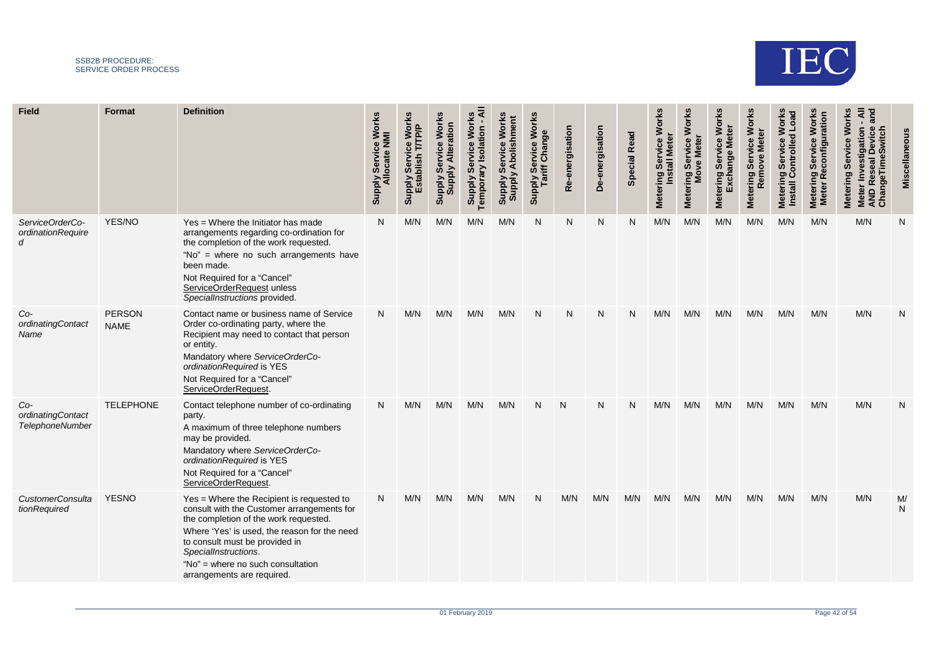

| <b>Field</b>                                | <b>Format</b>                | <b>Definition</b>                                                                                                                                                                                                                                                                                             | <b>Works</b><br>Allocate NMI<br>Service<br><b>Supply</b> | <b>Works</b><br><b>Supply</b> | <b>Works</b><br>Supply Service Worl<br>Supply Alteration | ₹<br><b>Works</b><br>tion<br>lsol<br>Servi<br>Temporary<br><b>Supply</b> | <b>Works</b><br><b>nment</b><br>တိ<br><b>Supply</b><br>Supply | <b>Works</b><br><b>bly Service Wo</b><br>Tariff Change<br><b>RI</b><br>AlddnS | energisation<br>Ò<br>œ | De-energisation | <b>Special Read</b> | Works<br>ဗီ<br><b>Mete</b><br>৳<br><b>Install</b><br><b>UD</b><br>Metering | <b>Works</b><br>vice<br><b>Meter</b><br>Ser<br><b>g</b><br>Metering \$ | Works<br>৯<br>gna<br>Ø.<br>ering<br>et<br>⊠ | <b>Metering Service Works</b><br>ēr<br>Remove Met | <b>Works</b><br><b>Load</b><br>ng Service W<br>Controlled I<br><b>Meterin</b><br>Install | <b>Works</b><br>ation<br>Ser<br>Metering<br>Meter Re<br><b>Meter</b> | Works<br>Service<br>Meter Investiga<br>AND Reseal De<br>ChangeTimeSv<br>Metering |         |
|---------------------------------------------|------------------------------|---------------------------------------------------------------------------------------------------------------------------------------------------------------------------------------------------------------------------------------------------------------------------------------------------------------|----------------------------------------------------------|-------------------------------|----------------------------------------------------------|--------------------------------------------------------------------------|---------------------------------------------------------------|-------------------------------------------------------------------------------|------------------------|-----------------|---------------------|----------------------------------------------------------------------------|------------------------------------------------------------------------|---------------------------------------------|---------------------------------------------------|------------------------------------------------------------------------------------------|----------------------------------------------------------------------|----------------------------------------------------------------------------------|---------|
| ServiceOrderCo-<br>ordinationRequire<br>d   | YES/NO                       | Yes = Where the Initiator has made<br>arrangements regarding co-ordination for<br>the completion of the work requested.<br>"No" = where no such arrangements have<br>been made.<br>Not Required for a "Cancel"<br>ServiceOrderRequest unless<br>SpecialInstructions provided.                                 | N                                                        | M/N                           | M/N                                                      | M/N                                                                      | M/N                                                           | N                                                                             | N                      | N               | N                   | M/N                                                                        | M/N                                                                    | M/N                                         | M/N                                               | M/N                                                                                      | M/N                                                                  | M/N                                                                              | N       |
| $Co-$<br>ordinatingContact<br>Name          | <b>PERSON</b><br><b>NAME</b> | Contact name or business name of Service<br>Order co-ordinating party, where the<br>Recipient may need to contact that person<br>or entity.<br>Mandatory where ServiceOrderCo-<br>ordinationRequired is YES<br>Not Required for a "Cancel"<br>ServiceOrderRequest.                                            | N                                                        | M/N                           | M/N                                                      | M/N                                                                      | M/N                                                           | N                                                                             | N                      | N               | N                   | M/N                                                                        | M/N                                                                    | M/N                                         | M/N                                               | M/N                                                                                      | M/N                                                                  | M/N                                                                              | N       |
| Co-<br>ordinatingContact<br>TelephoneNumber | <b>TELEPHONE</b>             | Contact telephone number of co-ordinating<br>party.<br>A maximum of three telephone numbers<br>may be provided.<br>Mandatory where ServiceOrderCo-<br>ordinationRequired is YES<br>Not Required for a "Cancel"<br>ServiceOrderRequest.                                                                        | N                                                        | M/N                           | M/N                                                      | M/N                                                                      | M/N                                                           |                                                                               | N                      | N               | N                   | M/N                                                                        | M/N                                                                    | M/N                                         | M/N                                               | M/N                                                                                      | M/N                                                                  | M/N                                                                              | N       |
| <b>CustomerConsulta</b><br>tionRequired     | <b>YESNO</b>                 | Yes = Where the Recipient is requested to<br>consult with the Customer arrangements for<br>the completion of the work requested.<br>Where 'Yes' is used, the reason for the need<br>to consult must be provided in<br>SpecialInstructions.<br>"No" = where no such consultation<br>arrangements are required. | N                                                        | M/N                           | M/N                                                      | M/N                                                                      | M/N                                                           | N                                                                             | M/N                    | M/N             | M/N                 | M/N                                                                        | M/N                                                                    | M/N                                         | M/N                                               | M/N                                                                                      | M/N                                                                  | M/N                                                                              | M/<br>N |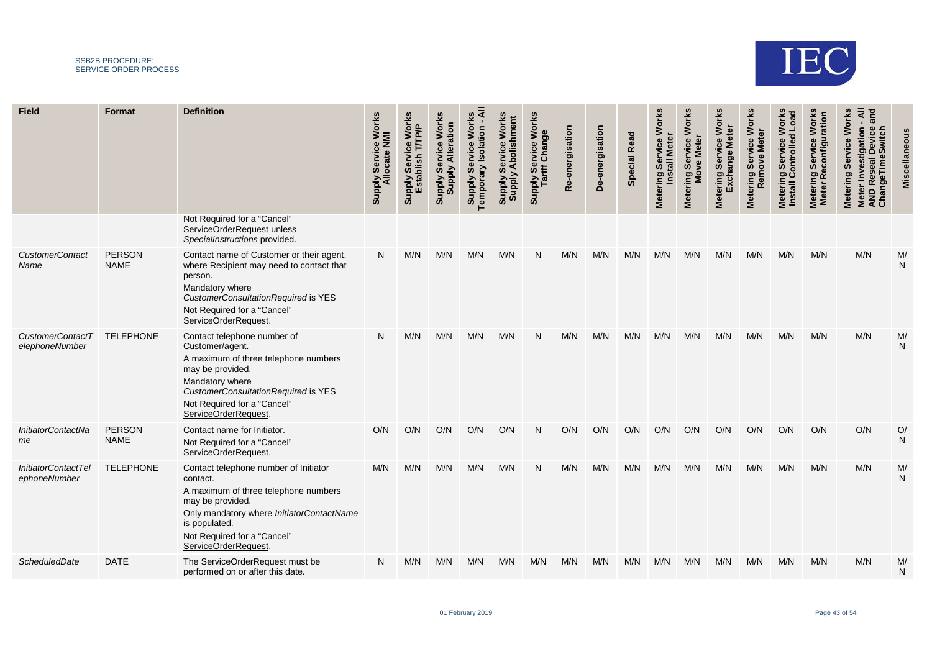

| <b>Field</b>                              | <b>Format</b>                | <b>Definition</b>                                                                                                                                                                                                                 | <b>Works</b><br>Allocate NMI<br>Service<br><b>Supply</b> | e Works<br>'/TP/P<br><b>Supply</b> | <b>Works</b><br>Supply Service Worl<br>Supply Alteration | ₹<br><b>Works</b><br>tion<br>ទូ<br>Σ<br>မြိ<br>$\geq$<br>Tempora<br><b>Supply</b> | Works<br><b>Iment</b><br>တိ<br><b>Supply</b><br>ViddnS | <b>Works</b><br><b>Prvice Wo<br/>Change</b><br>ly Ser<br>ariff (<br>Supply | energisation<br>Φ<br>$\alpha$ | De-energisation | <b>Special Read</b> | Works<br>ပ္ပ<br>ō<br>$\overline{\overline{\overline{6}}}$<br><b>UD</b><br>Metering | <b>Works</b><br>vice<br><b>Meter</b><br><b>Ser</b><br><b>g</b><br>Metering \$ | <b>Works</b><br>ōu<br>Ser<br><b>Metering</b> | <b>Works</b><br>Remove Meter<br>Service<br>Metering | <b>Works</b><br><b>Load</b><br>ng Service V<br>Controlled I<br><b>Metering</b><br><b>Install</b> | <b>Works</b><br>ation<br>Ser<br>Metering<br>Meter Re<br><b>Meter</b> | Works<br>Service<br>Meter Investiga<br>AND Reseal De<br>ChangeTimeSw<br>Metering |                                         |
|-------------------------------------------|------------------------------|-----------------------------------------------------------------------------------------------------------------------------------------------------------------------------------------------------------------------------------|----------------------------------------------------------|------------------------------------|----------------------------------------------------------|-----------------------------------------------------------------------------------|--------------------------------------------------------|----------------------------------------------------------------------------|-------------------------------|-----------------|---------------------|------------------------------------------------------------------------------------|-------------------------------------------------------------------------------|----------------------------------------------|-----------------------------------------------------|--------------------------------------------------------------------------------------------------|----------------------------------------------------------------------|----------------------------------------------------------------------------------|-----------------------------------------|
|                                           |                              | Not Required for a "Cancel"<br>ServiceOrderRequest unless<br>SpecialInstructions provided.                                                                                                                                        |                                                          |                                    |                                                          |                                                                                   |                                                        |                                                                            |                               |                 |                     |                                                                                    |                                                                               |                                              |                                                     |                                                                                                  |                                                                      |                                                                                  |                                         |
| <b>CustomerContact</b><br>Name            | <b>PERSON</b><br><b>NAME</b> | Contact name of Customer or their agent,<br>where Recipient may need to contact that<br>person.<br>Mandatory where<br>CustomerConsultationRequired is YES<br>Not Required for a "Cancel"<br>ServiceOrderRequest.                  | N                                                        | M/N                                | M/N                                                      | M/N                                                                               | M/N                                                    |                                                                            | M/N                           | M/N             | M/N                 | M/N                                                                                | M/N                                                                           | M/N                                          | M/N                                                 | M/N                                                                                              | M/N                                                                  | M/N                                                                              | $\mathsf{M}/\mathsf{M}$<br>$\mathsf{N}$ |
| <b>CustomerContactT</b><br>elephoneNumber | <b>TELEPHONE</b>             | Contact telephone number of<br>Customer/agent.<br>A maximum of three telephone numbers<br>may be provided.<br>Mandatory where<br>CustomerConsultationRequired is YES<br>Not Required for a "Cancel"<br>ServiceOrderRequest.       | N                                                        | M/N                                | M/N                                                      | M/N                                                                               | M/N                                                    | N                                                                          | M/N                           | M/N             | M/N                 | M/N                                                                                | M/N                                                                           | M/N                                          | M/N                                                 | M/N                                                                                              | M/N                                                                  | M/N                                                                              | M/<br>$\mathsf{N}$                      |
| InitiatorContactNa<br>me                  | <b>PERSON</b><br><b>NAME</b> | Contact name for Initiator.<br>Not Required for a "Cancel"<br>ServiceOrderRequest.                                                                                                                                                | O/N                                                      | O/N                                | O/N                                                      | O/N                                                                               | O/N                                                    |                                                                            | O/N                           | O/N             | O/N                 | O/N                                                                                | O/N                                                                           | O/N                                          | O/N                                                 | O/N                                                                                              | O/N                                                                  | O/N                                                                              | O/<br>${\sf N}$                         |
| InitiatorContactTel<br>ephoneNumber       | <b>TELEPHONE</b>             | Contact telephone number of Initiator<br>contact.<br>A maximum of three telephone numbers<br>may be provided.<br>Only mandatory where InitiatorContactName<br>is populated.<br>Not Required for a "Cancel"<br>ServiceOrderRequest | M/N                                                      | M/N                                | M/N                                                      | M/N                                                                               | M/N                                                    |                                                                            | M/N                           | M/N             | M/N                 | M/N                                                                                | M/N                                                                           | M/N                                          | M/N                                                 | M/N                                                                                              | M/N                                                                  | M/N                                                                              | M/<br>$\mathsf{N}$                      |
| ScheduledDate                             | <b>DATE</b>                  | The ServiceOrderRequest must be<br>performed on or after this date.                                                                                                                                                               | N                                                        | M/N                                | M/N                                                      | M/N                                                                               | M/N                                                    | M/N                                                                        | M/N                           | M/N             | M/N                 | M/N                                                                                | M/N                                                                           | M/N                                          | M/N                                                 | M/N                                                                                              | M/N                                                                  | M/N                                                                              | M/<br>N                                 |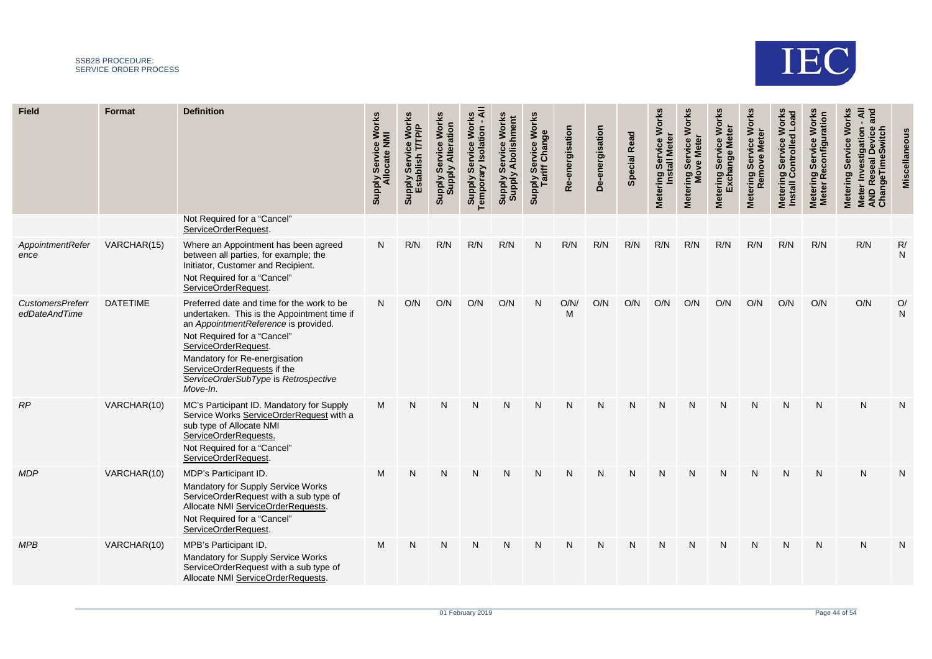

| <b>Field</b>                             | Format          | <b>Definition</b>                                                                                                                                                                                                                                                                                            | Service Works<br><b>Supply Service Wo<br/>Allocate NMI</b> | ce Works<br>T/TP/P<br>Servi<br>Supply<br>Estal | <b>Works</b><br><b>Supply Alteration</b><br>Service<br><b>Supply</b> | ব<br><b>Works</b><br>Isolation<br>$\mathbf{e}$<br>Servi<br>Temporary<br><b>Supply</b> | Works<br>hment<br>တိ<br><b>Supply</b><br>Supply | Supply Service Works<br>Tariff Change | Re-energisation | De-energisation | <b>Special Read</b> | <b>Works</b><br>ဗီ<br>Servi<br>$lastall$<br><b>Metering</b> | <b>Works</b><br>Service<br><b>Meter</b><br>Metering Ser<br>Move I | <b>Works</b><br>Servi<br>ត<br>ត<br>Metering | <b>Metering Service Works</b><br>Remove Meter | <b>Works</b><br><b>Load</b><br>Metering Service W<br>Install Controlled L | <b>Works</b><br>ration<br>Service<br>Metering<br>Meter Re<br><b>Meter</b> | <b>Works</b><br>$\bar{a}$<br>Meter Investigation<br>AND Reseal Device<br>ChangeTimeSwitch<br>Service<br>Metering |                    |
|------------------------------------------|-----------------|--------------------------------------------------------------------------------------------------------------------------------------------------------------------------------------------------------------------------------------------------------------------------------------------------------------|------------------------------------------------------------|------------------------------------------------|----------------------------------------------------------------------|---------------------------------------------------------------------------------------|-------------------------------------------------|---------------------------------------|-----------------|-----------------|---------------------|-------------------------------------------------------------|-------------------------------------------------------------------|---------------------------------------------|-----------------------------------------------|---------------------------------------------------------------------------|---------------------------------------------------------------------------|------------------------------------------------------------------------------------------------------------------|--------------------|
|                                          |                 | Not Required for a "Cancel"<br>ServiceOrderRequest.                                                                                                                                                                                                                                                          |                                                            |                                                |                                                                      |                                                                                       |                                                 |                                       |                 |                 |                     |                                                             |                                                                   |                                             |                                               |                                                                           |                                                                           |                                                                                                                  |                    |
| AppointmentRefer<br>ence                 | VARCHAR(15)     | Where an Appointment has been agreed<br>between all parties, for example; the<br>Initiator, Customer and Recipient.<br>Not Required for a "Cancel"<br>ServiceOrderRequest.                                                                                                                                   | N                                                          | R/N                                            | R/N                                                                  | R/N                                                                                   | R/N                                             | N                                     | R/N             | R/N             | R/N                 | R/N                                                         | R/N                                                               | R/N                                         | R/N                                           | R/N                                                                       | R/N                                                                       | R/N                                                                                                              | R/<br>${\sf N}$    |
| <b>CustomersPreferr</b><br>edDateAndTime | <b>DATETIME</b> | Preferred date and time for the work to be<br>undertaken. This is the Appointment time if<br>an AppointmentReference is provided.<br>Not Required for a "Cancel"<br>ServiceOrderRequest.<br>Mandatory for Re-energisation<br>ServiceOrderRequests if the<br>ServiceOrderSubType is Retrospective<br>Move-In. | N                                                          | O/N                                            | O/N                                                                  | O/N                                                                                   | O/N                                             |                                       | O/N/<br>M       | O/N             | O/N                 | O/N                                                         | O/N                                                               | O/N                                         | O/N                                           | O/N                                                                       | O/N                                                                       | O/N                                                                                                              | O/<br>$\mathsf{N}$ |
| RP                                       | VARCHAR(10)     | MC's Participant ID. Mandatory for Supply<br>Service Works ServiceOrderRequest with a<br>sub type of Allocate NMI<br>ServiceOrderRequests.<br>Not Required for a "Cancel"<br>ServiceOrderRequest.                                                                                                            | M                                                          | N                                              | N                                                                    | N                                                                                     | N                                               | N                                     | N               | N               | N                   | N                                                           | N                                                                 | N                                           | N                                             | N                                                                         | $\mathsf{N}$                                                              | N                                                                                                                | N                  |
| <b>MDP</b>                               | VARCHAR(10)     | MDP's Participant ID.<br>Mandatory for Supply Service Works<br>ServiceOrderRequest with a sub type of<br>Allocate NMI ServiceOrderRequests<br>Not Required for a "Cancel"<br>ServiceOrderRequest                                                                                                             | M                                                          | N                                              | N                                                                    | N                                                                                     | N                                               |                                       | N               | N               | N                   | N                                                           | N                                                                 | N                                           | N                                             | N                                                                         | N                                                                         | N                                                                                                                | N                  |
| <b>MPB</b>                               | VARCHAR(10)     | MPB's Participant ID.<br>Mandatory for Supply Service Works<br>ServiceOrderRequest with a sub type of<br>Allocate NMI ServiceOrderRequests.                                                                                                                                                                  | M                                                          | $\mathsf{N}$                                   | N                                                                    | N                                                                                     | N                                               | N                                     | N               | N               | N                   | N                                                           | N                                                                 | N                                           | N                                             | $\mathsf{N}$                                                              | $\mathsf{N}$                                                              | N                                                                                                                | N                  |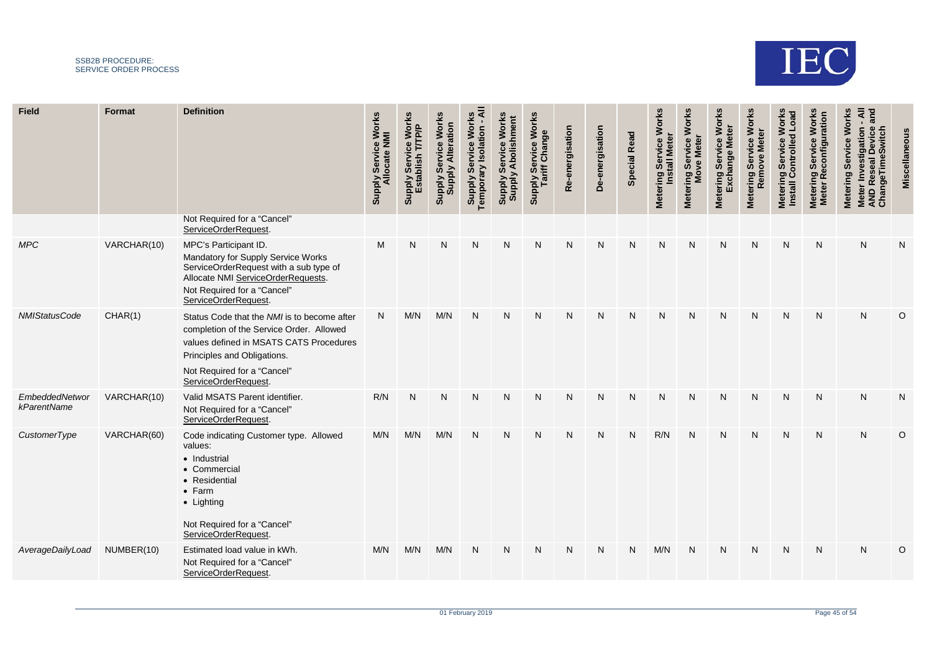

| <b>Field</b>                  | Format      | <b>Definition</b>                                                                                                                                                                                                        | Service Works<br>Supply Service.<br>Allocate NMI | Service Works<br>T/TP/P<br>Supply Servic<br>Establish | <b>Works</b><br>Supply Service Worl<br>Supply Alteration | Worl<br><b>Supply Service Wore</b><br>Temporary Isolation | ŠΓ<br><b>Addns</b><br>S <sup>Mddn</sup> S | Supply Service Works<br>Tariff Change | e-energisation<br>œ | De-energisation | <b>Special Read</b> | <b>Works</b><br><b>Install Mete</b><br>vice<br>Ser<br><b>Metering</b> | <b>Works</b><br>vice<br><b>Mete</b><br>Ser<br>Metering Ser<br>Move I | <b>Works</b><br>Servi<br>ange<br>Metering | Metering Service Works<br><b>Meter</b><br>Remove | <b>Works</b><br><b>Load</b><br>Metering Service V<br>Install Controlled | <b>Works</b><br>ä<br>Ser<br>Metering S<br>Meter Reo<br><b>Meter</b> | Works<br>$\sigma$<br>Meter Investigation<br>AND Reseal Device<br>ChangeTimeSwitch<br>Service<br>Metering |          |
|-------------------------------|-------------|--------------------------------------------------------------------------------------------------------------------------------------------------------------------------------------------------------------------------|--------------------------------------------------|-------------------------------------------------------|----------------------------------------------------------|-----------------------------------------------------------|-------------------------------------------|---------------------------------------|---------------------|-----------------|---------------------|-----------------------------------------------------------------------|----------------------------------------------------------------------|-------------------------------------------|--------------------------------------------------|-------------------------------------------------------------------------|---------------------------------------------------------------------|----------------------------------------------------------------------------------------------------------|----------|
|                               |             | Not Required for a "Cancel"<br>ServiceOrderRequest                                                                                                                                                                       |                                                  |                                                       |                                                          |                                                           |                                           |                                       |                     |                 |                     |                                                                       |                                                                      |                                           |                                                  |                                                                         |                                                                     |                                                                                                          |          |
| <b>MPC</b>                    | VARCHAR(10) | MPC's Participant ID.<br>Mandatory for Supply Service Works<br>ServiceOrderRequest with a sub type of<br>Allocate NMI ServiceOrderRequests.<br>Not Required for a "Cancel"<br>ServiceOrderRequest.                       | M                                                | N                                                     | N                                                        | N                                                         | N                                         | N                                     | N                   | N               | N                   | N                                                                     | N                                                                    | N                                         | N                                                | N                                                                       | N                                                                   | N                                                                                                        | N        |
| <b>NMIStatusCode</b>          | CHAR(1)     | Status Code that the NMI is to become after<br>completion of the Service Order. Allowed<br>values defined in MSATS CATS Procedures<br>Principles and Obligations.<br>Not Required for a "Cancel"<br>ServiceOrderRequest. | N                                                | M/N                                                   | M/N                                                      | N                                                         | $\mathsf{N}$                              | N                                     | N                   | N               | N                   | $\mathsf{N}$                                                          | N                                                                    | N                                         | N                                                | N                                                                       | N                                                                   | N                                                                                                        | $\Omega$ |
| EmbeddedNetwor<br>kParentName | VARCHAR(10) | Valid MSATS Parent identifier.<br>Not Required for a "Cancel"<br>ServiceOrderRequest.                                                                                                                                    | R/N                                              | $\mathsf{N}$                                          | N                                                        | N                                                         | $\mathsf{N}$                              | N                                     | $\mathsf{N}$        | $\mathsf{N}$    | N                   | ${\sf N}$                                                             | N                                                                    | N                                         | N                                                | $\mathsf{N}$                                                            | $\mathsf{N}$                                                        | N                                                                                                        | N        |
| CustomerType                  | VARCHAR(60) | Code indicating Customer type. Allowed<br>values:<br>• Industrial<br>• Commercial<br>• Residential<br>• Farm<br>• Lighting<br>Not Required for a "Cancel"<br>ServiceOrderRequest                                         | M/N                                              | M/N                                                   | M/N                                                      | N                                                         | $\mathsf{N}$                              | $\mathsf{N}$                          | N                   | N               | $\mathsf{N}$        | R/N                                                                   | N                                                                    | $\mathsf{N}$                              | N                                                | $\mathsf{N}$                                                            | $\mathsf{N}$                                                        | N                                                                                                        | $\circ$  |
| AverageDailyLoad              | NUMBER(10)  | Estimated load value in kWh.<br>Not Required for a "Cancel"<br>ServiceOrderRequest.                                                                                                                                      | M/N                                              | M/N                                                   | M/N                                                      | N                                                         | N                                         | N                                     | N                   | N               | N                   | M/N                                                                   | N                                                                    | N                                         | N                                                | N                                                                       | N                                                                   | N                                                                                                        | $\circ$  |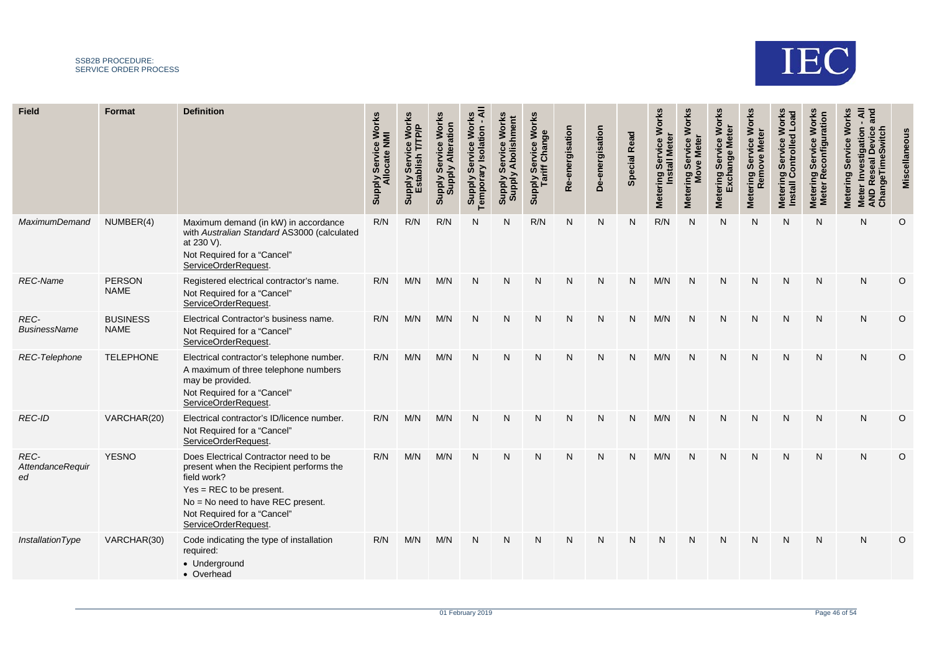

| <b>Field</b>                          | Format                         | <b>Definition</b>                                                                                                                                                                                                        | e Works<br><b>Service</b><br>ocate<br>Ily<br>Alddng | <b>Works</b><br>T/TP/P<br>Service<br>stablish<br>Supply<br>Estal | <b>Works</b><br><b>Supply Alteration</b><br>Service<br><b>Supply</b> | ₹<br><b>Work</b><br>solation<br><b>Se</b><br>Temporary<br><b>Supply</b> | hment<br>Work<br>Se<br><b>Supply</b><br><b>Supply</b> | Supply Service Works<br>Tariff Change | -energisation<br>Φ<br>œ | De-energisation | <b>Special Read</b> | <b>Works</b><br><b>Install Mete</b><br>Service<br><b>Metering</b> | <b>Works</b><br>vice<br><b>Mete</b><br>ີ ອັ<br>g<br>Metering \$ | <b>Works</b><br>ter<br>ဗ္ဗ<br>Servi<br>Exchange<br><b>Metering</b> | <b>Works</b><br><b>Meter</b><br>Service<br>Remove<br>Metering \$ | <b>Works</b><br>Load<br>ng Service W<br>  Controlled  <br><u>င်္</u><br>Meterin<br>Install | <b>Work:</b><br>ation<br>vice<br>ື້ ອີ<br>Metering<br>Meter Re<br><b>Meter</b> | <b>Works</b><br><b>AND Reseal Devic<br/>ChangeTimeSwitc</b><br>Service<br><b>Metering</b><br>Net |          |
|---------------------------------------|--------------------------------|--------------------------------------------------------------------------------------------------------------------------------------------------------------------------------------------------------------------------|-----------------------------------------------------|------------------------------------------------------------------|----------------------------------------------------------------------|-------------------------------------------------------------------------|-------------------------------------------------------|---------------------------------------|-------------------------|-----------------|---------------------|-------------------------------------------------------------------|-----------------------------------------------------------------|--------------------------------------------------------------------|------------------------------------------------------------------|--------------------------------------------------------------------------------------------|--------------------------------------------------------------------------------|--------------------------------------------------------------------------------------------------|----------|
| <b>MaximumDemand</b>                  | NUMBER(4)                      | Maximum demand (in kW) in accordance<br>with Australian Standard AS3000 (calculated<br>at 230 V).<br>Not Required for a "Cancel"<br>ServiceOrderRequest                                                                  | R/N                                                 | R/N                                                              | R/N                                                                  | N                                                                       | N                                                     | R/N                                   | N                       | N               | N                   | R/N                                                               | N                                                               | N                                                                  | N                                                                | N                                                                                          | N                                                                              | N                                                                                                | O        |
| <b>REC-Name</b>                       | <b>PERSON</b><br><b>NAME</b>   | Registered electrical contractor's name.<br>Not Required for a "Cancel"<br>ServiceOrderRequest                                                                                                                           | R/N                                                 | M/N                                                              | M/N                                                                  | N                                                                       | N                                                     | N                                     | N                       | N               | N                   | M/N                                                               | N                                                               | N                                                                  | N                                                                | N                                                                                          | N                                                                              | N                                                                                                | O        |
| REC-<br><b>BusinessName</b>           | <b>BUSINESS</b><br><b>NAME</b> | Electrical Contractor's business name.<br>Not Required for a "Cancel"<br>ServiceOrderRequest                                                                                                                             | R/N                                                 | M/N                                                              | M/N                                                                  | $\mathsf{N}$                                                            | N                                                     | N                                     | $\mathsf{N}$            | $\mathsf{N}$    | N                   | M/N                                                               | N                                                               | N                                                                  | N                                                                | N                                                                                          | $\mathsf{N}$                                                                   | N                                                                                                | $\circ$  |
| REC-Telephone                         | <b>TELEPHONE</b>               | Electrical contractor's telephone number.<br>A maximum of three telephone numbers<br>may be provided.<br>Not Required for a "Cancel"<br>ServiceOrderRequest                                                              | R/N                                                 | M/N                                                              | M/N                                                                  | $\mathsf{N}$                                                            | N                                                     | N                                     | $\mathsf{N}$            | N               | N                   | M/N                                                               | N                                                               | N                                                                  | N                                                                | N                                                                                          | $\mathsf{N}$                                                                   | Ν                                                                                                | $\circ$  |
| <b>REC-ID</b>                         | VARCHAR(20)                    | Electrical contractor's ID/licence number.<br>Not Required for a "Cancel"<br>ServiceOrderRequest                                                                                                                         | R/N                                                 | M/N                                                              | M/N                                                                  | N                                                                       | N                                                     | N                                     | N                       | N               | N                   | M/N                                                               | N                                                               | N                                                                  | N                                                                | N                                                                                          | N                                                                              | N                                                                                                | $\Omega$ |
| REC-<br><b>AttendanceRequir</b><br>ed | <b>YESNO</b>                   | Does Electrical Contractor need to be<br>present when the Recipient performs the<br>field work?<br>$Yes = REC$ to be present.<br>No = No need to have REC present.<br>Not Required for a "Cancel"<br>ServiceOrderRequest | R/N                                                 | M/N                                                              | M/N                                                                  | N                                                                       | N                                                     | N                                     | $\mathsf{N}$            | N               | N                   | M/N                                                               | N                                                               | N                                                                  | N                                                                | N                                                                                          | N                                                                              | N                                                                                                | O        |
| InstallationType                      | VARCHAR(30)                    | Code indicating the type of installation<br>required:<br>• Underground<br>• Overhead                                                                                                                                     | R/N                                                 | M/N                                                              | M/N                                                                  | N                                                                       | N                                                     | N                                     | $\mathsf{N}$            | N               | N                   | N                                                                 | N                                                               | N                                                                  | N                                                                | N                                                                                          | N                                                                              | N                                                                                                | $\circ$  |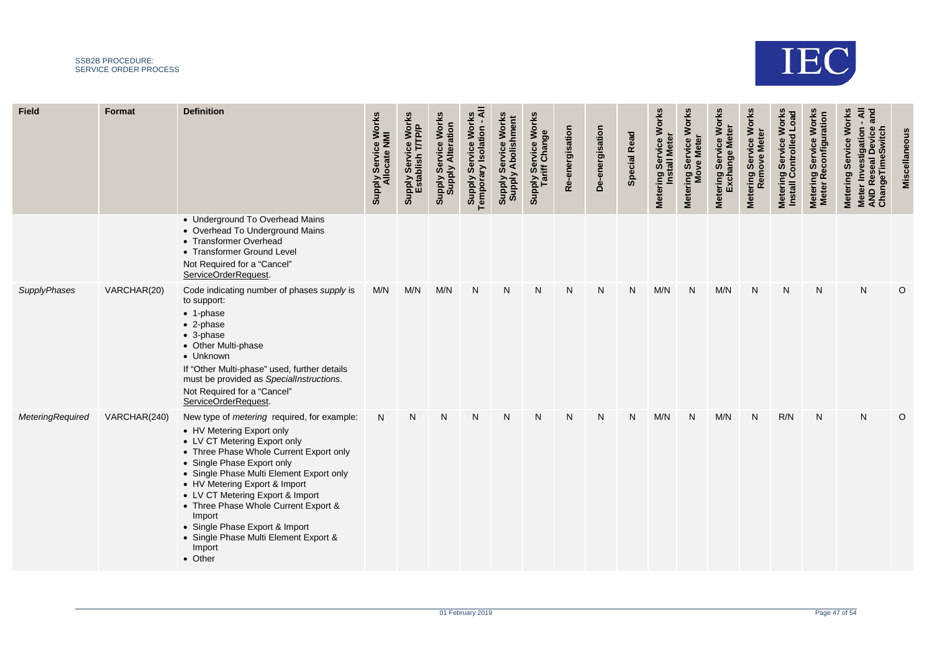

| <b>Field</b>            | Format       | <b>Definition</b>                                                                                                                                                                                                                                                                                                                                                                                                                                           | / Service Works<br>Ilocate NMI<br><b>Supply</b> | Supply Service Works<br>Establish T/TP/P | <b>Works</b><br>ation<br>Service<br><b>Supply Alter</b><br>Supply | ৰ<br>Work<br><b>Supply Service Wore</b> | <b>Works</b><br>olishment<br><b>Service</b><br>₫<br><b>Aldung</b><br>Siddng | r Service Works<br>riff Change<br>Supply Ser<br>Tariff ( | e-energisation<br>$\alpha$ | De-energisation | <b>Special Read</b> | Metering Service Works<br>Install Meter | <b>Works</b><br>Service<br>Metering Service<br>Move Meter | <b>Works</b><br>ဗ္<br>Metering Servi<br>Exchange | Metering Service Works<br>Remove Meter | <b>Works</b><br>Metering Service Works<br>Install Controlled Load | <b>Works</b><br><b>ration</b><br>Metering Service<br>Meter Reconfigu | and<br><b>Works</b><br>AND Reseal Device<br>ChangeTimeSwitch<br><b>Service</b><br><b>Metering</b><br><b>Meter</b> |         |
|-------------------------|--------------|-------------------------------------------------------------------------------------------------------------------------------------------------------------------------------------------------------------------------------------------------------------------------------------------------------------------------------------------------------------------------------------------------------------------------------------------------------------|-------------------------------------------------|------------------------------------------|-------------------------------------------------------------------|-----------------------------------------|-----------------------------------------------------------------------------|----------------------------------------------------------|----------------------------|-----------------|---------------------|-----------------------------------------|-----------------------------------------------------------|--------------------------------------------------|----------------------------------------|-------------------------------------------------------------------|----------------------------------------------------------------------|-------------------------------------------------------------------------------------------------------------------|---------|
|                         |              | • Underground To Overhead Mains<br>• Overhead To Underground Mains<br>• Transformer Overhead<br>• Transformer Ground Level<br>Not Required for a "Cancel"<br>ServiceOrderRequest.                                                                                                                                                                                                                                                                           |                                                 |                                          |                                                                   |                                         |                                                                             |                                                          |                            |                 |                     |                                         |                                                           |                                                  |                                        |                                                                   |                                                                      |                                                                                                                   |         |
| <b>SupplyPhases</b>     | VARCHAR(20)  | Code indicating number of phases supply is<br>to support:<br>$\bullet$ 1-phase<br>$\bullet$ 2-phase<br>$\bullet$ 3-phase<br>• Other Multi-phase<br>• Unknown<br>If "Other Multi-phase" used, further details<br>must be provided as SpecialInstructions.<br>Not Required for a "Cancel"<br>ServiceOrderRequest.                                                                                                                                             | M/N                                             | M/N                                      | M/N                                                               | N                                       | N                                                                           | N                                                        | N                          | N               | N                   | M/N                                     | N                                                         | M/N                                              | N                                      | ${\sf N}$                                                         | $\mathsf{N}$                                                         | N                                                                                                                 | $\circ$ |
| <b>MeteringRequired</b> | VARCHAR(240) | New type of <i>metering</i> required, for example:<br>• HV Metering Export only<br>• LV CT Metering Export only<br>• Three Phase Whole Current Export only<br>• Single Phase Export only<br>• Single Phase Multi Element Export only<br>• HV Metering Export & Import<br>• LV CT Metering Export & Import<br>• Three Phase Whole Current Export &<br>Import<br>• Single Phase Export & Import<br>• Single Phase Multi Element Export &<br>Import<br>• Other | N                                               | N                                        | N                                                                 | N                                       | N                                                                           | N                                                        | N                          | N               | $\mathsf{N}$        | M/N                                     | N                                                         | M/N                                              | N                                      | R/N                                                               | N                                                                    | N                                                                                                                 | $\circ$ |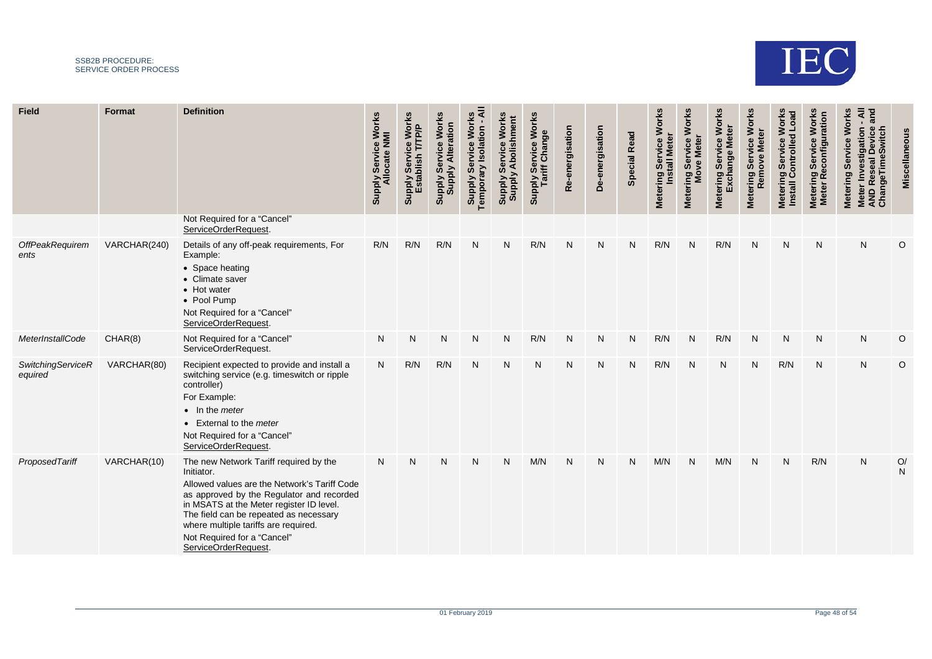

\_\_\_\_\_\_\_\_\_

| <b>Field</b>                        | Format       | <b>Definition</b>                                                                                                                                                                                                                                                                                                                      | <b>Supply Service Works</b><br>Allocate NMI | ce Works<br>T/TP/P<br>Servi<br>blish<br>Supply<br>Estal | <b>Works</b><br><b>Supply Alteration</b><br>Service<br><b>Supply</b> | ⋖<br><b>Works</b><br>Isolation<br>Servic<br>Temporary<br><b>Supply</b> | Works<br>hment<br>တိ<br><b>Suppy</b><br>SydquS | <b>Works</b><br>lly Service Wo<br>Tariff Change<br>Supply<br>Tar | e-energisation<br>œ | De-energisation | <b>Special Read</b> | <b>Works</b><br>ing Service<br>Install Meter<br>Metering | <b>Works</b><br>Metering Service. | <b>Works</b><br>5<br>ange<br>Ser<br>Metering | Service Works<br>Remove Meter<br><b>Metering</b> | <b>Works</b><br>Load<br>Metering Service V<br>Install Controlled | <b>Works</b><br>ration<br>vice<br>Reconfig<br>Ser<br><b>Metering</b><br><b>Meter</b> | <b>Works</b><br>σ<br>Meter Investiganon<br>AND Reseal Device<br>ChangeTimeSwitch<br>Service<br>Metering |                    |
|-------------------------------------|--------------|----------------------------------------------------------------------------------------------------------------------------------------------------------------------------------------------------------------------------------------------------------------------------------------------------------------------------------------|---------------------------------------------|---------------------------------------------------------|----------------------------------------------------------------------|------------------------------------------------------------------------|------------------------------------------------|------------------------------------------------------------------|---------------------|-----------------|---------------------|----------------------------------------------------------|-----------------------------------|----------------------------------------------|--------------------------------------------------|------------------------------------------------------------------|--------------------------------------------------------------------------------------|---------------------------------------------------------------------------------------------------------|--------------------|
|                                     |              | Not Required for a "Cancel"<br>ServiceOrderRequest                                                                                                                                                                                                                                                                                     |                                             |                                                         |                                                                      |                                                                        |                                                |                                                                  |                     |                 |                     |                                                          |                                   |                                              |                                                  |                                                                  |                                                                                      |                                                                                                         |                    |
| OffPeakRequirem<br>ents             | VARCHAR(240) | Details of any off-peak requirements, For<br>Example:<br>• Space heating<br>• Climate saver<br>• Hot water<br>• Pool Pump<br>Not Required for a "Cancel"<br>ServiceOrderRequest.                                                                                                                                                       | R/N                                         | R/N                                                     | R/N                                                                  | N                                                                      | N                                              | R/N                                                              | N                   | N               | N                   | R/N                                                      | N                                 | R/N                                          | N                                                | N                                                                | N                                                                                    | N                                                                                                       | O                  |
| MeterInstallCode                    | CHAR(8)      | Not Required for a "Cancel"<br>ServiceOrderRequest.                                                                                                                                                                                                                                                                                    | $\mathsf{N}$                                | N                                                       | N                                                                    | N                                                                      | N                                              | R/N                                                              | N                   | N               | N                   | R/N                                                      | N                                 | R/N                                          | N                                                | $\mathsf{N}$                                                     | $\mathsf{N}$                                                                         | N                                                                                                       | $\circ$            |
| <b>SwitchingServiceR</b><br>equired | VARCHAR(80)  | Recipient expected to provide and install a<br>switching service (e.g. timeswitch or ripple<br>controller)<br>For Example:<br>$\bullet$ In the <i>meter</i><br>• External to the meter<br>Not Required for a "Cancel"<br>ServiceOrderRequest.                                                                                          | N                                           | R/N                                                     | R/N                                                                  | N                                                                      | N                                              | N                                                                | N                   | N               | N                   | R/N                                                      | N                                 | N                                            | N                                                | R/N                                                              | N                                                                                    | N                                                                                                       | O                  |
| ProposedTariff                      | VARCHAR(10)  | The new Network Tariff required by the<br>Initiator.<br>Allowed values are the Network's Tariff Code<br>as approved by the Regulator and recorded<br>in MSATS at the Meter register ID level.<br>The field can be repeated as necessary<br>where multiple tariffs are required.<br>Not Required for a "Cancel"<br>ServiceOrderRequest. | N                                           | $\mathsf{N}$                                            | N                                                                    | N                                                                      | N                                              | M/N                                                              | N                   | N               | N                   | M/N                                                      | N                                 | M/N                                          | N                                                | $\mathsf{N}$                                                     | R/N                                                                                  | N                                                                                                       | O/<br>$\mathsf{N}$ |

and the

**STATISTICS** 

**STATISTICS** 

and the con-

and the control

**Contract Contract** 

the control of the control of the

and the control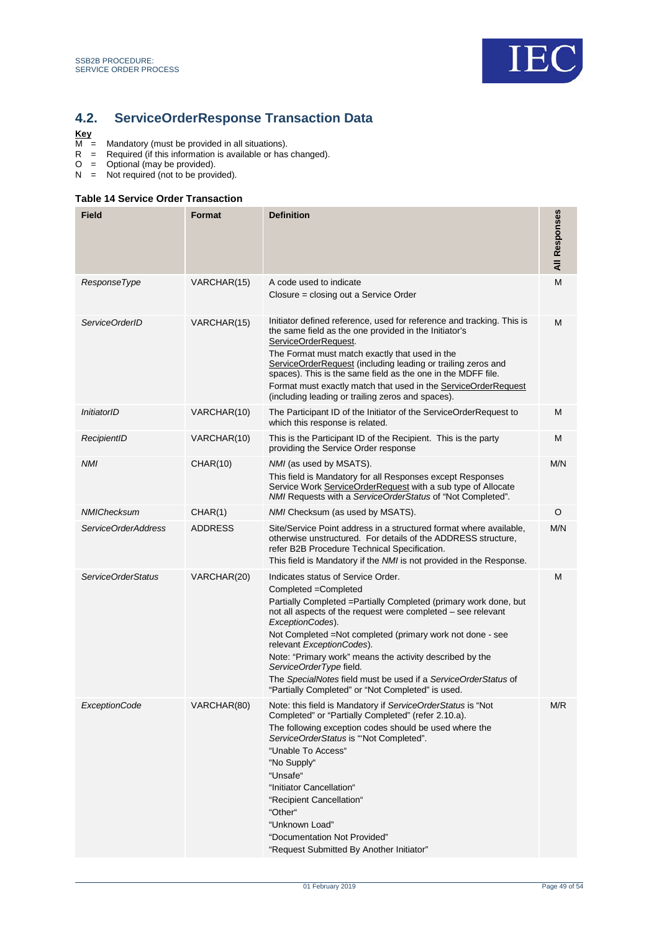

## <span id="page-48-2"></span><span id="page-48-0"></span>**4.2. ServiceOrderResponse Transaction Data**

## $\frac{Key}{M}$

- M = Mandatory (must be provided in all situations).
- R = Required (if this information is available or has changed).
- O = Optional (may be provided).
- N = Not required (not to be provided).

#### <span id="page-48-1"></span>**Table 14 Service Order Transaction**

| <b>Field</b>         | Format          | <b>Definition</b>                                                                                                                                                                                                                                                                                                                                                                                                                                                                                                             | All Responses |
|----------------------|-----------------|-------------------------------------------------------------------------------------------------------------------------------------------------------------------------------------------------------------------------------------------------------------------------------------------------------------------------------------------------------------------------------------------------------------------------------------------------------------------------------------------------------------------------------|---------------|
| ResponseType         | VARCHAR(15)     | A code used to indicate<br>Closure = closing out a Service Order                                                                                                                                                                                                                                                                                                                                                                                                                                                              | M             |
| ServiceOrderID       | VARCHAR(15)     | Initiator defined reference, used for reference and tracking. This is<br>the same field as the one provided in the Initiator's<br>ServiceOrderRequest.<br>The Format must match exactly that used in the<br>ServiceOrderRequest (including leading or trailing zeros and<br>spaces). This is the same field as the one in the MDFF file.<br>Format must exactly match that used in the ServiceOrderRequest<br>(including leading or trailing zeros and spaces).                                                               | M             |
| InitiatorID          | VARCHAR(10)     | The Participant ID of the Initiator of the ServiceOrderRequest to<br>which this response is related.                                                                                                                                                                                                                                                                                                                                                                                                                          | M             |
| RecipientID          | VARCHAR(10)     | This is the Participant ID of the Recipient. This is the party<br>providing the Service Order response                                                                                                                                                                                                                                                                                                                                                                                                                        | M             |
| <b>NMI</b>           | <b>CHAR(10)</b> | NMI (as used by MSATS).<br>This field is Mandatory for all Responses except Responses<br>Service Work ServiceOrderRequest with a sub type of Allocate<br>NMI Requests with a ServiceOrderStatus of "Not Completed".                                                                                                                                                                                                                                                                                                           | M/N           |
| <b>NMIChecksum</b>   | CHAR(1)         | NMI Checksum (as used by MSATS).                                                                                                                                                                                                                                                                                                                                                                                                                                                                                              | O             |
| ServiceOrderAddress  | <b>ADDRESS</b>  | Site/Service Point address in a structured format where available,<br>otherwise unstructured. For details of the ADDRESS structure,<br>refer B2B Procedure Technical Specification.<br>This field is Mandatory if the <i>NMI</i> is not provided in the Response.                                                                                                                                                                                                                                                             | M/N           |
| ServiceOrderStatus   | VARCHAR(20)     | Indicates status of Service Order.<br>Completed = Completed<br>Partially Completed = Partially Completed (primary work done, but<br>not all aspects of the request were completed - see relevant<br>ExceptionCodes).<br>Not Completed = Not completed (primary work not done - see<br>relevant ExceptionCodes).<br>Note: "Primary work" means the activity described by the<br>ServiceOrderType field.<br>The SpecialNotes field must be used if a ServiceOrderStatus of<br>"Partially Completed" or "Not Completed" is used. | M             |
| <b>ExceptionCode</b> | VARCHAR(80)     | Note: this field is Mandatory if ServiceOrderStatus is "Not<br>Completed" or "Partially Completed" (refer 2.10.a).<br>The following exception codes should be used where the<br>ServiceOrderStatus is "Not Completed".<br>"Unable To Access"<br>"No Supply"<br>"Unsafe"<br>"Initiator Cancellation"<br>"Recipient Cancellation"<br>"Other"<br>"Unknown Load"<br>"Documentation Not Provided"<br>"Request Submitted By Another Initiator"                                                                                      | M/R           |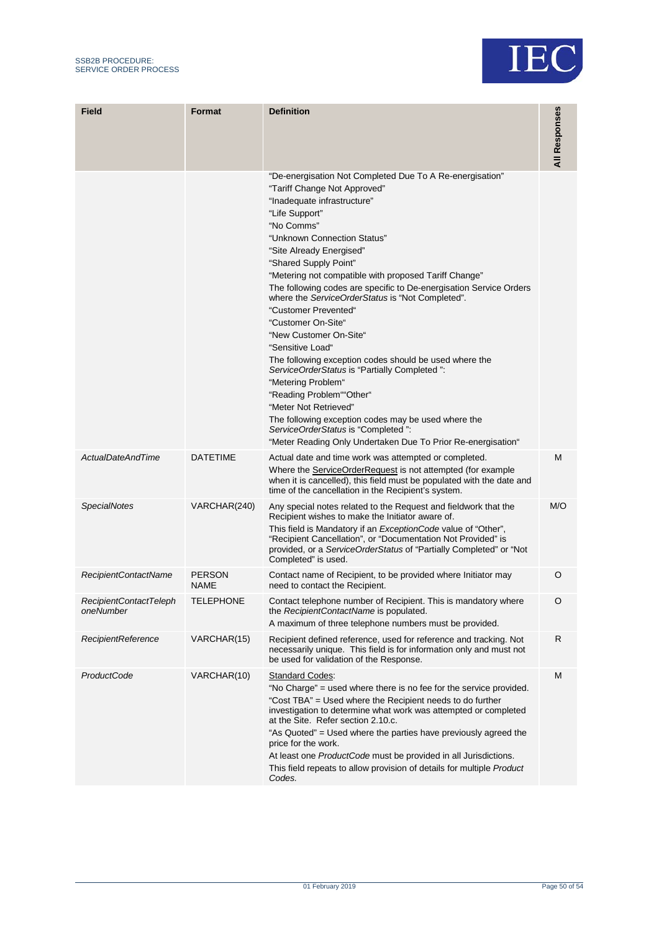

| <b>Field</b>                        | <b>Format</b>         | <b>Definition</b>                                                                                                                                                                                                                                                                                                                                                                                                                                                                                                                                                                                                                                                                                                                                                                                                                                                            | All Responses |
|-------------------------------------|-----------------------|------------------------------------------------------------------------------------------------------------------------------------------------------------------------------------------------------------------------------------------------------------------------------------------------------------------------------------------------------------------------------------------------------------------------------------------------------------------------------------------------------------------------------------------------------------------------------------------------------------------------------------------------------------------------------------------------------------------------------------------------------------------------------------------------------------------------------------------------------------------------------|---------------|
|                                     |                       | "De-energisation Not Completed Due To A Re-energisation"<br>"Tariff Change Not Approved"<br>"Inadequate infrastructure"<br>"Life Support"<br>"No Comms"<br>"Unknown Connection Status"<br>"Site Already Energised"<br>"Shared Supply Point"<br>"Metering not compatible with proposed Tariff Change"<br>The following codes are specific to De-energisation Service Orders<br>where the ServiceOrderStatus is "Not Completed".<br>"Customer Prevented"<br>"Customer On-Site"<br>"New Customer On-Site"<br>"Sensitive Load"<br>The following exception codes should be used where the<br>ServiceOrderStatus is "Partially Completed":<br>"Metering Problem"<br>"Reading Problem""Other"<br>"Meter Not Retrieved"<br>The following exception codes may be used where the<br>ServiceOrderStatus is "Completed":<br>"Meter Reading Only Undertaken Due To Prior Re-energisation" |               |
| <b>ActualDateAndTime</b>            | <b>DATETIME</b>       | Actual date and time work was attempted or completed.<br>Where the ServiceOrderRequest is not attempted (for example<br>when it is cancelled), this field must be populated with the date and<br>time of the cancellation in the Recipient's system.                                                                                                                                                                                                                                                                                                                                                                                                                                                                                                                                                                                                                         | M             |
| <b>SpecialNotes</b>                 | VARCHAR(240)          | Any special notes related to the Request and fieldwork that the<br>Recipient wishes to make the Initiator aware of.<br>This field is Mandatory if an <i>ExceptionCode</i> value of "Other",<br>"Recipient Cancellation", or "Documentation Not Provided" is<br>provided, or a ServiceOrderStatus of "Partially Completed" or "Not<br>Completed" is used.                                                                                                                                                                                                                                                                                                                                                                                                                                                                                                                     | M/O           |
| RecipientContactName                | PERSON<br><b>NAME</b> | Contact name of Recipient, to be provided where Initiator may<br>need to contact the Recipient.                                                                                                                                                                                                                                                                                                                                                                                                                                                                                                                                                                                                                                                                                                                                                                              | O             |
| RecipientContactTeleph<br>oneNumber | <b>TELEPHONE</b>      | Contact telephone number of Recipient. This is mandatory where<br>the RecipientContactName is populated.<br>A maximum of three telephone numbers must be provided.                                                                                                                                                                                                                                                                                                                                                                                                                                                                                                                                                                                                                                                                                                           | O             |
| <b>RecipientReference</b>           | VARCHAR(15)           | Recipient defined reference, used for reference and tracking. Not<br>necessarily unique. This field is for information only and must not<br>be used for validation of the Response.                                                                                                                                                                                                                                                                                                                                                                                                                                                                                                                                                                                                                                                                                          | R             |
| ProductCode                         | VARCHAR(10)           | <b>Standard Codes:</b><br>"No Charge" = used where there is no fee for the service provided.<br>"Cost TBA" = Used where the Recipient needs to do further<br>investigation to determine what work was attempted or completed<br>at the Site. Refer section 2.10.c.<br>"As Quoted" = Used where the parties have previously agreed the<br>price for the work.<br>At least one ProductCode must be provided in all Jurisdictions.<br>This field repeats to allow provision of details for multiple Product<br>Codes.                                                                                                                                                                                                                                                                                                                                                           | M             |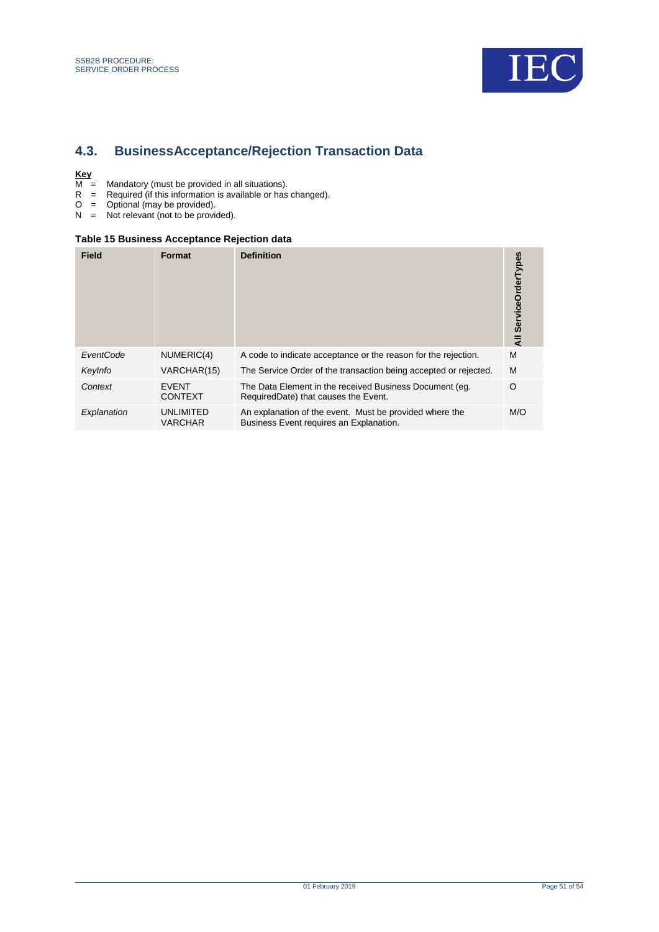

## <span id="page-50-2"></span><span id="page-50-0"></span>**4.3. BusinessAcceptance/Rejection Transaction Data**

- $\frac{Key}{M}$  =<br>R = M = Mandatory (must be provided in all situations).
- R = Required (if this information is available or has changed).
- O = Optional (may be provided).
- N = Not relevant (not to be provided).

#### <span id="page-50-1"></span>**Table 15 Business Acceptance Rejection data**

| <b>Field</b> | Format                         | <b>Definition</b>                                                                                  | ServiceOrderTypes<br>₹ |
|--------------|--------------------------------|----------------------------------------------------------------------------------------------------|------------------------|
| EventCode    | NUMERIC(4)                     | A code to indicate acceptance or the reason for the rejection.                                     | M                      |
| Keylnfo      | VARCHAR(15)                    | The Service Order of the transaction being accepted or rejected.                                   | M                      |
| Context      | <b>EVENT</b><br><b>CONTEXT</b> | The Data Element in the received Business Document (eg.<br>RequiredDate) that causes the Event.    | O                      |
| Explanation  | UNLIMITED<br><b>VARCHAR</b>    | An explanation of the event. Must be provided where the<br>Business Event requires an Explanation. | M/O                    |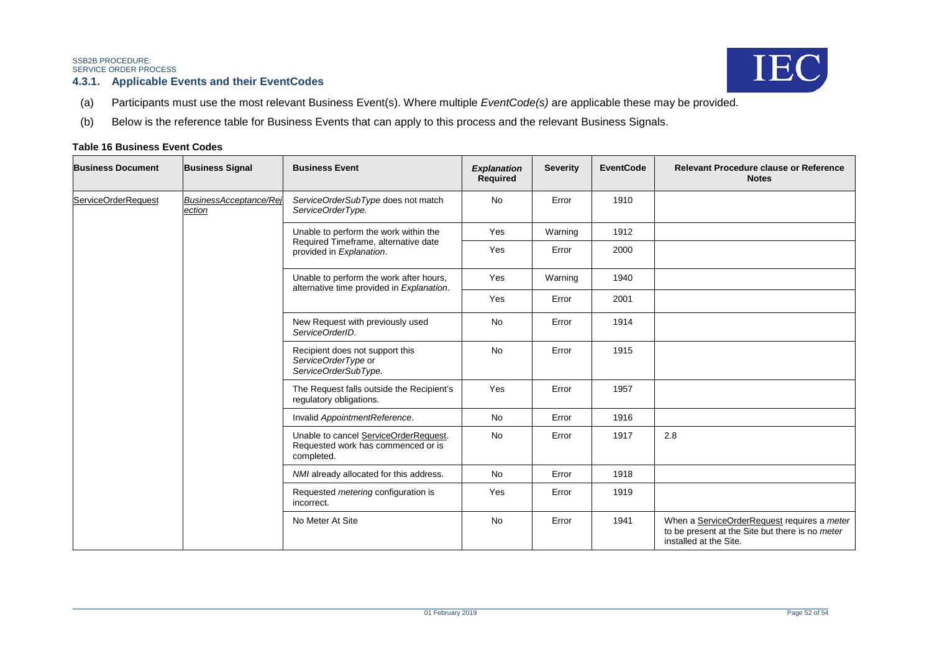IEC

#### **4.3.1. Applicable Events and their EventCodes**

- (a) Participants must use the most relevant Business Event(s). Where multiple *EventCode(s)* are applicable these may be provided.
- (b) Below is the reference table for Business Events that can apply to this process and the relevant Business Signals.

#### <span id="page-51-1"></span>**Table 16 Business Event Codes**

<span id="page-51-0"></span>

| <b>Business Document</b> | <b>Business Signal</b>           | <b>Business Event</b>                                                                     | <b>Explanation</b><br><b>Required</b> | <b>Severity</b> | <b>EventCode</b> | <b>Relevant Procedure clause or Reference</b><br><b>Notes</b>                                                            |
|--------------------------|----------------------------------|-------------------------------------------------------------------------------------------|---------------------------------------|-----------------|------------------|--------------------------------------------------------------------------------------------------------------------------|
| ServiceOrderRequest      | BusinessAcceptance/Rei<br>ection | ServiceOrderSubType does not match<br>ServiceOrderType.                                   | <b>No</b>                             | Error           | 1910             |                                                                                                                          |
|                          |                                  | Unable to perform the work within the                                                     | Yes                                   | Warning         | 1912             |                                                                                                                          |
|                          |                                  | Required Timeframe, alternative date<br>provided in Explanation.                          | Yes                                   | Error           | 2000             |                                                                                                                          |
|                          |                                  | Unable to perform the work after hours,<br>alternative time provided in Explanation.      | Yes                                   | Warning         | 1940             |                                                                                                                          |
|                          |                                  |                                                                                           | Yes                                   | Error           | 2001             |                                                                                                                          |
|                          |                                  | New Request with previously used<br>ServiceOrderID.                                       | <b>No</b>                             | Error           | 1914             |                                                                                                                          |
|                          |                                  | Recipient does not support this<br>ServiceOrderType or<br>ServiceOrderSubType.            | No                                    | Error           | 1915             |                                                                                                                          |
|                          |                                  | The Request falls outside the Recipient's<br>regulatory obligations.                      | Yes                                   | Error           | 1957             |                                                                                                                          |
|                          |                                  | Invalid AppointmentReference.                                                             | <b>No</b>                             | Error           | 1916             |                                                                                                                          |
|                          |                                  | Unable to cancel ServiceOrderRequest.<br>Requested work has commenced or is<br>completed. | <b>No</b>                             | Error           | 1917             | 2.8                                                                                                                      |
|                          |                                  | NMI already allocated for this address.                                                   | <b>No</b>                             | Error           | 1918             |                                                                                                                          |
|                          |                                  | Requested metering configuration is<br>incorrect.                                         | Yes                                   | Error           | 1919             |                                                                                                                          |
|                          |                                  | No Meter At Site                                                                          | No                                    | Error           | 1941             | When a ServiceOrderRequest requires a meter<br>to be present at the Site but there is no meter<br>installed at the Site. |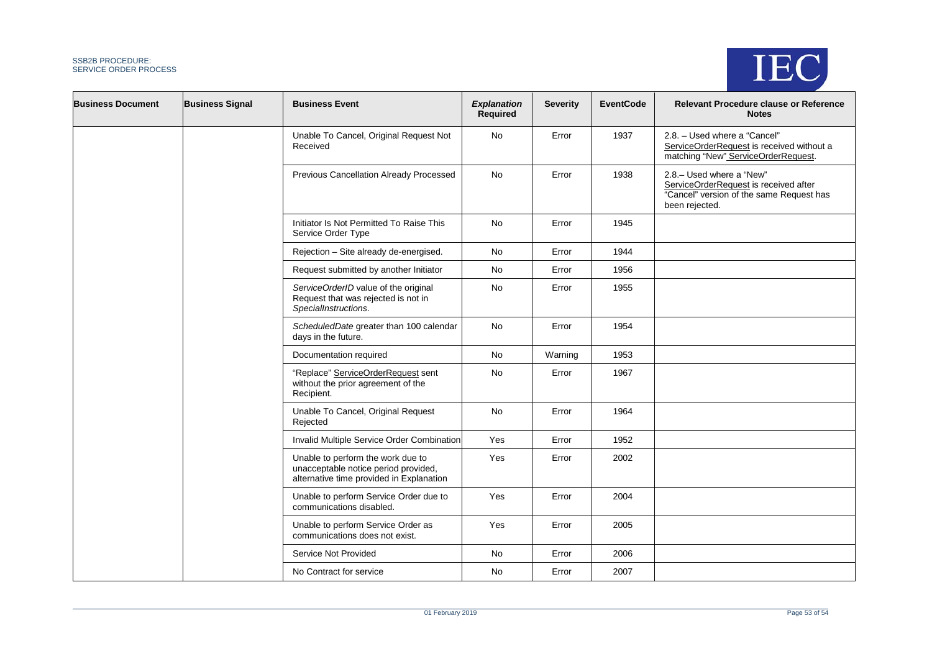

| <b>Business Document</b> | <b>Business Signal</b> | <b>Business Event</b>                                                                                                 | <b>Explanation</b><br>Required | <b>Severity</b> | <b>EventCode</b> | <b>Relevant Procedure clause or Reference</b><br><b>Notes</b>                                                                    |
|--------------------------|------------------------|-----------------------------------------------------------------------------------------------------------------------|--------------------------------|-----------------|------------------|----------------------------------------------------------------------------------------------------------------------------------|
|                          |                        | Unable To Cancel, Original Request Not<br>Received                                                                    | No                             | Error           | 1937             | 2.8. - Used where a "Cancel"<br>ServiceOrderRequest is received without a<br>matching "New" ServiceOrderRequest.                 |
|                          |                        | Previous Cancellation Already Processed                                                                               | No                             | Error           | 1938             | 2.8 .- Used where a "New"<br>ServiceOrderRequest is received after<br>"Cancel" version of the same Request has<br>been rejected. |
|                          |                        | Initiator Is Not Permitted To Raise This<br>Service Order Type                                                        | <b>No</b>                      | Error           | 1945             |                                                                                                                                  |
|                          |                        | Rejection - Site already de-energised.                                                                                | No                             | Error           | 1944             |                                                                                                                                  |
|                          |                        | Request submitted by another Initiator                                                                                | No                             | Error           | 1956             |                                                                                                                                  |
|                          |                        | ServiceOrderID value of the original<br>Request that was rejected is not in<br>SpecialInstructions.                   | No                             | Error           | 1955             |                                                                                                                                  |
|                          |                        | ScheduledDate greater than 100 calendar<br>days in the future.                                                        | <b>No</b>                      | Error           | 1954             |                                                                                                                                  |
|                          |                        | Documentation required                                                                                                | No                             | Warning         | 1953             |                                                                                                                                  |
|                          |                        | "Replace" ServiceOrderRequest sent<br>without the prior agreement of the<br>Recipient.                                | No                             | Error           | 1967             |                                                                                                                                  |
|                          |                        | Unable To Cancel, Original Request<br>Rejected                                                                        | No                             | Error           | 1964             |                                                                                                                                  |
|                          |                        | Invalid Multiple Service Order Combination                                                                            | Yes                            | Error           | 1952             |                                                                                                                                  |
|                          |                        | Unable to perform the work due to<br>unacceptable notice period provided,<br>alternative time provided in Explanation | Yes                            | Error           | 2002             |                                                                                                                                  |
|                          |                        | Unable to perform Service Order due to<br>communications disabled.                                                    | Yes                            | Error           | 2004             |                                                                                                                                  |
|                          |                        | Unable to perform Service Order as<br>communications does not exist.                                                  | Yes                            | Error           | 2005             |                                                                                                                                  |
|                          |                        | Service Not Provided                                                                                                  | <b>No</b>                      | Error           | 2006             |                                                                                                                                  |
|                          |                        | No Contract for service                                                                                               | No                             | Error           | 2007             |                                                                                                                                  |